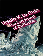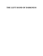# **THE LEFT HAND OF DARKNESS**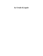# *by Ursula K.Leguin*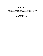## The Ekumen 04

#### WINNER OF THE HUGO AWARD AND THE NEBULA AWARD FOR BEST SCIENCE FICTION NOVEL OF THE YEAR 1969

**Dedication: For Charles,** *sine quo non*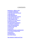# **CONTENTS**

[Introduction - added in 1976](#page-5-0) [1. A Parade in Erhenrang](#page-10-0) [2. The Place Inside the Blizzard](#page-27-0) [3. The Mad King](#page-31-0) [4. The Nineteenth Day](#page-44-0) [5. The Domestication of Hunch](#page-47-0) [6. One Way into Orgoreyn](#page-67-0) [7. The Question of Sex](#page-81-0) [8. Another Way into Orgoreyn](#page-88-0) [9. Estraven the Traitor](#page-109-0) [10. Conversations in Mishnory](#page-114-0) [11. Soliloquies in Mishnory](#page-129-0) [12. On Time and Darkness](#page-140-0) [13. Down on the Farm](#page-143-0) [14. The Escape](#page-158-0) [15. To the Ice](#page-170-0) [16. Between Drumner and Dremegole](#page-188-0) [17. An Orgota Creation Myth](#page-200-0) [18. On the Ice](#page-202-0) [19. Homecoming](#page-220-0) [20. A Fool's Errand](#page-238-0)

[The Gethenian Calendar and Clock](#page-252-0)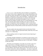#### <span id="page-5-0"></span>**Introduction**

-

SCIENCE FICTION IS often described, and even defined, as extrapolative. The science fiction writer is supposed to take a trend or phenomenon of the here-and-now, purify and intensify it for dramatic effect, and extend it into the future. "If this goes on, this is what will happen." A prediction is made. Method and results much resemble those of a scientist who feeds large doses of a purified and concentrated food additive to mice, in order to predict what may happen to people who eat it in small quantities for a long time. The outcome seems almost inevitably to be cancer. So does the outcome of extrapolation. Strictly extrapolative works of science fiction generally arrive about where the Club of Rome arrives: somewhere between the gradual extinction of human liberty and the total extinction of terrestrial life.

This may explain why many people who do not read science fiction describe it as 'escapist,' but when questioned further, admit they do not read it because 'it's so depressing.'

Almost anything carried to its logical extreme becomes depressing, if not carcinogenic.

Fortunately, though extrapolation is an element in science fiction, it isn't the name of the game by any means. It is far too rationalist and simplistic to satisfy the imaginative mind, whether the writer's or the reader's. Variables are the spice of life.

This book is not extrapolative. If you like you can read it, and a lot of other science fiction, as a thought-experiment. Let's say (says Mary Shelley) that a young doctor creates a human being in his laboratory; let's say (says Philip K. Dick) that the Allies lost the second world war; let's say this or that is such and so, and see what happens… In a story so conceived, the moral complexity proper to the modern novel need not be sacrificed, nor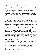is there any built-in dead end; thought and intuition can move freely within bounds set only by the terms of the experiment, which may be very large indeed.

The purpose of a thought-experiment, as the term was used by Schrodinger and other physicists, is not to predict the future—indeed Schrodinger's most famous thought-experiment goes to show that the 'future,' on the quantum level, *cannot* be predicted—but to describe reality, the present world.

Science fiction is not predictive; it is descriptive.

Predictions are uttered by prophets (free of charge); by clairvoyants (who usually charge a fee, and are therefore more honored in their day than prophets); and by futurologists (salaried). Prediction is the business of prophets, clairvoyants, and futurologists. It is not the business of novelists. A novelist's business is lying.

The weather bureau will tell you what next Tuesday will be like, and the Rand Corporation will tell you what the twenty-first century will be like. I don't recommend that you turn to the writers of fiction for such information. It's none of their business. All they're trying to do is tell you what they're like, and what you're like—what's going on—what the weather is now, today, this moment, the rain, the sunlight, look! Open your eyes; listen, listen. That is what the novelists say. But they don't tell you what you will see and hear. All they can tell you is what they have seen and heard, in their time in this world, a third of it spent in sleep and dreaming, another third of it spent in telling lies.

"The truth against the world!"—Yes. Certainly. Fiction writers, at least in their braver moments, do desire the truth: to know it, speak it, serve it. But they go about it in a peculiar and devious way, which consists in inventing persons, places, and events which never did and never will exist or occur, and telling about these fictions in detail and at length and with a great deal of emotion, and then when they are done writing down this pack of lies, they say, There! That's the truth!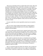They may use all kinds of facts to support their tissue of lies. They may describe the Marshalsea Prison, which was a real place, or the battle of Borodino, which really was fought, or the process of cloning, which really takes place in laboratories, or the deterioration of a personality, which is described in real textbooks of psychology; and so on. This weight of verifiable place-event-phenomenon-behavior makes the reader forget that he is reading a pure invention, a history that never took place anywhere but in that unlocalisable region, the author's mind. In fact, while we read a novel, we are insane—bonkers. We believe in the existence of people who aren't there, we hear their voices, we watch the battle of Borodino with them, we may even become Napoleon. Sanity returns (in most cases) when the book is closed.

Is it any wonder that no truly respectable society has ever trusted its artists?

But our society, being troubled and bewildered, seeking guidance, sometimes puts an entirely mistaken trust in its artists, using them as prophets and futurologists.

I do not say that artists cannot be seers, inspired: that the *awen* cannot come upon them, and the god speak through them. Who would be an artist if they did not believe that that happens? if they did not *know* it happens, because, they have felt the god within them use their tongue, their hands? Maybe only once, once in their lives. But once is enough.

Nor would I say that the artist alone is so burdened and so privileged. The scientist is another who prepares, who makes ready, working day and night, sleeping and awake, for inspiration. As Pythagoras knew, the god may speak in the forms of geometry as well as in the shapes of dreams; in the harmony of pure thought as well as in the harmony of sounds; in numbers as well as in words.

But it is words that make the trouble and confusion. We are asked now to consider words as useful in only one way: as signs. Our philosophers, some of them, would have us agree that a word (sentence, statement) has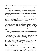value only in so far as it has one single meaning, points to one fact which is comprehensible to the rational intellect, logically sound, and—ideally quantifiable.

Apollo, the god of light, of reason, of proportion, harmony, number— Apollo blinds those who press too close in worship. Don't look straight at the sun. Go into a dark bar for a bit and have a beer with Dionysios, every now and then.

I talk about the gods, I am an atheist. But I am an artist too, and therefore a liar. Distrust everything I say. I am telling the truth. The only truth I can understand or express is, logically defined, a lie. Psychologically defined, a symbol. Aesthetically defined, a metaphor.

Oh, it's lovely to be invited to participate in Futurological Congresses where Systems Science displays its grand apocalyptic graphs, to be asked to tell the newspapers what America will be like in 2001, and all that, but it's a terrible mistake. I write science fiction, and science fiction isn't about the future. I don't know any more about the future than you do, and very likely less.

This book is not about the future. Yes, it begins by annnouncing that it's set in the 'Ekumenical Year 1490-97,' but surely you don't *believe* that?

Yes, indeed the people in it are androgynous, but that doesn't mean that I'm predicting that in a millennium or so we will all be androgynous, or announcing that I think we damned well ought to be androgynous. I'm merely observing, in the peculiar, devious, and thought-experimental manner proper to science fiction, that if you look at us at certain odd times of day in certain weathers, we already are. I am not predicting, or prescribing. I am describing. I am describing certain aspects of psychological reality in the novelist's way, which is by inventing elaborately circumstantial lies.

In reading a novel, any novel, we have to know perfectly well that the whole thing is nonsense, and then, while reading, believe every word of it. Finally, when we're done with it, we may find—if it's a good novel—that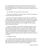we're a bit different from what we were before we read it, that we have been changed a little, as if by having met a new face, crossed a street we never crossed before. But it's very hard to *say* just what we learned, how we were changed.

The artist deals with what cannot be said in words.

The artist whose medium is fiction does this *in words*. The novelist says in words what cannot be said in words.

Words can be used thus paradoxically because they have, along with a semiotic usage, a symbolic or metaphoric usage. (They also have a sound a fact the linguistic positivists take no interest in. A sentence or paragraph is like a chord or harmonic sequence in music: its meaning may be more clearly understood by the attentive ear, even though it is read in silence, than by the attentive intellect).

All fiction is metaphor. Science fiction is metaphor. What sets it apart from older forms of fiction seems to be its use of new metaphors, drawn from certain great dominants of our contemporary life—science, all the sciences, and technology, and the relativistic and the historical outlook, among them. Space travel is one of these metaphors; so is an alternative society, an alternative biology; the future is another. The future, in fiction, is a metaphor.

A metaphor for what?

If I could have said it non-metaphorically, I would not have written all these words, this novel; and Genly Ai would never have sat down at my desk and used up my ink and typewriter ribbon in informing me, and you, rather solemnly, that the truth is a matter of the imagination.

—Ursula K. Le Guin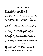## <span id="page-10-0"></span>1. A Parade in Erhenrang

*From the Archives of Hain. Transcript of Ansible Document 01-01101- 934-2-Gethen: To the Stabile on Ollul: Report from Genly Ai, First Mobile on Gethen/Winter, Hainish Cycle 93, Ekumenical Year 1490- 97.*

I'LL MAKE MY REPORT as if I told a story, for I was taught as a child on my homeworld that Truth is a matter of the imagination. The soundest fact may fail or prevail in the style of its telling: like that singular organic jewel of our seas, which grows brighter as one woman wears it and, worn by another, dulls and goes to dust. Facts are no more solid, coherent, round, and real than pearls are. But both are sensitive.

The story is not all mine, nor told by me alone. Indeed I am not sure whose story it is; you can judge better. But it is all one, and if at moments the facts seem to alter with an altered voice, why then you can choose the fact you like best; yet none of them are false, and it is all one story.

It starts on the 44th diurnal of the Year 1491, which on the planet Winter in the nation Karhide was Odhar-hahad Tuwa or the twenty-second day of the third month of spring in the Year One. It is always the Year One here. Only the dating of every past and future year changes each New Year's Day, as one counts backwards or forwards from the unitary Now. So it was spring of the Year One in Erhenrang, capital city of Karhide, and I was in peril of my life, and did not know it.

I was in a parade. I walked just behind the gossiwors and just before the king. It was raining.

Rainclouds over dark towers, rain falling in deep streets, a dark stormbeaten city of stone, through which one vein of gold winds slowly. First come merchants, potentates, and artisans of the City Erhenrang, rank after rank, magnificently clothed, advancing through the rain as comfortably as fish through the sea. Their faces are keen and calm. They do not march in step. This is a parade with no soldiers, not even imitation soldiers.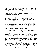Next come the lords and mayors and representatives, one person, or five, or forty-five, or four hundred, from each Domain and Co-Domain of Karhide, a vast ornate procession that moves to the music of metal horns and hollow blocks of bone and wood and the dry, pure lilting of electric flutes. The various banners of the great Domains tangle in a rain-beaten confusion of color with the yellow pennants that bedeck the way, and the various musics of each group clash and interweave in many rhythms echoing in the deep stone street.

Next, a troop of jugglers with polished spheres of gold which they hurl up high in flashing flights, and catch, and hurl again, making fountain-jets of bright jugglery. All at once, as if they had literally caught the light, the gold spheres blaze bright as glass: the sun is breaking through.

Next, forty men in yellow, playing gossiwors. The gossiwor, played only in the king's presence, produces a preposterous disconsolate bellow. Forty of them played together shake one's reason, shake the towers of Erhenrang, shake down a last spatter of rain from the windy clouds. If this is the Royal Music no wonder the kings of Karhide are all mad.

Next, the royal party, guards and functionaries and dignitaries of the city and the court, deputies, senators, chancellors, ambassadors, lords of the Kingdom, none of them keeping step or rank yet walking with great dignity; and among them is King Argaven XV, in white tunic and shirt and breeches, with leggings of saffron leather and a peaked yellow cap. A gold finger-ring is his only adornment and sign of office. Behind this group eight sturdy fellows bear the royal litter, rough with yellow sapphires, in which no king has ridden for centuries, a ceremonial relic of the Very-Long-Ago. By the litter walk eight guards armed with "foray guns," also relics of a more barbaric past but not empty ones, being loaded with pellets of soft iron. Death walks behind the king. Behind death come the students of the Artisan Schools, the Colleges, the Trades, and the King's Hearths, long lines of children and young people in white and red and gold and green; and finally a number of soft-running, slow, dark cars end the parade.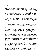The royal party, myself among them, gather on a platform of new timbers beside the unfinished Arch of the River Gate. The occasion of the parade is the completion of that arch, which completes the new Road and River Port of Erhenrang, a great operation of dredging and building and roadmaking which has taken five years, and will distinguish Argaven XV's reign in the annals of Karhide. We are all squeezed rather tight on the platform in our damp and massive finery. The rain is gone, the sun shines on us, the splendid, radiant, traitorous sun of Winter. I remark to the person on my left, "It's hot. It's really hot."

The person on my left-a stocky dark Karhider with sleek and heavy hair, wearing a heavy overtunic of green leather worked with gold, and a heavy white shirt, and heavy breeches, and a neck-chain of heavy silver links a hand broad-this person, sweating heavily, replies, "So it is."

All about us as we stand jammed on our platform lie the faces of the people of the city, upturned like a shoal of brown, round pebbles, micaglittering with thousands of watching eyes.

Now the king ascends a gangplank of raw timbers that leads from the platform up to the top of the arch whose unjoined piers tower over crowd and wharves and river. As he mounts the crowd stirs and speaks in a vast murmur: "Argaven!" He makes no response. They expect none. Gossiwors blow a thunderous discordant blast, cease. Silence. The sun shines on city, river, crowd, and king. Masons below have set an electric winch going, and as the king mounts higher the keystone of the arch goes up past him in its sling, is raised, settled, and fitted almost soundlessly, great ton-weight block though it is, into the gap between the two piers, making them one, one thing, an arch. A mason with trowel and bucket awaits the king, up on the scaffolding; all the other workmen descend by rope ladders, like a swarm of fleas. The king and the mason kneel, high between the river and the sun, on their bit of planking. Taking the trowel the king begins to mortar the long joints of the keystone. He does not dab at it and give the trowel back to the mason, but sets to work methodically. The cement he uses is a pinkish color different from the rest of the mortarwork, and after five or ten minutes of watching the king-bee work I ask the person on my left, "Are your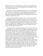keystones always set in a red cement?" For the same color is plain around the keystone of each arch of the Old Bridge, that soars beautifully over the river upstream from the arch.

Wiping sweat from his dark forehead the *man-man* I must say, having said *he* and *his—* the man answers, "Very-long-ago a keystone was always set in with a mortar of ground bones mixed with blood. Human bones, human blood. Without the bloodbond the arch would fall, you see. We use the blood of animals, these days."

So he often speaks, frank yet cautious, ironic, as if always aware that I see and judge as an alien: a singular awareness in one of so isolate a race and so high a rank. He is one of the most powerful men in the country; I am not sure of the proper historical equivalent of his position, vizier or prime minister or councillor; the Karhidish word for it means the King's Ear. He is lord of a Domain and lord of the Kingdom, a mover of great events. His name is Therem Harth rem ir Estraven.

The king seems to be finished with his masonry work, and I rejoice; but crossing under the rise of the arch on his spiderweb of planks he starts in on the other side of the keystone, which after all has two sides. It doesn't do to be impatient in Karhide. They are anything but a phlegmatic people, yet they are obdurate, they are pertinacious, they finish plastering joints. The crowds on the Sess Embankment are content to watch the king work, but I am bored, and hot. I have never before been hot, on Winter; I never will be again; yet I fail to appreciate the event. I am dressed for the Ice Age and not for the sunshine, in layers and layers of clothing, woven plant-fiber, artificial fiber, fur, leather, a massive armor against the cold, within which I now wilt like a radish leaf. For distraction I look at the crowds and the other paraders drawn up around the platform, their Domain and Clan banners hanging still and bright in sunlight, and idly I ask Estraven what this banner is and that one and the other. He knows each one I ask about, though there are hundreds, some from remote domains, hearths and tribelets of the Pering Storm-border and Kerm Land.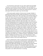"I'm from Kerm Land myself," he says when I admire his knowledge. "Anyhow it's my business to know the Domains. They are Karhide. To govern this land is to govern its lords. Not that it's ever been done. Do.you know the saying, *Karhide is not a nation but a family quarrel?*" I haven't, and suspect that Estraven made it up; it has his stamp.

At this point another member of the *kyorremy*, the upper chamber or parliament which Estraven heads, pushes and squeezes a way up close to him and begins talking to him. This is the king's cousin Pemmer Harge rem ir Tibe. His voice is very low as he speaks to Estraven, his posture faintly insolent, his smile frequent. Estraven, sweating like ice in the sun, stays slick and cold as ice, answering Tibe's murmurs aloud in a tone whose commonplace politeness makes the other look rather a fool. I listen, as I watch the king grouting away, but understand nothing except the animosity between Tibe and Estraven. It's nothing to do with me, in any case, and I am simply interested in the behavior of these people who rule a nation, in the old-fashioned sense, who govern the fortunes of twenty million other people. Power has become so subtle and complex a thing in the ways taken by the Ekumen that only a subtle mind can watch it work; here it is still limited, still visible. In Estraven, for instance, one feels the man's power as an augmentation of his character; he cannot make an empty gesture or say a word that is not listened to. He knows it, and the knowledge gives him more reality than most people own: a solidness of being, a substantiality, a human grandeur. Nothing succeeds like success. I don't trust Estraven, whose motives are forever obscure; I don't like him; yet I feel and respond to his authority as surely as I do to the warmth of the sun.

Even as I think this the world's sun dims between clouds regathering, and soon a flaw of rain runs sparse and hard upriver, spattering the crowds on the Embankment, darkening the sky. As the king comes down the gangplank the light breaks through a last time, and his white figure and the great arch stand out a moment vivid and splendid against the stormdarkened south. The clouds close. A cold wind comes tearing up Port-and-Palace Street, the river goes gray, the trees on the Embankment shudder. The parade is over. Half an hour later it is snowing.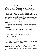As the king's car drove off up Port-and-Palace Street and the crowds began to move like a rocky shingle rolled by a slow tide, Estraven turned to me again and said, "Will you have supper with me tonight, Mr. Ai?" I accepted, with more surprise than pleasure. Estraven had done a great deal for me in the last six or eight months, but I did not expect or desire such a show of personal favor as an invitation to his house. Harge rem ir Tibe was still close to us, overhearing, and I felt that he was meant to overhear. Annoyed by this sense of effeminate intrigue I got off the platform and lost myself in the mob, crouching and slouching somewhat to do so. I'm not much taller than the Gethenian norm, but the difference is most noticeable in a crowd. *That's him, look, there's the Envoy.* Of course that was part of my job, but it was a part that got harder not easier as time went on; more and more often I longed for anonymity, for sameness. I craved to be like everybody else.

A couple of blocks up Breweries Street I turned off towards my lodgings and suddenly, there where the crowd thinned out, found Tibe walking beside me.

"A flawless event," said the king's cousin, smiling at me. His long, clean, yellow teeth appeared and disappeared in a yellow face all webbed, though he was not an old man, with fine, soft wrinkles.

"A good augury for the success of the new Port," I said.

"Yes indeed." More teeth.

"The ceremony of the keystone is most impressive—"

"Yes indeed. That ceremony descends to us from very-long-ago. But no doubt Lord Estraven explained all that to you."

"Lord Estraven is most obliging." I was trying to speak insipidly, yet everything I said to Tibe seemed to take on a double meaning.

"Oh very much indeed," said Tibe. "Indeed Lord Estraven is famous for his kindness to foreigners." He smiled again, and every tooth seemed to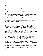have a meaning, double, multiple, thirty-two different meanings.

"Few foreigners are so foreign as I, Lord Tibe. I am very grateful for kindnesses."

"Yes indeed, yes indeed! And gratitude's a noble, rare emotion, much praised by the poets. Rare above all here in Erhenrang, no doubt because it's impracticable. This is a hard age we live in, an ungrateful age. Things aren't as they were in our grandparents' days, are they?"

"I scarcely know, sir, but I've heard the same lament on other worlds."

Tibe stared at me for some while as if establishing lunacy. Then he brought out the long yellow teeth.

"Ah yes! Yes indeed! I keep forgetting that you come from another planet. But of course that's not a matter you ever forget. Though no doubt life would be much sounder and simpler and safer for you here in Erhenrang if you could forget it, eh? Yes indeed! Here's my car, I had it wait here out of the way. I'd like to offer to drive you to your island, but must forego the privilege, as I'm due at the King's House very shortly and poor relations must be in good time, as the saying is, eh? Yes indeed!" said the king's cousin, climbing into his little black electric car, teeth bared across his shoulder at me, eyes veiled by a net of wrinkles.

I walked on home to my island. Its front garden was revealed now that the last of the winter's snow had melted and the winter-doors, ten feet aboveground, were sealed off for a few months, till the autumn and the deep snow should return. Around at the side of the building in the mud and the ice and the quick, soft, rank spring growth of the garden, a young couple stood talking. Their right hands were clasped. They were in the first phase of kemmer. The large, soft snow danced about them as they stood barefoot in the icy mud, hands clasped, eyes all for each other. Spring on Winter.

I had dinner at my island and at Fourth Hour striking on the gongs of Remny Tower I was at the Palace.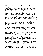*\*Karhosh, island,* the usual word for the apartment-boardinghouse buildings that house the greatest part of the urban populations of Karhide. Islands contain 20 to 200 private rooms; meals are communal; some are run as hotels, others as cooperative communes, others combine these types. They are certainly an urban adaptation of the fundamental Karhidish institution of the Hearth, though lacking, of course, the topical and genealogical stability of the Hearth ready for supper. Karhiders eat four solid meals a day, breakfast, lunch, dinner, supper, along with a lot of adventitious nibbling and gobbling in between. There are no large meatanimals on Winter, and no mammalian products, milk, butter or cheese; the only high-protein, high-carbohydrate foods are the various kinds of eggs, fish, nuts, and the Hainish grains. A lowgrade diet for a bitter climate, and one must refuel often. I had got used to eating, as it seemed, every few minutes. It wasn't until later in that year that I discovered the Gethenians have perfected the technique not only of perpetually stuffing, but also of indefinitely starving.

The snow still fell, a mild spring blizzard, much pleasanter than the relentless rain of the Thaw just past. I made my way to and through the Palace in the quiet and pale darkness of snowfall, losing my way only once. The Palace of Erhenrang is an inner city, a walled wilderness of palaces, towers, gardens, courtyards, cloisters, roofed bridgeways, roofless tunnelwalks, small forests and dungeon-keeps, the product of centuries of paranoia on a grand scale. Over it all rise the grim, red, elaborate walls of the Royal House, which though in perpetual use is inhabited by no one beside the king himself. Everyone else, servants, staff, lords, ministers, parliamentarians, guards or whatever, sleeps in another palace or fort or keep or barracks or house inside the walls. Estraven's house, sign of the king's high favor, was the Corner Red Dwelling, built 440 years ago for Harmes, beloved kemmering of Emran III, whose beauty is still celebrated, and who was abducted, mutilated, and rendered imbecile by hirelings of the Inner-land Faction. Emran III died forty years after, still wreaking vengeance on his unhappy country: Emran the Illfated. The tragedy is so old that its horror has leached away and only a certain air of faithlessness and melancholy clings to the stones and shadows of the house. The garden was small and walled; serem-trees leaned over a rocky pool. In dim shafts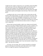of light from the windows of the house I saw snowflakes and the threadlike white spore cases of the trees falling softly together onto the dark water. Estraven stood waiting for me, bareheaded and coatless in the cold, watching that small secret ceaseless descent of snow and seeds in the night. He greeted me quietly and brought me into the house. There were no other guests.

I wondered at this, but we went to table at once, and one does not talk business while eating; besides, my wonder was diverted to the meal, which was superb, even the eternal breadapples transmuted by a cook whose art I heartily praised. After supper, by the fire, we drank hot beer. On a world where a common table implement is a little device with which you crack the ice that has formed on your drink between drafts, hot beer is a thing you come to appreciate.

Estraven had conversed amiably at table; now, sitting across the hearth from me, he was quiet. Though I had been nearly two years on Winter I was still far from being able to see the people of the planet through their own eyes. I tried to, but my efforts took the form of self-consciously seeing a Gethenian first as a man, then as a woman, forcing him into those categories so irrelevant to his nature and so essential to my own. Thus as I sipped my smoking sour beer I thought that at table Estraven's performance had been womanly, all charm and tact and lack of substance, specious and adroit. Was it in fact perhaps this soft supple femininity that I disliked and distrusted in him? For it was impossible to think of him as a woman, that dark, ironic, powerful presence near me in the firelit darkness, and yet whenever I thought of him as a man I felt a sense of falseness, of imposture: in him, or in my own attitude towards him? His voice was soft and rather resonant but not deep, scarcely a man's voice, but scarcely a woman's voice either…but what was it saying?

"I'm sorry," he was saying, "that I've had to forestall for so long this pleasure of having you in my house; and to that extent at least I'm glad there is no longer any question of patronage between us."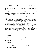I puzzled at this a while. He had certainly been my patron in court until now. Did he mean that the audience he had arranged for me with the king tomorrow had raised me to an equality with himself? "I don't think I follow you," I said.

At that, he was silent, evidently also puzzled. "Well, you understand," he said at last, "being here… you understand that I am no longer acting on your behalf with the king, of course."

He spoke as if ashamed of me, not of himself. Clearly there was a significance in his invitation and my acceptance of it which I had missed. But my blunder was in manners, his in morals. All I thought at first was that I had been right all along not to trust Estraven. He was not merely adroit and not merely powerful, he was faithless. All these months in Erhenrang it had been he who listened to me, who answered my questions, sent physicians and engineers to verify the alienness of my physique and my ship, introduced me to people I needed to know, and gradually elevated me from my first year's status as a highly imaginative monster to my present recognition as the mysterious Envoy, about to be received by the king. Now, having got me up on that dangerous eminence, he suddenly and coolly announced he was withdrawing his support.

"You've led me to rely on you—"

"It was ill done."

"Do you mean that, having arranged this audience, you haven't spoken in favor of my mission to the king, as you—" I had the sense to stop short of "promised."

"I can't."

I was very angry, but I met neither anger nor apology in him.

"Will you tell me why?"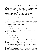After a while he said, "Yes," and then paused again. During the pause I began to think that an inept and undefended alien should not demand reasons from the prime minister of a kingdom, above all when he does not and perhaps never will understand the foundations of power and the workings of government in that kingdom. No doubt this was all a matter of *shifgrethor—* prestige, face, place, the pride-relationship, the untranslatable and all-important principle of social authority in Karhide and all civilizations of Gethen. And if it was I would not understand it.

"Did you hear what the king said to me at the ceremony today?"

"No."

Estraven leaned forward across the hearth, lifted the beer-jug out of the hot ashes, and refilled my tankard. He said nothing more, so I amplified, "The king didn't speak to you in my hearing."

"Nor in mine," said he.

I saw at last that I was missing another signal. Damning his effeminate deviousness, I said, "Are you trying to tell me, Lord Estraven, that you're out of favor with the king?"

I think he was angry then, but he said nothing that showed it, only, "I'm not trying to tell you anything, Mr. Ai."

"By God, I wish you would!"

He looked at me curiously. "Well, then, put it this way. There are some persons in court who are, in your phrase, in favor with the king, but who do not favor your presence or your mission here."

And so you're hurrying to join them, selling me out to save your skin, I thought, but there was no point in saying it. Estraven was a courtier, a politician, and I a fool to have trusted him. Even in a bisexual society the politician is very often something less than an integral man. His inviting me to dinner showed that he thought I would accept his betrayal as easily as he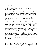committed it. Clearly face-saving was more important than honesty. So I brought myself to say, "I'm sorry that your kindness to me has made trouble for you." Coals of fire. I enjoyed a flitting sense of moral superiority, but not for long; he was too incalculable.

He sat back so that the firelight lay ruddy on his knees and his fine, strong, small hands and on the silver tankard he held, but left his face in shadow: a dark face always shadowed by the thick lowgrowing hair, and heavy brows and lashes, and by a somber blandness of expression. Can one read a cat's face, a seal's, an otter's? Some Gethenians, I thought, are like such animals, with deep bright eyes that do not change expression when you speak.

"I've made trouble for myself," he answered, "by an act that had nothing to do with you, Mr. Ai. You know that Karhide and Orgoreyn have a dispute concerning a stretch of our border in the high North Fall near Sassinoth. Argaven's grandfather claimed the Sinoth Valley for Karhide, and the Commensals have never recognized the claim. A lot of snow out of one cloud, and it grows thicker. I've been helping some Karhidish farmers who live in the Valley to move back east across the old border, thinking the argument might settle itself if the Valley were simply left to the Orgota, who have lived there for several thousand years. I was in the Administration of the North Fall some years ago, and got to know some of those farmers. I dislike the thought of their being killed in forays, or sent to Voluntary Farms in Orgoreyn. Why not obviate the subject of dispute?…But that's not a patriotic idea. In fact it's a cowardly one, and impugns the shifgrethor of the king himself."

His ironies, and these ins and outs of a border-dispute with Orgoreyn, were of no interest to me. I returned to the matter that lay between us. Trust him or not, I might still get some use out of him. "I'm sorry," I said, "but it seems a pity that this question of a few farmers may be allowed to spoil the chances of my mission with the king. There's more at stake than a few miles of national boundary."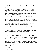"Yes. Much more. But perhaps the Ekumen, which is a hundred lightyears from border to border, will be patient with us a while."

"The Stabiles of the Ekumen are very patient men, sir. They'll wait a hundred years or five hundred for Karhide and the rest of Gethen to deliberate and consider whether or not to join the rest of mankind. I speak merely out of personal hope. And personal disappointment. I own that I thought that with your support&mdash"

"I too. Well, the Glaciers didn't freeze overnight…" Cliché came ready to his lips, but his mind was elsewhere. He brooded. I imagined him moving me around with the other pawns in his power-game. "You came to my country," he said at last, "at a strange time. Things are changing; we are taking a new turning. No, not so much that, as following too far on the way we've been going. I thought that your presence, your mission, might prevent our going wrong, give us a new option entirely.

"But at the right moment–in the right place. It is all exceedingly chancy, Mr. Ai."

Impatient with his generalities, I said, "You imply that this isn't the right moment. Would you advise me to cancel my audience?"

My gaffe was even worse in Karhidish, but Estraven did not smile, or wince. "I'm afraid only the king has that privilege," he said mildly.

"Oh God, yes. I didn't mean that." I put my head in my hands a moment. Brought up in the wide-open, free-wheeling society of Earth, I would never master the protocol, or the impassivity, so valued by Karhiders. I knew what a king was, Earth's own history is full of them, but I had no experiential feel for privilege—no tact. I picked up my tankard and drank a hot and violent draft. "Well, I'll say less to the king than I intended to say, when I could count on you."

"Good."

"Why good?" I demanded.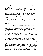"Well, Mr. Ai, you're not insane. I'm not insane. But then neither of us is a king, you see… I suppose that you intended to tell Argaven, rationally, that your mission here is to attempt to bring about an alliance between Gethen and the Ekumen. And, rationally, he knows that already; because, as you know, I told him. I urged your case with him, tried to interest him in you. It was ill done, ill timed. I forgot, being too interested myself, that he's a king, and does not see things rationally, but as a king. All I've told him means to him simply that his power is threatened, his kingdom is a dustmote in space, his kingship is a joke to men who rule a hundred worlds."

"But the Ekumen doesn't rule, it co-ordinates. Its power is precisely the power of its member states and worlds. In alliance with the Ekumen, Karhide will become infinitely less threatened and more important than it's ever been."

Estraven did not answer for a while. He sat gazing at the fire, whose flames winked, reflected, from his tankard and from the broad bright silver chain of office over his shoulders. The old house was silent around us. There had been a servant to attend our meal, but Karhiders, having no institutions of slavery or personal bondage, hire services not people, and the servants had all gone off to their own homes by now. Such a man as Estraven must have guards about him somewhere, for assassination is a lively institution in Karhide, but I had seen no guard, heard none. We were alone.

I was alone, with a stranger, inside the walls of a dark palace, in a strange snow-changed city, in the heart of the Ice Age of an alien world.

Everything I had said, tonight and ever since I came to Winter, suddenly appeared to me as both stupid and incredible. How could I expect this man or any other to believe my tales about other worlds, other races, a vague benevolent government somewhere off in outer space? It was all nonsense. I had appeared in Karhide in a queer kind of ship, and I differed physically from Gethenians in some respects; that wanted explaining. But my own explanations were preposterous. I did not, in that moment, believe them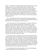myself… "*I* believe you," said the stranger, the alien alone with me, and so strong had my access of self-alienation been that I looked up at him bewildered. "I'm afraid that Argaven also believes you. But he does not trust you. In part because he no longer trusts me. I have made mistakes, been careless. I cannot ask for your trust any longer, either, having put you in jeopardy. I forgot what a king is, forgot that the king in his own eyes *is* Karhide, forgot what patriotism is and that he is, of necessity, the perfect patriot. Let me ask you this, Mr. Ai: do you know, by your own experience, what patriotism is?"

"No," I said, shaken by the force of that intense personality suddenly turning itself wholly upon me. "I don't think I do. If by patriotism you don't mean the love of one's homeland, for that I do know."

"No, I don't mean love, when I say patriotism. I mean fear. The fear of the other. And its expressions are political, not poetical: hate, rivalry, aggression. It grows in us, that fear. It grows in us year by year. We've followed our road too far. And you, who come from a world that outgrew nations centuries ago, who hardly know what I'm talking about, who show us the new road—" He broke off. After a while he went on, in control again, cool and polite: "It's because of fear that I refuse to urge your cause with the king, now. But not fear for myself, Mr. Ai. I'm not acting patriotically. There are, after all, other nations on Gethen."

I had no idea what he was driving at, but was sure that he did not mean what he seemed to mean. Of all the dark, obstructive, enigmatic souls I had met in this bleak city, his was the darkest. I would not play his labyrinthine game. I made no reply. After a while he went on, rather cautiously, "If I've understood you, your Ekumen is devoted essentially to the general interest of mankind. Now, for instance, the Orgota have experience in subordinating local interests to a general interest, while Karhide has almost none. And the Commensals of Orgoreyn are mostly sane men, if unintelligent, while the king of Karhide is not only insane but rather stupid."

It was clear that Estraven had no loyalties at all. I said in faint disgust, "It must be difficult to serve him, if that's the case."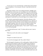"I'm not sure I've ever served the king," said the king's prime minister. "Or ever intended to. I'm not anyone's servant. A man must cast his own shadow…"

The gongs in Remny Tower were striking Sixth Hour, midnight, and I took them as my excuse to go. As I was putting on my coat in the hallway he said, "I've lost my chance forthe present, for I suppose you'll be leaving Ehrenrang—" why did he suppose so?— "but I trust a day will come when I can ask you questions again. There's so much I want to know. About your mind-speech, in particular; you'd scarcely begun to try to explain it to me."

His curiosity seemed perfectly genuine. He had the effrontery of the powerful. His promises to help me had seemed genuine, too. I said yes, of course, whenever he liked, and that was the evening's end. He showed me out through the garden, where snow lay thin in the light of Gethen's big, dull, rufous moon. I shivered as we went out, for it was well below freezing, and he said with polite surprise, "You're cold?" To him of course it was a mild spring night.

I was tired and downcast. I said, "I've been cold ever since I came to this world."

"What do you call it, this world, in your language?"

"Gethen."

"You gave it no name of your own?"

"Yes, the First Investigators did. They called it Winter."

We had stopped in the gateway of the walled garden. Outside, the Palace grounds and roofs loomed in a dark snowy jumble lit here and there at various heights by the faint gold slits of windows. Standing under the narrow arch I glanced up, wondering if that keystone too was mortared with bone and blood. Estraven took leave of me and turned away; he was never fulsome in his greetings and farewells. I went off through the silent courts and alleys of the Palace, my boots crunching on the thin moonlit snow, and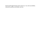homeward through the deep streets of the city. I was cold, unconfident, obsessed by perfidy, and solitude, and fear.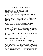### <span id="page-27-0"></span>2. The Place Inside the Blizzard

*From a sound-tape collection of North Karhidish "hearth-tales" in the archives of the College of Historians in Erhenrang, narrator unknown, recorded during the reign of Argaven VIII.*

ABOUT TWO HUNDRED years ago in the Hearth of Shath in the Pering Storm-border there were two brothers who vowed kemmering to each other. In those days, as now, full brothers were permitted to keep kemmer until one of them should bear a child, but after that they must separate; so it was never permitted them to vow kemmering for life. Yet this they had done. When a child was conceived the Lord of Shath commanded them to break their vow and never meet in kemmer again. On hearing this command one of the two, the one who bore the child, despaired and would hear no comfort or counsel, and procuring poison, committed suicide.

Then the people of the Hearth rose up against the other brother and drove him out of Hearth and Domain, laying the shame of the suicide upon him. And since his own lord had exiled him and his story went before him, none would take him in, but after the three days' guesting all sent him from their doors as an outlaw. So from place to place he went until he saw that there was no kindness left for him in his own land, and his crime would not be forgiven.\*

(\*His transgression of the code controlling incest became a crime when seen as the cause of his brother's suicide. (G.A.))

He had not believed this would be so, being a young man and unhardened. When he saw that it was so indeed, he returned over the land to Shath and as an exile stood in the doorway of the Outer Hearth. This he said to his hearth-fellows there: "I am without a face among men. I am not seen. I speak and am not heard. I come and am not welcomed. There is no place by the fire for me, nor food on the table for me, nor a bed made for me to lie in. Yet I still have my name: Getheren is my name. That name I lay on this Hearth as a curse, and with it my shame. Keep that for me. Now nameless I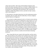will go seek my death." Then some of the hearthmen jumped up with, shouts and tumult, intending to kill him, for murder is a lighter shadow on a house than suicide. He escaped them and ran northward over the land towards the Ice, outrunning all who pursued him. They came back all chapfallen to Shath. But Getheren went on, and after two days' journey came to the Pering Ice.\*\*

(\*\*The Pering Ice is the glacial sheet that covers the northernmost portion of Karhide, and is (in winter when the Guthen Bay is frozen) contiguous with the Gobrin Ice of Orgoreyn.)

For two days he walked northward on the Ice. He had no food with him, nor shelter but his coat. On the Ice nothing grows and no beasts run. It was the month of Susmy and the first great snows were falling those days and nights. He went alone through the storm. On the second day he knew he was growing weaker. On the second night he must lie down and sleep a while. On the third morning waking he saw that his hands were frostbitten, and found that his feet were too, though he could not unfasten his boots to look at them, having no use left of his hands. He began to crawl forward on knees and elbows. He had no reason to do so, as it did not matter whether he died in one place on the Ice or another, but he felt that he should go northward.

After a long while the snow ceased to fall around him, and the wind to blow. The sun shone out. He could not see far ahead as he crawled, for the fur of his hood came forward over his eyes. No longer feeling any cold in his legs and arms nor on his face, he thought that the frost had benumbed him. Yet he could still move. The snow that lay over the glacier looked strange to him, as if it were a white grass growing up out of the ice. It bent to his touch and straightened again, like grass-blades. He ceased to crawl and sat up, pushing back his hood so he could see around him. As far as he could see lay fields of the snowgrass, white and shining. There were groves of white trees, with white leaves growing on them. The sun shone, and it was windless, and everything was white.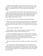Getheren took off his gloves and looked at his hands. They were white as the snow. Yet the frostbite was gone out of them, and he could use his fingers, and stand upon his feet. He felt no pain, and no cold, and no hunger.

He saw away over the ice to the north a white tower like the tower of a Domain, and from this place far away one came walking towards him. After a while Getheren could see that the person was naked, his skin was all white, and his hair was all white. He came nearer, and near enough to speak. Getheren said, "Who are you?"

The white man said, "I am your brother and kemmering, Hode."

Hode was the name of his brother who had killed himself. And Getheren saw that the white man was his brother in body and feature. But there was no longer any life in his belly, and his voice sounded thin like the creaking of ice.

Getheren asked, "What place is this?"

Hode answered, "This is the place inside the blizzard. We who kill ourselves dwell here. Here you and I shall keep our vow."

Getheren was frightened, and he said, "I will not stay here. If you had come away with me from our Hearth into the southern lands we might have stayed together and kept our vow lifelong, no man knowing our transgression. But you broke your vow, throwing it away with your life. And now you cannot say my name."

This was true. Hode moved his white lips, but could not say his brother's name.

He came quickly to Getheren reaching out his arms to hold him, and seized him by the left hand. Getheren broke free and ran from him. He ran to the southward, and running saw rise up before him a white wall of falling snow, and when he entered into it he fell again on his knees, and could not run, but crawled.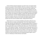On the ninth day after he had gone up on the Ice he was found in their Domain by people of Orhoch Hearth, which lies northeast of Shath. They did not know who he was nor where he came from, for they found him crawling in the snow, starving, snowblind, his face blackened by sun and frost, and at first he could not speak. Yet he took no lasting harm except in his left hand, which was frozen and must be amputated. Some of the people there said this was Getheren of Shath, of whom they had heard talk; others said it could not be, for that Getheren had gone up on the Ice in the first blizzard of autumn, and was certainly dead. He himself denied that his name was Getheren. When he was well he left Orhoch and the Stormborder and went into the southern lands, calling himself Ennoch.

When Ennoch was an old man dwelling in the plains of Rer he met a man from his own country, and asked him, "How fares Shath Domain?" The other told him that Shath fared ill. Nothing prospered there in hearth or tilth, all being blighted with illness, the spring seed frozen in the ground or the ripe grain rotten, and so it had been for many years. Then Ennoch told him, "I am Getheren of Shath," and told him how he had gone up on the Ice and what he had met with there. At the end of his tale he said, "Tell them at Shath that I take back my name and my shadow." Not many days after this Getheren took sick and died. The traveler carried his words back to Shath, and they say that from that time on the domain prospered again, and all went as it should go in field and house and hearth.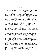### <span id="page-31-0"></span>3. The Mad King

I SLEPT LATE and spent the tail of the morning reading over my own notes on Palace etiquette and the observations on Gethenian psychology and manners made by my predecessors, the Investigators. I didn't take in what I read, which didn't matter since I knew it by heart and was reading merely to shut up the interior voice that kept telling me *It has all gone wrong.* When it would not be shut up I argued with it, asserting that I could get on without Estraven—perhaps better than with him. After all, my job here was a oneman job. There is only one First Mobile. The first news from the Ekumen on any world is spoken by one voice, one man present in the flesh, present and alone. He may be killed, as Pellelge was on Four-Taurus, or locked up with madmen, as were the first three Mobiles on Gao, one after the other; yet the practice is kept, because it works. One voice speaking truth is a greater force than fleets and armies, given time; plenty of time; but time is the thing that the Ekumen has plenty of… *You don't* said the interior voice, but I reasoned it into silence, and arrived at the Palace for my audience with the king at Second Hour full of calm and resolution. It was all knocked right out of me in the anteroom, before I ever saw the king.

Palace guards and attendants had showed me to the anteroom, through the long halls and corridors of the King's House. An aide asked me to wait and left me alone in the high windowless room. There I stood, all decked out for a visit with royalty.  $\bigcirc$  I had sold my fourth ruby  $\bigcirc$  (the Investigators having reported that Gethenians value the carbon jewels much as Terrans do, I came to Winter with a pocketful of gems to pay my way), and spent a third of the proceeds on clothes for the parade yesterday and the audience today: everything new, very heavy and well-made as clothing is in Karhide, a white knitfur shirt, gray breeches, the long tabard-like overtunic, *hieb,* of bluegreen leather, new cap, new gloves tucked at the proper angle under the loose belt of the hieb, new boots… The assurance of being well dressed augmented my feeling of calm and resolution. I looked calmly and resolutely about me. Like all the King's House this room was high, red, old, bare, with a musty chill on the air as if the drafts blew in not from other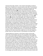rooms but from other centuries. A fire roared in the fireplace, but did no good. Fires in Karhide are to warm the spirit not the flesh. The mechanicalindustrial Age of Invention in Karhide is at least three thousand years old, and during those thirty centuries they have developed excellent and economical central-heating  $\blacklozenge$  devices using steam, electricity, and other principles; but they do not install them in their houses. Perhaps if they did they would lose their physiological weatherproofing, like Arctic birds kept in warm tents, who being released get frostbitten feet. I, however, a tropical bird, was cold; cold one way outdoors and cold another way indoors,  $\bullet$ ceaselessly $\bullet$  and more or less thoroughly cold. I walked up and down to warm myself. There was little besides myself and the fire in the long anteroom: a stool and a table on which stood a bowl of fingerstones and an ancient radio of carved wood inlaid with silver and bone, a noble piece of workmanship. It was playing at a whisper, and I turned it a touch louder, hearing the Palace Bulletin replace the droning Chant or Lay that was being broadcast. Karhiders do not read much as a rule, and prefer their news and literature heard not seen; books and televising devices are less common than radios, and newspapers don't exist. I had missed the morning Bulletin on my set at home, and half-listened now, my mind elsewhere, until the repetition of the name several times caught my ear at last and stopped my pacing. What was it about Estraven? A proclamation was being reread.

"Therem Harth rem ir Estraven, Lord of Estre in Kerm, by this order forfeits title of the Kingdom and seat in the Assemblies of the Kingdom, and is commanded to quit the Kingdom and all Domains of Karhide. If he be not gone out of the Kingdom and all Domains in three days' time, or if in his life he return into the Kingdom, he shall be put to death by any man without further judgment. No countryman of Karhide shall suffer Harth rem ir Estraven to speak to him or stay within his house or on his lands, on pain of imprisonment, nor shall any countryman of Karhide give or lend Harth rem ir Estraven money or goods, nor repay any debt owing him, on pain of imprisonment and fine. Let all countrymen of Karhide know and say that the crime for which Harth rem ir Estraven is exiled is the crime of Treason: he having urged privily and openly in Assembly and Palace, under pretense of loyal service to the King, that the Nation-Dominion of Karhide cast away its sovereignty and surrender up its power in order to become an inferor and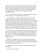subject nation in a certain Union of Peoples, concerning which let all men know and say that no such Union does exist, being a device and baseless fiction of certain conspiring traitors who seek to weaken the Authority of Karhide in the King, to the profit of the real and present enemies of the land. Odguyrny Tuwa, Eighth Hour, in the Palace in Erhenrang: ARGAVEN HARGE."

The order was printed and posted on several gates and road-posts about the city, and the above is verbatim from one such copy.

My first impulse was simple. I cut off the radio as if to stop it from giving evidence against me, and scuttled to the door. There of course I stopped. I went back to the table by the fireplace, and stood. I was no longer calm or resolute. I wanted to open my case, get out the ansible, and send an Advise/Urgent! through to Hain. I suppressed this impulse also, as it was even sillier than the first. Fortunately I had no time for more impulses. The double door at the far end of the anteroom was opened and the aide stood aside for me to pass, announcing me, "Genry Ai"—my name is Genly, but Karhiders can't say *L—*and left me in the Red Hall with King Argaven XV.

An immense, high, long room, that Red Hall of the King's House. Half a mile down to the fireplaces. Half a mile up to the raftered ceiling hung with red, dusty drapes or banners all ragged with the years. The windows are only slits or slots in the thick walls, the lights few, high, and dim. My new boots go *eck, eck, eck, eck* as I walk down the hall towards the king, a six months' journey.

Argaven was standing in front of the central and largest fireplace of three, on a low, large dais or platform: a short figure in the reddish gloom, rather potbellied, very erect, dark and featureless in silhouette except for the glint of the big seal-ring on his thumb.

I stopped at the edge of the dais and, as I had been instructed, did and said nothing.

"Come up, Mr. Ai. Sit down."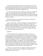I obeyed, taking the right-hand chair by the central hearth. In all this I had been drilled. Argaven did not sit down; he stood ten feet from me with the roaring bright flames behind him, and presently said, "Tell me what you have to tell me, Mr. Ai. You bear a message, they say."

The face that turned towards me, reddened and cratered by firelight and shadow, was as flat and cruel as the moon, Winter's dull rufous moon. Argaven was less kingly, less manly, than he looked at a distance among his courtiers. His voice was thin, and he held his fierce lunatic head at an angle of bizarre arrogance.

"My lord, what I have to say is gone out of my head. I only just now learned of Lord Estraven's disgrace."

Argaven smiled at that, a stretched, staring grin. He laughed shrilly like an angry woman pretending to be amused. "Damn him," he said, "the proud, posturing, perjuring traitor! You dined with him last night, eh? And he told you what a powerful fellow he is, and how he runs the king, and how easy you'll find me to deal with since he's been talking to me about you—eh? Is that what he told you, Mr. Ai?"

#### I hesitated.

"I'll tell you what he's been saying to me about you, if you've an interest in knowing. He's been advising me to refuse you audience, keep you hanging about waiting, maybe pack you off to Orgoreyn or the Islands. All this halfmonth he's been telling me, damn his insolence! It's he that got packed off to Orgoreyn, ha ha ha—!" Again the shrill false laugh, and he clapped his hands together as he laughed. A silent immediate guard appeared between curtains at the end of the dais. Argaven snarled at him and he vanished. Still laughing and still snarling Argaven came up close and stared straight at me. The dark irises of his eyes glowed slightly orange. I was a good deal more afraid of him than I had expected to be.

I could see no course to follow among these incoherencies but that of candor. I said, "I can only ask you, sir, whether I'm considered to be implicated in Estraven's crime."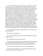"You? No." Hestared even more closely at me. "I don't know what the devil you are, Mr. Ai, a sexual freak or an artificial monster or a visitor from the Domains of the Void, but you're not a traitor, you've merely been the tool of one. I don't punish tools. They do harm only in the hands of a bad workman. Let me give you some advice." Argaven said this with curious emphasis and satisfaction, and even then it occurred to me that nobody else, in two years, had ever given me advice. They answered questions, but they never openly gave advice, not even Estraven at his most helpful. It must have to do with shifgrethor. "Let no one else use you, Mr. Ai," the king was saying. "Keep clear of factions. Tell your own lies, do your own deeds. And trust no one. D'you know that? Trust no one. Damn that lying coldblooded traitor, I trusted him. I put the silver chain around his damned neck. I wish I'd hanged him with it. I never trusted him. Never. Don't trust anybody. Let him starve in the cesspits of Mishnory hunting garbage, let his bowels rot, never7mdash;" King Argaven shook, choked, caught his breath with a retching sound, and turned his back on me. He kicked at the logs of the great fire till sparks whirled up thick in his face and fell on his hair and his black tunic, and he caught at them with open hands.

Not turning around he spoke in a shrill painful voice: "Say what you've got to say, Mr. Ai."

"May I ask you a question, sir?"

"Yes." He swayed from foot to foot as he stood facing the fire. I had to address his back.

"Do you believe that I am what I say I am?"

"Estraven had the physicians send me endless tapes about you, and more from the engineers at the Workshops who have your vehicle, and so on. They can't all be liars, and they all say you're not human. What then?"

"Then, sir, there are others like me. That is, I'm a representative…"

"Of this union, this Authority, yes, very well. What did they send you here for, is that what you want me to ask?"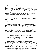Though Argaven might be neither sane nor shrewd, he had had long practice in the evasions and challenges and rhetorical subtleties used in conversation by those whose main aim in life was the achievement and maintenance of the shifgrethor relationship on a high level. Whole areas of that relationship were still blank to me, but I knew something about the competitive, prestige-seeking aspect of it, and about the perpetual conversational duel which can result from it. That I was not dueling with Argaven, but trying to communicate with him, was itself an incommunicable fact.

"I've made no secret of it, sir. The Ekumen wants an alliance, with the nations of Gethen."

"What for?"

"Material profit. Increase of knowledge. The augmentation of the complexity and intensity of the field of intelligent life. The enrichment of harmony and the greater glory of God. Curiosity. Adventure. Delight."

I was not speaking the tongue spoken by those who rule men, the kings, conquerors, dictators, generals; in that language there was no answer to his question. Sullen and unheeding, Argaven stared at the fire, shifting from foot to foot.

"How big is this kingdom out in Nowhere, this Ekumen?"

"There are eighty-three habitable planets in the Ekumenical Scope, and on them about three thousand nations or anthrotypic groups-"

"Three thousand? I see. Now tell me why we, one against three thousand, should have anything to do with all these nations of monsters living out in the Void?" He turned around now to look at me, for he was still dueling, posing a rhetorical question, almost a joke. But the joke did not go deep. He was—as Estraven had warned me—uneasy, alarmed.

"Three thousand nations on eighty-three worlds, sir; but the nearest to Gethen is seventeen years' journey in ships that go at near lightspeed. If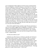you've thought that Gethen might be involved in forays and harassments from such neighbors, consider the distance at which they live. Forays are worth no one's trouble, across space." I did not speak of war, for a good reason; there's no word for it in Karhidish. "Trade, however, is worthwhile. In ideas and techniques, communicated by ansible; in goods and artifacts, sent by manned or unmanned ships. Ambassadors, scholars, and merchants, some of them might come here; some of yours might go offworld. The Ekumen is not a kingdom, but a co-ordinator, a clearinghouse for trade and knowledge; without it communication between the worlds of men would be haphazard, and trade very risky, as you can see. Men's lives are too short to cope with the time-jumps between worlds, if there's no network and centrality, no control, no continuity to work through; therefore they become members of the Ekumen… We are all men, you know, sir. All of us. All the worlds of men were settled, eons ago, from one world, Hain. We vary, but we're all sons of the same Hearth…"

None of this caught the king's curiosity or gave him any reassurance. I went on a bit, trying to suggest that his shifgrethor, or Karhide's, would be enhanced, not threatened by the presence of the Ekumen, but it was no good. Argaven stood there sullen as an old she-otter in a cage, swinging back and forth, from foot to foot, back and forth, baring his teeth in a grin of pain. I stopped talking.

"Are they all as black as you?"

Gethenians are yellow-brown or red-brown, generally, but I had seen a good many as dark as myself. "Some are blacker," I said; "we come all colors," and I opened the case (politely examined by the guards of the Palace at four stages of my approach to the Red Hall) that held my ansible and some pictures. The pictures—films, photos, paintings, actives, and some cubes—were a little gallery of Man: people of Hain, Chiffewar, and the Cetians, of S and Terra and Alterra, of the Utter-mosts, Kapteyn, Ollul, Four-Taurus, Rokanan, Ensbo, Cime, Gde and Sheashel Haven… The king glanced at a couple without interest. "What's this?"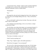"A person from Cime, a female." I had to use the word that Gethenians would apply only to a person in the culminant phase of kemmer, the alternative being their word for a female animal.

"Permanently?"

"Yes."

He dropped the cube and stood swinging from foot to foot, staring at me or a little past me, the firelight shifting on his face. "They're all like that like you?"

This was the hurdle I could not lower for them. They must, in the end, learn to take it in their stride.

"Yes. Gethenian sexual physiology, so far as we yet know, is unique among human beings."

"So all of them, out on these other planets, are in permanent kemmer? A society of perverts? So Lord Tibe put it; I thought he was joking. Well, it may be the fact, but it's a *disgusting idea*, Mr. Ai, and I don't see why human beings here on earth should want or tolerate any dealings with creatures so monstrously different. But then, perhaps you're here to tell me I have no choice in the matter."

"The choice, for Karhide, is yours, sir."

"And if I send you packing, too?"

"Why, I'll go. I might try again, with another generation…"

That hit him. He snapped, "Are you immortal?"

"No, not at all, sir. But the time-jumps have their uses. If I left Gethen now for the nearest world, Ollul, I'd spend seventeen years of planetary time getting there. Timejumping is a function of traveling nearly as fast as light. If I simply turned around and came back, my few hours spent on the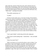ship would, here, amount to thirty-four years; and I could start all over." But the idea of timejumping, which with its false hint of immortality had fascinated everyone who listened to me, from the Horden Island fisherman on up to the Prime Minister, left him cold. He said in his shrill harsh voice, "What's that?"—pointing to the ansible.

"The ansible communicator, sir."

"A radio?"

"It doesn't involve radio waves, or any form of energy. The principle it works on, the constant of simultaneity, is analogous in some ways to gravity —" I had forgotten again that I wasn't talking to Estraven, who had read every report on me and who listened intently and intelligently to all my explanations, but instead to a bored king. "What it does, sir, is produce a message at any two points simultaneously. Anywhere. One point has to be fixed, on a planet of a certain mass, but the other end is portable. That's this end. I've set the coordinates for the Prime World, Hain. A NAFAL ship takes 67 years to go between Gethen and Hain, but if I write a message on that keyboard it will be received on Hain at the same moment as I write it. Is there any communication you'd care to make with the Stabiles on Hain, sir?"

"I don't speak Voidish," said the king with his dull, malign grin.

"They'll have an aide standing ready—I alerted them —who can handle Karhidish."

"What d'you mean? How?"

"Well, as you know, sir, I'm not the first alien to come to Gethen. I was preceded by a team of Investigators, who didn't announce their presence, but passed as well as they could for Gethenians, and traveled about in Karhide and Orgoreyn and the Archipelago for a year. They left, and reported to the Councils of the Ekumen, over forty years ago, during your grandfather's reign. Their report was extremely favorable. And so I studied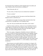the information they'd gathered, and the languages they'd recorded, and came. Would you like to see the device working, sir?"

"I don't like tricks, Mr. Ai."

"It's not a trick, sir. Some of your own scientists have examined—"

"I'm not a scientist."

"You're a sovereign, my lord. Your peers on the Prime World of the Ekumen wait for a word from you."

He looked at me savagely. In trying to flatter and interest him I had cornered him in a prestige-trap. It was all going wrong.

"Very well. Ask your machine there what makes a man a traitor."

I typed out slowly on the keys, which were set to Karhidish characters, "King Argaven of Karhide asks the Stabiles on Hain what makes a man a traitor." The letters burned across the small screen and faded. Argaven watched, his restless shifting stilled for a minute.

There was a pause, a long pause. Somebody seventy-two light-years away was no doubt feverishly punching demands on the language computer for Karhidish, if not on a philosophy-storage computer. At last the bright letters burned up out of the screen, hung a while, and faded slowly away: "To King Argaven of Karhide on Gethen, greetings. I do not know what makes a man a traitor. No man considers himself a traitor: this makes it hard to find out. Respectfully, Spimolle G. F., for the Stabiles, in Saire on Hain, 93/1491/45."

When the tape was recorded I pulled it out and gave it to Argaven. He dropped it on the table, walked again to the central fireplace, almost into it, and kicked the flaming logs and beat down the sparks with his hands. "As useful an answer as I might get from any Foreteller. Answers aren't enough, Mr. Ai. Nor is your box, your machine there. Nor your vehicle, your ship. A bag of tricks and a trickster. You want me to believe you, your tales and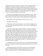messages. But why need I believe, or listen? If there are eighty thousand worlds full of monsters out there among the stars, what of it? We want nothing from them. We've chosen our way of life and have followed it for a long time. Karhide's on the brink of a new epoch, a great new age. We'll go our own way." He hesitated as if he had lost the thread of his argument not his own argument, perhaps, in the first place.

If Estraven was no longer the King's Ear, somebody else was. "And if there were anything these Ekumens wanted from us, they wouldn't have sent you alone. It's a joke, a hoax. Aliens would be here by the thousand."

"But it doesn't take a thousand men to open a door, my lord."

"It might to keep it open."

"The Ekumen will wait till you open it, sir. It will force nothing on you. I was sent alone, and remain here alone, in order to make it impossible for you to fear me."

"Fear you?" said the king, turning his shadow-scarred face, grinning, speaking loud and high. "But I do fear you, Envoy. I fear those who sent you. I fear liars, and I fear tricksters, and worst I fear the bitter truth. And so I rule my country well. Because only fear rules men. Nothing else works. Nothing else lasts long enough. You are what you say you are, yet you're a joke, a hoax. There's nothing in between the stars but void and terror and darkness, and you come out of that all alone trying to frighten me. But I am already afraid, and I am the king. Fear is king! Now take your traps and tricks and go, there's no more needs saying. I have ordered that you be given the freedom of Karhide."

So I departed from the royal presence-*eck, eck, eck* all down the long red floor in the red gloom of the hall, until at last the double doors shut me off from him.

I had failed. Failed all around. What worried me as I left the King's House and walked through the Palace grounds, however, was not my failure, but Estraven's part in it. Why had the king exiled him for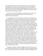advocating the Ekumen's cause (which seemed to be the meaning of the proclamation) if (according to the king himself) he had been doing the opposite? When had he started advising the king to steer clear of me, and why? Why was he exiled, and I let go free? Which of them had lied more, and what the devil were they lying for?

Estraven to save his skin, I decided, and the king to save his face. The explanation was neat. But had Estraven, in fact, ever lied to me? I discovered that I did not know.

I was passing the Corner Red Dwelling. The gates of the garden stood open. I glanced in at the serem trees leaning white above the dark pool, the paths of pink brick lying deserted in the serene gray light of afternoon. A little snow still lay in the shadow of the rocks by the pool. I thought of Estraven waiting for me there as the snow fell last night, and felt a pang of pure pity for the man whom I had seen in yesterday's parade sweating and superb under the weight of his panoply and power, a man at the prime of his career, potent and magnificent—gone now, down, done. Running for the border with his death three days behind him, and no man speaking to him. The death-sentence is rare in Karhide. Life on Winter is hard to live, and people there generally leave death to nature or to anger, not to law. I wondered how Estraven, with that sentence driving him, would go. Not in a car, for they were all Palace property here; would a ship or landboat give him passage? Or was he afoot on the road, carrying what he could carry with him? Karhiders go afoot, mostly; they have no beasts of burden, no flying vehicles, the weather makes slow going for powered traffic most of the year, and they are not a people who hurry. I imagined the proud man going into exile step by step, a small trudging figure on the long road west to the Gulf. All this went through my mind and out of it as I passed the gate of the Corner Red Dwelling, and with it went my confused speculations concerning the acts and motives of Estraven and the king. I was done with them. I had failed. What next?

I should go to Orgoreyn, Karhide's neighbor and rival. But once I went there I might find it hard to return to Karhide, and I had unfinished business here. I had to keep in mind that my entire life could be, and might well be,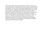used in achieving my mission for the Ekumen. No hurry. No need to rush off to Orgoreyn before I had learned more about Karhide, particularly about the Fastnesses. For two years I had been answering questions, now I would ask some. But not in Erhenrang. I had finally understood that Estraven had been warning me, and though I might distrust his warning I could not disregard it. He had been saying, however indirectly, that I should get away from the city and the court. For some reason I thought of Lord Tibe's teeth… The king had given me the freedom of the country; I would avail myself of it. As they say in Ekumenical School, when action grows unprofitable, gather information; when information grows unprofitable, sleep. I was not sleepy, yet. I would go east to the Fastnesses, and gather information from the Foretellers, perhaps.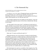## 4. The Nineteenth Day

*An East Karhidish story, as told in Gorinhering Hearth by Tobord Chorhawa, and recorded by G. A., 93/1492.*

LORD BEROSTY REM IR IPE came to Thangering Fastness and offered forty beryls and half the year's yield from his orchards as the price of a Foretelling, and the price was acceptable. He set his question to the Weaver Odren, and the question was, *On what day shall I die?*

The Foretellers gathered and went together into the darkness. At the end of darkness Odren spoke the answer: *You will die on Odstreth* (the 19th day of any month).

"In what month? in how many years?" cried Berosty, but the bond was broken, and there was no answer. He ran into the circle and took the Weaver Odren by the throat choking him and shouted that if he got no further answer he would break the Weaver's neck. Others pulled him off and held him, though he was a strong man. He strained against their hands and cried out, "Give me the answer!"

Odren said, "It is given, and the price paid. Go."

Raging then Berosty rem ir Ipe returned to Charuthe, the third Domain of his family, a poor place in northern Osnoriner, which he had made poorer in getting together the price of a Foretelling. He shut himself up in the strong-place, in the highest rooms of the Hearth-Tower, and would not come out for friend or foe, for seedtime or harvest, for kerrimer or foray, all that month and the next and the next, and six months went by and ten months went by, and he still kept like a prisoner to his room, waiting. On Onnetherhad and Odstreth (the 18th and 19th days of the month) he would not eat any food, nor would he drink, nor would he sleep.

His kemmering by love and vow was Herbor of the Geganner clan. This Herbor came in the month of Grende to Thangering Fastness and said to the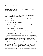Weaver, "I seek a Foretelling."

"What have you to pay?" Odren asked, for he saw that the man was poorly dressed and badly shod, and his sledge was old, and everything about him wanted mending.

"I will give my life," said Herbor.

"Have you nothing else, my lord?" Odren asked him, speaking now as to a great nobleman, "nothing else to give?"

"I have nothing else," said Herbor. "But I do not know if my life is of any value to you here."

"No," said Odren, "it is of no value to us."

Then Herbor fell on his knees, struck down by shame and love, and cried to Odren, "I beg you to answer my question. It is not for myself!"

"For whom, then?"" asked the Weaver.

"For my lord and kemmering Ashe Berosty," said the man, and he wept. "He has no love nor joy nor lordship since he came here and got that answer which was no answer. He will die of it."

"That he will: what does a man die of but his death?" said the Weaver Odren. But Berber's passion moved him, and at length he said, "I will seek the answer of the question you ask, Herbor, and I will ask no price. But bethink you, there is always a price. The asker pays what he has to pay." ,

Then Herbor set Odren's hands against his own eyes in sign of gratitude, and so the Foretelling went forward. The Foretellers gathered and went into the darkness. Herbor went among them and asked his question, and the question was, *How long will Ashe Berosty rem ir Ipe live?* For Herbor thought thus to get the count of days or years, and so set his love's heart at rest with certain knowledge. Then the Foretellers moved in the darkness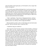and at last Odren cried in great pain, as if he burned in a fire, *Longer than Herbor of Geganner!*

It was not the answer Herbor had hoped, but it was the answer he got, and having a patient heart he went home to Charuthe with it, through the snows of Grende. He came into the Domain and into the strong-place and climbed the tower, and there found his kemmering Berosty sitting as ever blank and bleak by an ash-smothered fire, his arms lying on a table of red stone, his head sunk between his shoulders.

"Ashe," said Herbor, "I have been to Thangering Fastness, and have been answered by the Foretellers. I asked them how long you would live and their answer was, Berosty will live longer than Herbor."

Berosty looked up at him as slow as if the hinge in his neck had rusted, and said, "Did you ask them when I would die, then?"

"I asked how long you would live."

"How long? You fool! You had a question of the Foretellers, and did not ask them when I am to die, what day, month, year, how many days are left to me—you asked *how long?* O you fool, you staring fool, longer than you, yes, longer than you!" Berosty took up the great table of red stone as if it had been a sheet of tin and brought it down on Herbor's head. Herbor fell, and the stone lay on him. Berosty stood a while demented. Then he raised up the stone, and saw that it had crushed Herbor's skull. He set the stone back on its pedestal. He lay down beside the dead man and put his arms about him, as if they were in kemmer and all was well. So the people of Charuthe found them when they broke into the tower-room at last. Berosty was mad thereafter and had to be kept under lock, for he would always go looking for Herbor, who he thought was somewhere" about the Domain. He lived a month thus, and then hanged himself, on Odstreth, the nineteenth day of the month of Thern.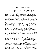## 5. The Domestication of Hunch

MY LANDLADY, a voluble man, arranged my journey into the East. "If a person wants to visit Fastnesses he's got to cross the Kargav. Over the mountains, into Old Karhide, to Her, the old Kings' City. Now I'll tell you, a hearthfellow of mine runs a landboat caravan over the Eskar Pass and yesterday he was telling me over a cup of orsh that they're going to make their first trip this summer on Getheny Osme, it having been such a warm spring and the road already clear up to Engohar and the plows will have the pass clear in another couple of days. Now you won't catch me crossing the Kargav, Erhenrang for me and a roof over my head. But I'm a Yomeshta, praise to the nine hundred Throne-Upholders and blest be the Milk of Meshe, and one can be a Yomeshta anywhere. We're a lot of newcomers, see, for my Lord Meshe was born 2,202 years-ago, but the Old Way of the Handdara goes back ten thousand years before that. You have to go back to the Old Land if you're after the Old Way. Now look here, Mr. Ai, I'll have a room in this island for you whenever you come back, but I believe you're a wise man to be going out of Erhenrang for a while, for everybody knows that the Traitor made a great show of befriending you at the Palace. Now with old Tibe as the King's Ear things will go smooth again. Now if you go down to the New Port you'll find my hearthfellow there, and if you tell him I sent you…"

And so on. He was, as I said, voluble, and having discovered that I had no shifgrethor took every chance to give me advice, though even he disguised it with it's and as-ifs. He was the superintendent of my island; I thought of him as my landlady, for he had fat buttocks that wagged as he walked, and a soft fat face, and a prying, spying, ignoble, kindly nature. He was good to me, and also showed my room while I was out to thrill-seekers for a small fee: See the Mysterious Envoy's room! He was so feminine in looks and manner that I once asked him how many children he had. He looked glum. He had never borne any. He had, however, sired four. It was one of the little jolts I was always getting. Cultural shock was nothing much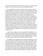compared to the biological shock I suffered as a human male among human beings who were, five-sixths of the time, hermaphroditic neuters.

The radio bulletins were full of the doings of the new Prime Minister, Pemmer Harge rem ir Tibe. Much of the news concerned affairs up north in the Sinoth Valley. Tibe evidently was going to press Karhide's claim to that region: precisely the kind of action which, on any other world at this stage of civilization, would lead to war. But on Gethen nothing led to war. Quarrels, murders, feuds, forays, vendettas, assassinations, tortures and abominations, all these were in their repertory of human accomplishments; but they did not go to war. They lacked, it seemed, the capacity to *mobilize.* They behaved like animals, in that respect; or like women. They did not behave like men, or ants. At any rate they never yet had done so. What I knew of Orgoreyn indicated that it had become, over the last five or six centuries, an increasingly mobilizable society, a real nation-state. The prestige-competition", heretofore mostly economic, might force Karhide to emulate its larger neighbor, to become a nation instead of a family quarrel, as Estraven had said; to become, as Estraven had also said, patriotic. If this occurred the Gethenians might have an excellent chance of achieving the condition of war.

I wanted to go to Orgoreyn and see if my guesses concerning it were sound, but I wanted to finish up with Karhide first; so I sold another ruby to the scar-faced jeweler in Eng Street, and with no baggage but my money, my ansible, a few instruments and a change of clothes, set off as passenger on a trade-caravan on the first day of the first month of summer.

The landboats left at daybreak from the windswept loading-yards of the New Port. They drove under the Arch and turned east, twenty bulky, quietrunning, barge-like trucks on caterpillar treads, going single file down the deep streets of Erhenrang through the shadows of morning. They carried boxes of lenses, reels of soundtapes, spools of copper and platinum wire, bolts of plant-fiber cloth raised and woven in the West Fall, chests of dried fish-flakes from the Gulf, crates of ballbearings and other small machine parts, and ten truck-loads of Orgota kardik-grain: all bound for the Pering Storm-border, the northeast corner of the land. All shipping on the Great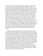Continent is by these electric-powered trucks, which go on barges on the rivers and canals where possible. During the deep-snow months, slow tractor-plows, power-sledges, and the erratic ice-ships on frozen rivers are the only transport beside skis and manhauled sledges; during the Thaw no form of transport is reliable; so most freight traffic goes with a rush, come summer. The roads then are thick with caravans. Traffic is controlled, each vehicle or caravan being required to keep in constant radio touch with checkpoints along the way. It all moves along, however crowded, quite steadily at the rate of 25 miles per hour (Terran). Gethenians could make their vehicles go faster, but they do not. If asked why not, they answer "Why?" Like asking Terrans why all our vehicles must go so fast; we answer "Why not?" No disputing tastes. Terrans tend to feel they've got to get ahead, make progress. The people of Winter, who always live in the Year One, feel that progress is less important than presence. My tastes were Terran, and leaving Ehrenrang I was impatient with the methodical pace of the caravan; I wanted to get out and run. I was glad to get clear of those long stone streets overhung with black, steep roofs. and innumerable towers, that sunless city where all my chances had turned to fear and betrayal.

Climbing the Kargav foothills the caravan halted briefly but often for meals at roadside inns. Along in the afternoon we got our first full view of the range from a foothill summit. We saw Kostor, which is four miles high, from foot to crest; the huge slant of its western slope hid the peaks north of it, some of which go up to thirty thousand feet. South from Kostor one peak after another stood out white against a colorless sky; I counted thirteen, the last an undefined glimmer in the mist of distance in the south. The driver named the thirteen for me, and told me stories of avalanches, and landboats blown off the road by mountain winds, and snowplow crews marooned for weeks in inaccessible heights, and so on, in a friendly effort to terrify me. He described having seen the truck ahead of his skid and go over a thousand-foot precipice; what was remarkable, he said, was the slowness with which it fell. It seemed to take all afternoon floating down into the abyss, and he had been very glad to see it at last vanish, with no sound at all, into a forty-foot snowdrift at the bottom.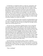At Third Hour we stopped for dinner at a large inn, a grand place with vast roaring fireplaces and vast beam-roofed rooms full of tables loaded with good food; but we did not stay the night. Ours was a sleeper-caravan, hurrying (in its Karhidish fashion) to be the first of the season into the Pering Storm country, to skim the cream of the market for its merchantentrepreneurs. The truck-batteries were recharged, a new shift of drivers took over, and we went on. One truck of the caravan served as sleeper, for drivers only. No beds for passengers. I spent the night in the cold cab on the hard seat, with one break along near midnight for supper at a little inn high in the hills. Karhide is no country for comfort.

At dawn I was awake and saw that we had left everything behind except rock, and ice, and light, and the narrow road always going up and up under our treads. I thought, shivering, that there are things that outweigh comfort, unless one is an old woman or a cat.

No more inns now, among these appalling slopes of snow and granite. At mealtimes the landboats came silently to a halt one after the other on some thirty-degree, snow-encroached grade, and everybody climbed down from the cabs and gathered about the sleeper, from which bowls of hot soup were served, slabs of dried breadapple, and sour beer in mugs. We stood about stamping in the snow, gobbling up food and drink, backs to the bitter wind that was filled with a glittering dust of dry snow. Then back into the landboats, and on, and up. At noon in the passes of Wehoth, at about 14,000 feet, it was 82°F. in the sun and 13° in the shade. The electric engines were so quiet that one could hear avalanches grumble down immense blue slopes on the far side of chasms twenty miles across.

Late that afternoon we passed the summit, at Eskar, 15,200 feet. Looking up the slope of the southern face of Kostor, up which we had been infinitesimally crawling all day, I saw a queer rock-formation a quarter mile or so above the road, a castle-like outcropping. "See the Fastness up there?" said the driver.

"That's a building?"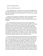"That's Ariskostor Fastness."

"But no one could live up here."

"Oh, the Old Men can. I used to drive in a caravan that brought up their food from Erhenrang, late in summer. Of course they can't get in or out for ten or eleven months of the year, but they don't care. There's seven or eight Indwellers up there."

I stared up at the buttresses of rough rock, solitary in the huge solitude of the heights, and I did not believe the driver; but I suspended my disbelief. If any people could survive in such a frozen aerie, they would be Karhiders.

The road descending swung far north and far south, edging along precipices, for the east slope of the Kargav is harsher than the west, falling to the plains in great stairsteps, the raw fault-blocks of the mountains' making. At sunset we saw a tiny string of dots creeping through a huge white shadow seven thousand feet below: a landboat caravan that had left Erhenrang a day ahead of us. Late the next day we had got down there and were creeping along that same snow-slope, very softly, not sneezing, lest we bring down the avalanche. From there we saw for a while, away below and beyond us eastward, vague vast lands blurred with clouds and shadows of clouds and streaked with silver of rivers, the Plains of Rer.

At dusk of the fourth day out from Erhenrang we came to Rer. Between the two cities lie eleven hundred miles, and a wall several miles high, and two or three thousand years. The caravan halted outside the Western Gate, where it would be shifted onto canal-barges. No landboat or car can enter Rer. It was built before Karhiders used powered vehicles, and they have been using them for over twenty centuries. There are no streets in Rer. There are covered walks, tunnel-like, which in summer one may walk through or on top of as one pleases. The houses and islands and Hearths sit every which way, chaotic, in a profuse prodigious confusion that suddenly culminates (as anarchy will do in Karhide) in splendor: the great Towers of the Un-Palace, blood-red, windowless. Built seventeen centuries ago, those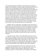towers housed the kings of Karhide for a thousand years, until Argaven Harge, first of his dynasty, crossed the Kargav and settled the great valley of the West Fall. All the buildings of Rer are fantastically massive, deepfounded, weatherproof and waterproof. In winter the wind of the plains may keep the city clear of snow, but when it blizzards and piles up they do not clear the streets, having no streets to clear. They use the stone tunnels, or burrow temporary ones in the snow. Nothing of the houses but the roof sticks out above the snow, and the winter-doors may be set under the eaves or in the roof itself, like dormers. The Thaw is the bad time on that plain of many rivers. The tunnels then are storm-sewers, and the spaces between buildings become canals or lakes, on which the people of Rer boat to their business, fending off small ice-floes with the oars. And always, over the dust of summer, the snowy roof-jumble of winter, or the floods of spring, the red Towers loom, the empty heart of the city, indestructible.

I lodged in a dreary overpriced inn crouching in the lee of the Towers. I got up at dawn after many bad dreams, and paid the extortioner for bed and breakfast and inaccurate directions as to the way I should take, and set forth afoot to find Otherhord, an ancient Fastness not far from Rer. I was lost within fifty yards of the inn. By keeping the Towers behind me and the huge white loom of the Kargav on my right, I got out of the city headed south, and a farmer's child met on the road told me where to turn off for Otherhord.

I came there at noon. That is, I came somewhere at noon, but I wasn't sure where. It was mainly a forest or a thick wood; but the woods were even more carefully tended than is usual in that country of careful foresters, and the path led along the hillside right in among the trees. After a while I became aware that there was a wooden hut just off the path to my right, and then I noticed a quite large wooden building a little farther off to my left; and from somewhere there came a delicious smell of fresh frying fish.

I went slowly along the path, a little uneasy. I didn't know how the Handdarata felt about tourists. I knew very little about them in fact. The Handdara is a religion without institution, without priests, without hierarchy, without vows, without creed; I am still unable to say whether it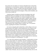has a God or not. It is elusive. It is always somewhere else. Its only fixed manifestation is in the Fastnesses, retreats to which people may retire and spend the night or a lifetime. I wouldn't have been pursuing this curiously intangible cult into its secret places at all, if I hadn't wanted to answer the question left unanswered by the Investigators: What are the Foretellers, and what do they actually do?

I had been longer in Karhide now than the Investigators had, and I doubted that there was anything to the stories of Foretellers and their prophecies. Legends of prediction are common throughout the whole Household of Man. Gods speak, spirits speak, computers speak. Oracular ambiguity or statistical probability provides loopholes, and discrepancies are expunged by Faith. However, the legends were worth investigating. I hadn't yet convinced any Karhider of the existence of telepathic communication; they wouldn't believe it till they "saw" it: my position exactly, regarding the Foretellers of the Handdara.

As I went on along the path I realized that a whole village or town was scattered about in the shadow of that slanting forest, all as random as Rer was, but secretive, peaceful, rural. Over every roof and path hung the boughs of the hemmens, the commonest tree of Winter, a stout conifer with thick pale-scarlet needles. Hemmen-cones littered the branching paths, the wind was scented with hemmen-pollen, and all the houses were built of the dark hemmen-wood. I stopped at last wondering which door to knock at, when a person came sauntering out of the trees and greeted me courteously. "Will you be looking for a dwelling-place?" he asked.

"I've come with a question for the Foretellers." I had decided to let them take me, at first anyhow, for a Karhider. Like the Investigators I had never had any trouble passing as a native, if I wanted to; among all the Karhidish dialects my accent went unnoticed, and my sexual anomalies were hidden by the heavy clothing. I lacked the fine thick hair-thatch and the downward eye-slant of the typical Gethenian, and was blacker and taller than most, but not beyond the range of normal variation. My beard had been permanently depilated before I left Ollul (at that time we didn't yet know about the 'pelted' tribes of Perunter, who are not only bearded but hairy all over, like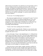White Terrans). Occasionally I was asked how my nose got broken. I have a flat nose; Gethenian noses are prominent and narrow, with constricted passages, well adapted to breathing subfreezing air. The person on the path at Otherhord looked with mild curiosity at my nose, and answered, "Then perhaps you'll want to speak to the Weaver? He's down in the glade now, unless he went out with the woodsledge. Or would you rather talk first to one of the Celibates?"

"I'm not sure. I'm exceedingly ignorant—"

The young man laughed and bowed. "I am honored!" he said. "I've lived here three years, but haven't yet acquired enough ignorance to be worth mentioning." He was highly amused, but his manner was gentle, and I managed to recollect enough scraps of Handdara lore to realize that I had been boasting, very much as if I'd come up to him and said, "I'm exceedingly handsome&hellip"

"I meant, I don't know anything about the Foretellers—"

"Enviable!" said the young Indweller. "Behold, we must sully the plain snow with footprints, in order to get anywhere. May I show you the way to the glade? My name is Goss."

It was a first name. "Genry," I said, abandoning my 'L'. I followed Goss farther into the chill shade of the forest. The narrow path changed direction often, winding up the slope and down again; here and there, near it or away off among the massive trunks of the hemmens, stood the small, forestcolored houses. Everything was red and brown, dank, still, fragrant, gloomy. From one of the houses drifted the faint whistling sweetness of a Karhidish flute. Goss went light and quick, graceful as a girl, some yards ahead of me. All at once his white shirt blazed out, and I came out after him from shadow into full sunlight on a wide green meadow.

Twenty feet from us stood a figure, straight, motionless, profiled, the scarlet hieb and white shirt an inlay of bright enamel against the green of the high grass. A hundred yards beyond him stood another statue, in blue and white; this one never moved or glanced our way all the time we talked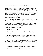with the first one. They were practicing the Handdara discipline of Presence, which is a kind of trance&mdashthe Handdarata, given to negatives, call it an untrance— involving self-loss (self-augmentation?) through extreme sensual receptiveness and awareness. Though the technique is the exact opposite of most techniques of mysticism it probably is a mystical discipline, tending towards the experience of Immanence; but I can't categorize any practice of the Handdarata with certainty. Goss spoke to the person in scarlet. As he broke from his intense movelessness and looked at us and came slowly towards us, I felt an awe of him. In that noon sunlight he shone of his own light.

He was as tall as I, and slender, with a clear, open, and beautiful face. As his eyes met mine I was suddenly moved to bespeak him, to try to reach him with the mindspeech I had never used since I landed on Winter, and should not use, yet. The impulse was stronger than the restraint. I bespoke him. There was no response. No contact was made. He continued to look straight at me. After a moment he smiled and said in a soft, rather high voice, "You're the Envoy, aren't you?"

I stammered and said, "Yes."

"My name is Faxe. We're honored to receive you. Will you stay with us in Otherhord a while?"

"Willingly. I am seeking to learn about your practice of Foretelling. And if there's anything I can tell you in return about what I am, where I come frommdash;"

"Whatever you like," said Faxe with a serene smile. "This is a pleasant thing, that you should cross the Ocean of Space, and then add another thousand miles and a crossing of the Kargav to your journey to come to us here."

"I wanted to come to Otherhord because of the fame of its predictions."

"You want to watch us foretelling, then, perhaps. Or have you a question of your own?"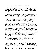His clear eyes compelled truth. "I don't know," I said.

*"Nusuth,"* said he, "it doesn't matter. Perhaps if you stay a while you'll find if you have a question, or no question… There are only certain times, you know, when the Foretellers are able to meet together, so in any case you'd dwell with us some days."

I did, and they were pleasant days. Time was unorganized except for the communal work, field labor, gardening, woodcutting, maintenance, for which transients such as myself were called on by whatever group most needed a hand. Aside from the work, a day might pass without a word spoken; those I talked with most often were young Goss, and Faxe the Weaver, whose extraordinary character, as limpid and unfathomable as a well of very clear water, was a quintessence of the character of the place. In the evenings there might be a gathering in the hearth-room of one or another of the low, tree-surrounded houses; there was conversation, and beer, and there might be music, the vigorous music of Karhide, melodically simple but rhythmically complex, always played extempore. One night two Indwellers danced, men so old that their hair had whitened, and their limbs were skinny, and the downward folds at the outer eye-corners half hid their dark eyes. Their dancing was slow, precise, controlled; it fascinated eye and mind. They began dancing during Third Hour after dinner. Musicians joined in and dropped out at will, all but the drummer who never stopped his subtle changing beat. The two old dancers were still dancing at Sixth Hour, midnight, after five Terran hours. This was the first time I had seen the phenomenon of *dothe—*the voluntary, controlled use of what we call "hysterical strength"—and thereafter I was readier to believe tales concerning the Old Men of the Handdara.

It was an introverted life, self-sufficient, stagnant, steeped in that singular "ignorance" prized by the Handdarata and obedient to their rule of inactivity or noninterference. That rule (expressed in the word *nusuth,* which I have to translate as "no matter") is the heart of the cult, and I don't pretend to understand it. But I began to understand Karhide better, after a halfmonth in Otherhord. Under that nation's politics and parades and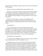passions runs an old darkness, passive, anarchic, silent, the fecund darkness of the Handdara.

And out of that silence inexplicably rises the Foreteller's voice.

Young Goss, who enjoyed acting as my guide, told me that my question to the Foretellers could concern anything and be phrased as I liked. "The more qualified and limited the question, the more exact the answer," he said. "Vagueness breeds vagueness. And some questions of course are not answerable."

"What if I ask one of those?" I inquired. This hedging seemed sophisticated, but not unfamiliar. But I did not expect his answer: "The Weaver will refuse it. Unanswerable questions have wrecked Foretelling groups."

"Wrecked them?"

"Do you know the story of the Lord of Shorth, who forced the Foretellers of Asen Fastness to answer the question *What is the meaning of life?* Well, it was a couple of thousand years ago. The Foretellers stayed in the darkness for six days and nights. At the end, all the Celibates were catatonic, the Zanies were dead, the Pervert clubbed the Lord of Shorth to death with a stone, and the Weaver… He was a man named Meshe."

"The founder of the Yomesh cult?"

"Yes," said Goss, and laughed as if the story was very funny, but I didn't know whether the joke was on the Yomeshta or on me.

I had decided to ask a yes-or-no question, which might at least make plain the extent and kind of obscurity or ambiguity in the answer. Faxe confirmed what Goss had said, that the matter of the question could be one of which the Foretellers were perfectly ignorant. I could ask if the hoolm crops would be good this year in the northern hemisphere of S, and they would answer, having no previous knowledge even of the existence of a planet called S. This seemed to put the business on the plane of pure chance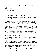divination, along with yarrow stalks and flipped coins. No, said Faxe, not at all, chance was not involved. The whole process was in fact precisely the reverse of chance.

"Then you mindread."

"No," said Faxe, with his serene and candid smile.

"You mindread without knowing you're doing it, perhaps."

"What good would that be? If the asker knew the answer he wouldn't pay our price for it."

I chose a question to which I certainly lacked the answer. Only time could prove the Foretelling right or wrong, unless it was, as I expected, one of those admirable professional prophecies applicable to any outcome. It was not a trivial question; I had given up the notion of asking when it would stop raining, or some such trifle, when I learned that the undertaking was a hard and dangerous one for the nine Foretellers of Otherhord. The cost was high for the asker—two of my rubies went to the coffers of the Fastness but higher for the answerers. And as I got to know Faxe, if it became difficult to believe that he was a professional faker it became still more difficult to believe that he was an honest, self-deluded faker; his intelligence was as hard, clear, and polished as my rubies. I dared set no trap for him. I asked what I most wanted to know.

On Onnetherhad, the 18th of the month, the nine met together in a big building usually kept locked: one high hall, stone-floored and cold, dimly lighted by a couple of slit-windows and a fire in the deep hearth at one end. They sat on the bare stone in a circle, all of them cloaked and hooded, rough still shapes like a circle of dolmens in the faint glow of the fire yards away. Goss, and a couple of other young Indwellers, and a physician from the nearest Domain, watched in silence from seats by the hearth while I crossed the hall and entered the circle.

It was all very informal, and very tense. One of the hooded figures looked up as I came amongst them, and I saw a strange face, coarse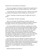featured, heavy, with insolent eyes watching me.

Faxe sat cross-legged, not moving, but charged, full of a gathering force that made his light, soft voice crack like an electric bolt. "Ask," he said.

I stood within the circle and asked my question. "Will this world Gethen be a member of the Ekumen of Known Worlds, five years from now?"

Silence. I stood there, I hung in the center of a spider-web woven of silence.

"It is answerable," the Weaver said quietly.

There was a relaxation. The hooded stones seemed to soften into movement; the one who had looked so strangely at me began to whisper to his neighbor. I left the circle and joined the watchers by the hearth.

Two of the Foretellers remained withdrawn, unspeaking. One of them lifted his left hand from time to time and patted the floor lightly and swiftly ten or twenty times, then sat motionless again. I had seen neither of them before; they were the Zanies, Goss said. They were insane. Goss called them "time-dividers," which may mean schizophrenics. Karhidish psychologists, though lacking mindspeech and thus like blind surgeons, were ingenious with drugs, hypnosis, spotshock, cryonic touch, and various mental therapies; I asked if these two psychopaths could not be cured. "Cured?" Goss said. "Would you cure a singer of his voice?"

Five others of the circle were Indwellers of Otherhord, adepts in the Handdara disciplines of Presence and also, said Goss, so long as they remained Foretellers, celibate, taking no mate during their periods of sexual potency. One of these Celibates must be in kemmer during the Foretelling. I could pick him out, having learned to notice the subtle physical intensification, a kind of brightness, that signalizes the first phase of kemmer.

Beside the kemmerer sat the Pervert.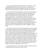"He came up from Spreve with the physician," Goss told me. "Some Foretelling groups artifically arouse perversion in a normal person injecting female or male hormones during the days before a session. It's better to have a natural one. He's willing to come; likes the notoriety."

Goss used the pronoun that designates a male animal, not the pronoun for a human being in the masculine role of kemmer. He looked a little embarrassed. Karhiders discuss sexual matters freely, and talk about kemmer with both reverence and gusto, but they are reticent about discussing perversions—at least, they were with me. Excessive prolongation of the kemmer period, with permanent hormonal imbalance toward the male or the female, causes what they call perversion; it is not rare; three or four percent of adults may be physiological perverts or abnormals-normals, by our standard. They are not excluded from society, but they are tolerated with some disdain, as homosexuals are in many bisexual societies. The Karhidish slang for them is *halfdeads.* They are sterile.

The Pervert of the group, after that first long strange stare at me, paid no heed to anyone but the one next to him, the kemmerer, whose increasingly active sexuality would be further roused and finally stimulated into full, female sexual capacity by the insistent, exaggerated male-ness of the Pervert. The Pervert kept talking softly, leaning towards the kemmerer, who answered little and seemed to recoil. None of the others had spoken for a long time now, there was no sound but the whisper, whisper of the Pervert's voice. Faxe was steadily watching one of the Zanies. The Pervert laid his hand quickly and softly on the kemmerer's hand. The kemmerer avoided the touch hastily, with fear or disgust, and looked across at Faxe as if for help. Faxe did not move. The kemmerer kept his place, and kept still when the Pervert touched him again. One of the Zanies lifted up his face and laughed a long false crooning laugh, "Ah-ah-ah-ah…"

Faxe raised his hand. At once each face in the circle turned to him as if he had gathered up their gazes into a sheaf, a skein.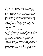It had been afternoon and raining when we entered the hall. The gray light had soon died out of the slit-windows under the eaves. Now whitish strips of light stretched like slanting phantasmal sails, long triangles and oblongs, from wall to floor, over the faces of the nine; dull scraps and shreds of light from the moon rising over the forest, outside. The fire had burned down long since and there was no light but those strips and slants of dimness creeping across the circle, sketching out a face, a hand, a moveless back. For a while I saw Faxe's profile rigid as pale stone in a diffuse dust of light. The diagonal of moonlight crept on and came to a black hump, the kemmerer, head bowed on his knees, hands clenched on the floor, body shaken by a regular tremor repeated by the *slutter-pat-pat* of the Zany's hands on stone in darkness across the circle. They were all connected, all of them, as if they were the suspension-points of a spiderweb. I felt, whether I wished or not, the connection, the communication that ran, wordless, inarticulate, through Faxe, and which Faxe was trying to pattern and control, for he was the center, the Weaver. The dim light fragmented and died away creeping up the eastern wall. The web of force, of tension, of silence, grew.

I tried to keep out of contact with the minds of the Foretellers. I was made very uneasy by that silent electric tension, by the sense of being drawn in, of becoming a point or figure in the pattern, in the web. But when I set up a barrier, it was worse: I felt cut off and cowered inside my own mind obsessed by hallucinations of sight and touch, a stew of wild images and notions, abrupt visions and sensations all sexually charged and grotesquely violent, a red-and-black seething of erotic rage. I was surrounded by great gaping pits with ragged lips, vaginas, wounds, hellmouths, I lost my balance, I was falling… If I could not shut out this chaos I would fall indeed, I would go mad, and there was no shutting it out. The empathic and paraverbal forces at work, immensely powerful and confused, rising out of the perversion and frustration of sex, out of an insanity that distorts time, and out of an appalling discipline of total concentration and apprehension of immediate reality, were far beyond my restraint or control. And yet they were controlled: the center was still Faxe. Hours and seconds passed, the moonlight shone on the wrong wall, there was no moonlight only darkness, and in the center of all darkness Faxe: the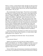Weaver: a woman, a woman dressed in light. The light was silver, the silver was armor, an armored woman with a sword. The light burned sudden and intolerable,— the light along her limbs, the fire, and she screamed aloud in terror and pain, "Yes, yes, yes!"

The crooning laugh of the Zany began, "Ah-ah-ah-ah," and rose higher and higher into a wavering yell that went on and on, much longer than any voice could go on yelling, right across time. There was movement in the darkness, scuffling and shuffling, a redistribution of ancient centuries, an evasion of foreshadows. "Light, light," said an immense voice in vast syllables once or innumerable times. "Light. Log on the fire, there. Some light." It was the physician from Spreve. He had entered the circle. It was all broken. He was kneeling by the Zanies, the frailest ones, the fuse-points; both of them lay huddled up on the floor. The kemmerer lay with his head on Faxe's knees, breathing in gasps, still trembling; Faxe's hand, with absent gentleness, stroked his hair. The Pervert was off by himself in a corner, sullen and dejected. The session was over, time passed as usual, the web of power had fallen apart into indignity and weariness. Where was my answer, the riddle of the oracle, the ambiguous utterance of prophecy?

I knelt down beside Faxe. He looked at me with his clear eyes. For that instant I saw him as I had seen him in the dark, as a woman armed in light and burning in a fire, crying out, "Yes—"

Faxe's soft speaking-voice broke the vision. "Are you answered, Asker?"

"I am answered, Weaver."

Indeed I was answered. Five years from now Gethen would be a member of the Ekumen: yes. No riddles, no hedging. Even then I was aware of the quality of that answer, not so much a prophecy as an observation. I could not evade my own certainty that the answer was right. It had the imperative clarity of a hunch.

We have NAFAL ships and instantaneous transmission and mindspeech, but we haven't yet tamed hunch to run in harness; for that trick we must go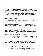to Gethen.

"I serve as the filament," Faxe said to me a day or two after the Foretelling. "The energy builds up and builds up in us, always sent back and back, redoubling the impulse every time, until it breaks through and the light is in me, around me, I am the light… The Old Man of Arbin Fastness once said that if the Weaver could be put in a vacuum at the moment of the Answer, he'd go on burning for years. That's what the Yomeshta believe of Meshe: that he saw past and future clear, not for a moment, but all during his life after the Question of Shorth. It's hard to believe. I doubt a man could endure it. But no matter…"

*Nusuth*, the ubiquitous and ambiguous negative of the Handdara.

We were strolling side by side, and Faxe looked at me. His face, one of the most beautiful human faces I ever saw, seemed hard and delicate as carved stone. "In the darkness," he said, "there were ten; not nine. There was a stranger."

"Yes, there was. I had no barrier against you. You are a Listener, Faxe, a natural empath; and probably a powerful natural telepath as well. That's why you're the Weaver, the one who can keep the tensions and responses of the group running in a self-augmenting pattern until the strain breaks the pattern itself and you reach through for your answer."

He listened with grave interest. "It is strange to see the mysteries of my discipline from outside, through your eyes. I've only seen them from within, as a disciple."

"If you permit—if you wish, Faxe, I should like to communicate with you in mindspeech." I was sure now that he was a natural Communicant; his consent and a little practice should serve to lower his unwitting barrier.

"Once you did that, I would hear what others think?"

"No, no. No more than you do already as an empath. Mindspeech is communication, voluntarily sent and received."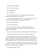"Then why not speak aloud?"

"Well, one can lie, speaking."

"Not mindspeaking?"

"Not intentionally."

Faxe considered a while. "That's a discipline that must arouse the interest of kings, politicians, men of business."

"Men of business fought against the use of mindspeech when it first was found to be a teachable skill; they outlawed it for decades."

Faxe smiled. "And kings?"

"We have no more kings."

"Yes. I see that… Well, I thank you, Genry. But my business is unlearning, not learning. And I'd rather not yet learn an art that would change the world entirely."

"By your own foretelling this world will change, and within five years."

"And I'll change with it, Genry. But I have no wish to change it."

It was raining, the long, fine rain of Gethenian summer. We walked under the hemmen-trees on the slopes above the Fastness, where there were no paths. Light fell gray among dark branches, clear water dropped from the scarlet needles. The air was chill yet mild, and full of the sound of rain.

"Faxe, tell me this. You Handdarata have a gift that men on every world have craved. You have it. You can predict the future. And yet you live like the rest of us— it doesn't seem to *matter—"*

."How should it matter, Genry?"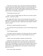"Well, look. For instance, this rivalry between Karhide and Orgoreyn, this quarrel about the Sinoth Valley. Karhide has lost face badly these last weeks, I gather. Now why didn't King Argaven consult his Foretellers, asking which course to take, or which member of the kyorremy to choose as prime minister, or something of that sort?"

"The questions are hard to ask."

"I don't see why. He might simply ask, Who'll serve me best as prime minister?—and leave it at that."

"He might. But he doesn't know what *serving him best* may mean. It might mean the man chosen would surrender the valley to Orgoreyn, or go into exile, or assassinate the king; it might mean many things he wouldn't expect or accept."

"He'd have to make his question very precise."

"Yes. Then there'd be many questions, you see. Even the king must pay the price."

"You'd charge him high?"

"Very high," said Faxe tranquilly. "The Asker pays what he can afford, as you know. Kings have in fact come to the Foretellers; but not very often…"

"What if one of the Foretellers is himself a powerful man?"

"Indwellers of the Fastness have no ranks or status. I may be sent to Erhenrang to the kyorremy; well, if I go, I take back my status and my shadow, but my foretelling's at an end. If I had a question while I served in the kyorremy, I'd go to Orgny Fastness there, pay my price, and get my answer. But we in the Handdara don't want answers. It's hard to avoid them, but we try to."

"Faxe, I don't think I understand."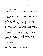"Well, we come here to the Fastnesses mostly to learn what questions not to ask."

"But you're the Answerers!"

"You don't see yet, Genry, why we perfected and practice Foretelling?"

"No—"

"To exhibit the perfect uselessness of knowing the answer to the wrong question."

I pondered that a good while, as we walked side by side through the rain, under the dark branches of the Forest of Otherhord. Within the white hood Faxe's face was tired and quiet, its light quenched. Yet he still awed me a little. When he looked at me with his clear, kind, candid eyes, he looked at me out of a tradition thirteen thousand years old: a way of thought and way of life so old, so well established, so integral and coherent as to give a human being the unselfconsciousness, the authority, the completeness of a wild animal, a great strange creature who looks straight at you out of his eternal present…

"The unknown," said Faxe's soft voice in the forest, "the unforetold, the unproven, that is what life is based on. Ignorance is the ground of thought. Unproof is the ground of action. If it were proven that there is no God there would be no religion. No Handdara, no Yomesh, no hearthgods, nothing. But also if it were proven that there is a God, there would be no religion… Tell me, Genry, what is known? What is sure, predictable, inevitable—the one certain thing you know concerning your future, and mine?"

"That we shall die."

"Yes. There's really only one question that can be answered, Genry, and we already know the answer. … The only thing that makes life possible is permanent, intolerable uncertainty: not knowing what comes next."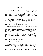## 6. One Way into Orgoreyn

THE COOK, WHO was always at the house very early, woke me up; I sleep sound, and he had to shake me and say in my ear, "Wake up, wake up, Lord Estraven, there's a runner come from the King's House!" At last I understood him, and confused by sleep and urgency got up in haste and went to the door of my room, where the messenger waited, and so I entered stark naked and stupid as a newborn child into my exile.

Reading the paper the runner gave me I said in my mind that I had looked for this, though not so soon. But when I must watch the man nail that damned paper on the door of the house, then I felt as if he might as well be driving the nails into my eyes, and I turned from him and stood blank and bereft, undone with pain, which I had not looked for.

That fit past, I saw to what must be done, and by Ninth Hour striking on the gongs was gone from the Palace. There was nothing to keep me long. I took what I could take. As for properties and banked monies, I could not raise cash from them without endangering the men I dealt with, and the better friends they were to me the worse their danger. I wrote to my old kemmering Ashe how he might get the profit of certain valuable things to keep for our sons' use, but told him not to try to send me money, for Tibe would have the border watched. I could not sign the letter. To call anyone by telephone would be to send them to jail, and I hurried to be gone before some friend should come in innocence to see me, and lose his money and his freedom as a reward for his friendship.

I set off west through the city. I stopped at a street-crossing and thought, Why should I not go east, across the mountains and the plains back to Kerm Land, a poor man afoot, and so come home to Estre where I was born, that stone house on a bitter mountainside: why not go home? Three times or four I stopped thus and looked back. Each time I saw among the indifferent street-faces one that might be the spy sent to see me out of Erhenrang, and each time I thought of the folly of trying to go home. As well kill myself. I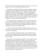was born to live in exile, it appeared, and my one way home was by way of dying. So I went on westward and turned back no more.

The three days' grace I had would see me, given no mishap, at farthest to Kuseben on the Gulf, eighty-five miles. Most exiles have had a night's warning of the Order of their Exile and so a chance to take passage on a ship down the Sess before the shipmasters are liable to punishment for giving aid. Such courtesy was not in Tibe's vein. No shipmaster would dare take me now; they all knew me at the Port, I having built it for Argaven. No landboat would let me ride, and to the land border from Erhenrang is four hundred miles. I had no choice but Kuseben afoot.

The cook had seen that. I had sent him off at once, but leaving, he had set out all the ready food he could find done up in a packet as fuel for my three days' run. That kindness saved me, and also saved my courage, for whenever on the road I ate of that fruit and bread I thought, "There's one man thinks me no traitor; for he gave me this."

It is hard, I found, to be called traitor. Strange how hard it is, for it's an easy name to call another man; a name that sticks, that fits, that convinces. I was half convinced myself.

I came to Kuseben at dusk of the third day, anxious and footsore, for these last years in Erhenrang I had gone all to grease and luxury and had lost my wind for walking; and there waiting for me at the gate of the little town was Ashe.

Seven years we were kemmerings, and had two sons. Being of his flesh born they had his name Foreth rem ir Osboth, and were reared in that Clanhearth. Three years ago he had gone to Orgny Fastness and he wore now the gold chain of a Celibate of the Foretellers. We had not seen each other those three years, yet seeing his face in the twilight under the arch of stone I felt the old habit of our love as if it had been broken yesterday, and knew the faithfulness in him that had sent him to share my ruin. And feeling that unavailing bond close on me anew, I was angry; for Ashe's love had always forced me to act against my heart.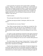I went on past him. If I must be cruel no need to hide it, pretending kindness. "Therem," he called after me, and followed. I went fast down the steep streets of Kuseben towards the wharves. A south wind was blowing up from the sea, rustling the black trees of the gardens, and through that warm stormy summer dusk I hastened from him as from a murderer. He caught up with me, for I was too footsore to keep up my pace. He said, "Therem, I'll go with you."

I made no answer.

"Ten years ago in this month of Tuwa we took oath—"

"And three years ago you broke it, leaving me, which was a wise choice."

"I never broke the vow we swore, Therem."

"True. There was none to break. It was a false vow, a second vow. You know it; you knew it then. The only true vow of faithfulness I ever swore was not spoken, nor could it be spoken, and the man I swore it to is dead and the promise broken, long ago. You owe me nothing, nor I you. Let me go."

As I spoke my anger and bitterness turned from Ashe against myself and my own life, which lay behind me like a broken promise. But Ashe did not know this, and the tears stood in his eyes. He said, "Will you take this, Therem? I owe you nothing, but I love you well." He held a little packet out to me.

"No. I have money, Ashe. Let me go. I must go alone." I went on, and he did not follow me. But my brother's shadow followed me. I had done ill to speak of him. I had done ill in all things.

I found no luck waiting for me at the harbor. No ship from Orgoreyn lay in port that I might board and so be off Karhide's ground by midnight, as I was bound to be. Few men were on the wharves and those few all hurrying homeward; the one I found to speak to, a fisherman mending the engine of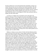his boat, looked once at me and turned his back unspeaking. At that I was afraid. The man knew me; he would not have known unwarned. Tibe had sent his hirelings to forestall me and keep me in Karhide till my time ran out. I had been busy with pain and rage, but not with fear, till now; I had not thought that the Order of Exile might be mere pretext for my execution. Once Sixth Hour struck I was fair game for Tibe's men, and none could cry Murder, but only Justice done.

I sat down on a ballast-sack of sand there in the windy glare and darkness of the port. The sea slapped and sucked at the pilings, and fishingboats jogged at their moorings, and out at the end of the long pier burned a lamp. I sat and stared at the light and past it at darkness over the sea. Some rise to present danger, not I. My gift is forethought. Threatened closely I grow stupid, and sit on a bag of sand wondering if a man could swim to Orgoreyn. The ice has been out of Charisune Gulf for a month or two, one might stay alive a while in the water. It is a hundred and fifty miles to the Orgota shore. I do not know how to swim. When I looked away from the sea and back up the streets of Kuseben I found myself looking for Ashe in hopes he still was following me. Having come to that, shame pushed me out of stupor, and I was able to think.

Bribery or violence was my choice if I dealt with that fisherman still at work in his boat in the inner dock: a faulty engine seemed not worth either. Theft, then. But the engines of fishing craft are locked. To bypass the locked circuit, start the engine, steer the boat out of dock under the pierlamps and so off to Orgoreyn, having never run a motorboat, seemed a silly desperate venture. I had not run a boat but rowed one on Icefoot Lake in Kerm; and there was a rowboat tied up in the outer dock between two launches. No sooner seen than stolen. I ran out the pier under the staring lamps, hopped into the boat, untied the painter, shipped the oars and rowed out onto the swelling harbor-water where the lights slipped and dazzled on black waves. When I was pretty well away I stopped rowing to reset the thole of one oar, for it was not working smoothly and I had, though I hoped to be picked up next day by an Orgota patrol Or fisherman, a good bit of rowing to do. As I bent to the oarlock a weakness ran all through my body. I thought I would faint, and crouched back in a heap on the thwart. It was the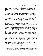sickness of cowardice overcoming me. But I had not known my cowardice lay so heavy in my belly. I lifted my eyes and saw two figures on the pier's end like two jumping black twigs in the distant electric glare across the water, and then I began to think that my paralysis was not an effect of terror, but of a gun at extreme range.

I could see that one of them held a foray gun, and had it been past midnight I suppose he would have fired it and killed me; but the foray gun makes a loud noise and that would want explaining. So they had used a sonic gun. At stun setting a sonic gun can locate its resonance-field only within a hundred feet or so. I do not know its range at lethal setting, but I had not been far out of it, for I was doubled up like a baby with colic. I found it hard to breathe, the weakened field having caught me in the chest. As they would soon have a powered boat out to come finish me off, I could not spend any more time hunched over my oars gasping. Darkness lay behind my back, before the boat, and into darkness I must row. I rowed with weak arms, watching my hands to make sure I kept hold of the oars, for I could not feel my grip. I came thus into rough water and the dark, out on the open Gulf. There I had to stop. With each oarstroke the numbness of my arms increased. My heart kept bad time, and my lungs had forgotten how to get air. I tried to row but I was not sure my arms were moving. I tried to pull the oars into the boat then, but could not. When the sweeplight of a harbor patrol ship picked me out of the night like a snowflake on soot, I could not even turn my eyes away from the glare.

They unclenched my hands from the oars, hauled me up out of the boat, and laid me out like a gutted black-fish on the deck of the patrol ship. I felt them look down at me but could not well understand what they said, except for one, the ship's master by his tone; he said, "It's not Sixth Hour yet," and again, answering another, "What affair of mine is that? The king exiled him, I'll follow the king's order, no lesser man's."

So against radio commands from Tibe's men ashore and against the arguments of his mate, who feared retribution, that officer of the Kuseben Patrol took me across the Gulf of Charisune and set me ashore safe in Shelt Port in Orgoreyn. Whether he did this in shifgrethor against Tibe's men who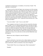would kill an unarmed man, or in kindness, I do not know. *Nusuth.* "The admirable is inexplicable."

I got up on my feet when the Orgota coast came gray out of the morning fog, and I made my legs move, and walked from the ship into the waterfront streets of Shelt, but somewhere there I fell down again. When I woke I was in the Commensal Hospital of Charisune Coastal Area Four, Twenty-fourth Commensality, Sennethny. I made sure of this, for it was engraved or embroidered in Orgota script on the headpiece of the bed, the lamp-stand by the bed, the metal cup on the bedtable, the bedtable, the nurses' hiebs, the bedcovers and the bed-shirt I wore. A physician came and said to me, "Why did you resist dothe?"

"I was not in dothe," I said, "I was in a sonic field."

"Your symptoms were those of a person who has resisted the relaxation phase of dothe." He was a domineering old physician, and made me admit at last that I might have used dothe-strength to counter the paralysis while I rowed, not clearly knowing that I did so; then this morning, during the *thangen* phase when one must keep still, I had got up and walked and so near killed myself. When all that was settled to his satisfaction he told me I could leave in a day or two, and went on to the next bed. Behind him came the Inspector.

Behind every man in Orgoreyn comes the Inspector.

"Name?" \_

I did not ask him his. I must learn to live without shadows as they do in Orgoreyn; not to take offense; not to offend uselessly. But I did not give him my land-name, which is no business of any man in Orgoreyn.

"Therem Harth? That is not an Orgota name. What Commensality?"

"Karhide."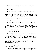"That is not a Commensality of Orgoreyn. Where are your papers of entry and identification?"

Where were my papers?

I had been considerably rolled about in the streets of Shelt before someone had me carted off to the hospital, where I had arrived without papers, belongings, coat, shoes, or cash. When I heard this I let go of anger and laughed; at the pit's bottom is no anger. The Inspector was offended by my laughter. "Do you not understand that you are an indigent and unregistered alien? How do you intend to return to Karhide?"

"By coffin."

"You are not to give inappropriate answers to official questions. If you have no intention to return to your own country you will be sent to the Voluntary Farm, where there is a place for criminal riffraff, aliens, and unregistered persons. There is no other place for indigents and subversives in Orgoreyn. You had better declare your intention to return to Karhide within three days, or I shall be—"

"I'm proscribed from Karhide."

The physician, who had turned around from the next bed at the sound of my name, drew the Inspector aside and muttered at him a while. The Inspector got to looking sour as bad beer, and when he came back to me he said, taking long to say it and grudging me each word, "Then I assume you will declare your intention to me to enter application for permission to obtain permanent residence in the Great Commensality of Orgoreyn pending your obtaining and retaining useful employment as a digit of a Commensality or Township?"

I said, "Yes." The joke was gone out of it with that word *permanent,* a skull-word if there ever was one.

After five days I was granted permanent residence pending my registry as a digit in the Township of Mishnory (which I had requested), and was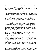issued temporary papers of identification for the journey to that city. I would have been hungry those five days, if the old physician had not kept me in the hospital. He liked having a Prime Minister of Karhide in his ward, and the Prime Minister was grateful.

I worked my way to Mishnory as a landboat loader on a fresh-fish caravan from Shelt. A fast smelly trip, ending in the great Markets of South Mishnory, where I soon found work in the ice-houses. There is always work in such places in summer, with the loading and packing and storing and shipping of perishable stuff. I handled mostly fish, and lodged in an island by the Markets with my fellows from the ice-house; Fish Island they called it; it stank of us. But I liked the job for keeping me most of the day in the refrigerated warehouse. Mishnory in summer is a steam-bath. The doors of the hills are shut; the river boils; men sweat. In the month of Ockre there were ten days and nights when the temperature never went below sixty degrees, and one day the heat rose to 88°. Driven out into that smeltingfurnace from my cold fishy refuge at day's end, I would walk a couple of miles to the Kunderer Embankment, where there are trees and one may see the great river, though not get down to it. There I would roam late and go back at last to Fish Island through the fierce, close night. In my part of Mishnory they broke the streetlamps, to keep their doings in the dark. But the Inspectors' cars were forever snooping and spotlighting those dark streets, taking from poor men their one privacy, the night.

The new Alien Registry Law enacted in the month of Kus as a move in the shadow-fight with Karhide invalidated my registration and lost me my job, and I spent a halfmonth waiting in the anterooms of infinite Inspectors. My mates at work lent me money and stole fish for my dinner, so that I got re-registered before I starved; but I had heard the lesson. I liked those hard loyal men, but they lived in a trap there was no getting out of, and I had work to do among people I liked less. I made the calls I had put off for three months.

Next day I was washing out my shirt in the wash-house in the courtyard of Fish Island along with several others, all of us naked or half naked, when through the steam and stink of grime and fish and the clatter of water I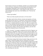heard someone call me by my landname: and there was Commensal Yegey in the wash-house, looking just as he had looked at the Reception of the Archipelagan Ambassador in the Ceremonial Hall of the Palace in Erhenrang seven months before. "Come along out of this, Estraven," he said in the high, loud, nasal voice of the Mishnory rich. "Oh, leave the damned shirt."

"I haven't got another."

"Fish it out of that soup then and come on. It's hot in here."

The others stared at him with dour curiosity, knowing him a rich man, but they did not know him for a Commensal. I did not like his being there; he should have sent someone after me. Very few Orgota have any feeling for decency. I wanted to get him out of there. The shirt was no good to me wet, so I told a hearthless lad that hung about the courtyard to keep it on his back for me till I returned. My debts and rent were paid and my papers in my hieb-pocket; shirtless I left the island in the Markets, and went with Yegey back among the houses of the powerful.

As his "secretary" I was again re-registered in the rolls of Orgoreyn, not as a digit but as a dependent. Names won't do, they must have labels, and say the kind before they can see the thing. But this time their label fit, I was dependent, and soon was brought to curse the purpose that brought me here to eat another man's bread. For they gave me no sign for a month yet that I was any nearer achieving that purpose than I had been at Fish Island.

On the rainy evening of the last day of summer Yegey sent for me to his study, where I found him talking with the Commensal of the Sekeve District, Obsle, whom I had known when he headed the Orgota Naval Trade Commission in Erhenrang. Short and swaybacked, with little triangular eyes in a fat, flat face, he was an odd match with Yegey, all delicacy and bone. The frump and the fop, they looked, but they were something more than that. They were two of the Thirty-Three who rule Orgoreyn; yet again, they were something more than that.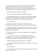Politenesses exchanged and a dram of Sithish lifewater drunk, Obsle sighed and said to me, "Now tell me why you did what you did in Sassinoth, Estraven, for if there was ever a man I thought unable to err in the timing of an act or the weighing of shifgrethor, that man was you."

"Fear outweighed caution in me, Commensal."

"Fear of what the devil? What are you afraid of, Estraven?"

"Of what's happening now. The continuation of the prestige-struggle in the Sinoth Valley; the humiliation of Karhide, the anger that rises from humiliation; the use of that anger by the Karhidish Government."

"Use? To what end?"

Obsle has no manners; Yegey, delicate and prickly, broke in, "Commensal, Lord Estraven is my guest and need not suffer questioning-"

"Lord Estraven will answer questions when and as he sees fit, as he ever did," said Obsle grinning, a needle hidden in a heap of grease. "He knows himself between friends, here."

"I take my friends where I find them, Commensal, but I no longer look to keep them long."

"I can see that. Yet we can pull a sledge together without being kemmerings, as we say in Eskeve—eh? What the devil, I know what you were exiled for, my dear: for liking Karhide better than its king."

"Rather for liking the king better than his cousin, perhaps."

"Or for liking Karhide better than Orgoreyn," said Yegey. "Am I wrong, Lord Estraven?"

"No, Commensal."

"You think, then," said Obsle, "that Tibe wants to run Karhide as we run Orgoreyn—efficiently?"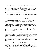"I do. I think that Tibe, using the Sinoth Valley dispute as a goad, and sharpening it at need, may within a year work a greater change in Karhide than the last thousand years have seen. He has a model to work from, the Sarf. And he knows how to play on Argaven's fears. That's easier than trying to arouse Argaven's courage, as I did. If Tibe succeeds, you gentlemen will find you have an enemy worthy of you."

Obsle nodded. "I waive shifgrethor," said Yegey, "what are you getting at, Estraven?"

"This: Will the Great Continent hold two Orgoreyns?"

"Aye, aye, aye, the same thought," said Obsle, "the same thought: you planted it in my head a long time ago, Estraven, and I never can uproot it. Our shadow grows too long. It will cover Karhide too. A feud between two Clans, yes; a foray between two towns, yes; a border-dispute and a few barn-burnings and murders, yes; but a feud between two nations? a foray involving fifty million souls? O by Meshe's sweet milk, that's a picture that has set fire to my sleep, some nights, and made me get up sweating… We are not safe, we are not safe. You know it, Yegey; you've said it in your own way, many times."

"I've voted thirteen times now against pressing the Sinoth Valley dispute. But what good? The Domination faction holds twenty votes ready at command, and every move of Tibe's strengthens the Sarf's control over those twenty. He builds a fence across the valley, puts guards along the fence armed with foray guns—foray guns! I thought they kept them in museums. He feeds the Domination faction a challenge whenever they need one."

"And so strengthens Orgoreyn. But also Karhide. Every response you make to his provocations, every humiliation you inflict upon Karhide, every gain in your prestige, will serve to make Karhide stronger, until it is your equal—controlled all from one center as Orgoreyn is. And in Karhide they don't keep foray guns in museums. The King's Guard carry them."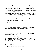Yegey poured out another dram around of lifewater. Orgota noblemen drink that precious fire, brought five thousand miles over the foggy seas from Sith, as if it were beer. Obsle wiped his mouth and blinked his eyes.

"Well," he said, "all that is much as I thought, and much as I think. And I think we have a sledge to pull together. But I have a question before we get in harness, Estraven. You have my hood down over my eyes entirely. Now tell me: what was all this obscuration, obfuscation and fiddlefaddle concerning an Envoy from the far side of the moon?"

Genly Ai, then, had requested permission to enter Orgoreyn.

"The Envoy? He is what he says he is."

"And that is—"

"An envoy from another world."

"None of your damned shadowy Karhidish metaphors, now, Estraven. I waive shifgrethor, I discard it. Will you answer me?"

"I have done so."

"He is an alien being?" Obsle said, and Yegey, "And he has had audience with King Argaven?"

I answered yes to both. They were silent a minute and then both started to speak at once, neither trying to mask his interest. Yegey was for circumambulating, but Obsle went to the point. "What was he in your plans, then? You staked yourself on him, it seems, and fell. Why?"

"Because Tibe tripped me. I had my eyes on the stars, and didn't watch the mud I walked in."

"You've taken up astronomy, my dear?"

"We'd better all take up astronomy, Obsle."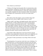"Is he a threat to us, this Envoy?"

"I think not. He brings from his people offers of communication, trade, treaty, and alliance, nothing else. He came alone, without arms or defense, with nothing but a communicating device, and his ship, which he allowed us to examine completely. He is not to be feared, I think. Yet he brings the end of Kingdom and Commensalities with him in his empty hands."

"Why?"

"How shall we deal with strangers, except as brothers? How shall Gethen treat with a union of eighty worlds, except as a world?"

"Eighty worlds?" said Yegey, and laughed uneasily. Obsle stared at me athwart and said, "I'd like to think that you've been too long with the madman in his palace and had gone mad yourself… Name of Meshe! What's this babble of alliances with the suns and treaties with the moon? How did the fellow come here, riding on a comet? astride a meteor? A ship, what sort of ship floats on air? On void space? Yet you're no madder than you ever were, Estraven, which is to say shrewdly mad, wisely mad. All Karhiders are insane. Lead on, my lord, I follow. Go on!"

"I go nowhere, Obsle. Where have I to go? You, however, may get somewhere. If you should follow the Envoy a little way, he might show you a way out of the Sinoth Valley, out of the evil course we're caught in."

"Very good. I'll take up astronomy in my old age. Where will it lead me?"

"Toward greatness, if you go more wisely than I went. Gentlemen, I've been with the Envoy, I've seen his ship that crossed the void, and I know that he is truly and exactly a messenger from elsewhere than this earth. As to the honesty of his message and the truth of his descriptions of that elsewhere, there is no knowing; one can only judge as one would judge any man; if he were one of us I should call him an honest man. That you'll judge for yourselves, perhaps. But this is certain: in his presence, lines drawn on the earth make no boundaries, and no defense. There is a greater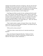challenger than Karhide at the doors of Orgoreyn. The men who meet that challenge, who first open the doors of earth, will be the leaders of us all. All: the Three Continents: all the .earth. Our border now is no line between two hills, but the line our planet makes in circling the Sun. To stake shifgrethor on any lesser chance is a fool's doing, now."

I had Yegey, but Obsle sat sunk in his fat, watching me from his small eyes. "This will take a month's believing," he said. "And if it came from anyone's mouth but yours, Estraven, I'd believe it to be pure hoax, a net for our pride woven out of starshine. But I know your stiff neck. Too stiff to stoop to an assumed disgrace in order to fool us. I can't believe you're speaking truth and yet I know a lie would choke you… Well, well. Will he speak to us, as it seems he spoke to you?"

"That's what he seeks: to speak, to be heard. There or here. Tibe will silence him if he tries to be heard again in Karhide. I am afraid for him, he seems not to understand his danger."

"Will you tell us what you know?"

"I will; but is there a reason why he can't come here and tell you himself?"

Yegey said, biting his fingernail delicately, "I think not. He has requested permission to enter the Commensality. Karhide makes no objection. His request is under consideration…"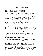## 7. The Question of Sex

*From field notes of Ong Tot Oppong, Investigator, of the first Ekumenical landing party on Gethen/ Winter, Cycle 93 E.Y. 1448.*

DAY 81. It seems likely that they were an experiment. The thought is unpleasant. But now that there is evidence to indicate that the Terran Colony was an experiment, the planting of one Hainish Normal group on a world with its own proto-hominid autochthones, the possibility cannot be ignored. Human genetic manipulation was certainly practiced by the Colonizers; nothing else explains the hilfs of S or the degenerate winged hominids of Rokanan; will anything else explain Gethenian sexual physiology? Accident, possibly; natural selection, hardly. Their ambisexuality has little or no adaptive value.

Why pick so harsh a world for an experiment? No answer. Tinibossol thinks the Colony was introduced during a major Interglacial. Conditions may have been fairly mild for their first 40 or 50,000 years here. By the time the ice was advancing again, the Hainish Withdrawal was complete and the Colonists were on their own, an experiment abandoned.

I theorize about the origins of Gethenian sexual physiology. What do I actually know about it? Otie Nim's communication from the Orgoreyn region has cleared up some of my earlier misconceptions. Let me set down all I know, and after that my theories; first things first.

The sexual cycle averages 26 to 28 days (they tend to speak of it as 26 days, approximating it to the lunar cycle). For 21 or 22 days the individual is *somer,* sexually inactive, latent. On about the 18th day hormonal changes are initiated by the pituitary control and on the 22nd or 23rd day the individual enters *kemmer,* estrus. In this first phase of kemmer (Karh. *secher)* he remains completely androgynous. Gender, and potency, are not attained in isolation. A Gethenian in first-phase kemmer, if kept alone or with others not in kemmer, remains incapable of coitus. Yet the sexual impulse is tremendously strong in this phase, controlling the entire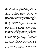personality, subjecting all other drives to its imperative. When the individual finds a partner in kemmer, hormonal secretion is further stimulated (most importantly by touch-secretion? scent?) until in one partner either a male or female hormonal dominance is established. The genitals engorge or shrink accordingly, foreplay intensifies, and the partner, triggered by the change, takes on the other sexual role (? without exception? If there are exceptions, resulting in kemmer-partners of the same sex, they are so rare as to be ignored). This second phase of kemmer (Karh. *thorharmen*), the mutual process of establishing sexuality and potency, apparently occurs within a time-span of two to twenty hours. If one of the partners is already in full kemmer, the phase for the newer partner is liable to be quite short; if the two are entering kemmer together, it is likely to take longer. Normal individuals have no predisposition to either sexual role in kemmer; they do not know whether they will be the male or the female, and have no choice in the matter. (Otie Nim wrote that in the Orgoreyn region the use of hormone derivatives to establish a preferred sexuality is quite common; I haven't seen this done in rural Karhide.) Once the sex is determined it cannot change during the kemmer-period. The culminant phase of kemmer (Karh. *thokemmer*) lasts from two to five days, during which sexual drive and capacity are at maximum. It ends fairly abruptly, and if conception has not taken place, the individual returns to the somer phase within a few hours (note: Otie Nim thinks this "fourth phase" is the equivalent of the menstrual cycle) and the cycle begins anew. If the individual was in the female role and was impregnated, hormonal activity of course continues, and for the 8.4-month gestation period and the 6- to 8 month lactation period this individual remains female. The male sexual organs remain retracted (as they are in somer), the breasts enlarge somewhat, and the pelvic girdle widens. With the cessation of lactation the female re-enters somer and becomes once more a perfect androgyne. No physiological habit is established, and the mother of several children may be the father of several more.

*Social observations:* very superficial as yet; I have been moving about too much to make coherent social observations.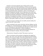Kemmer is not always played by pairs. Pairing seems to be the commonest custom, but in the kemmerhouses of towns and cities groups may form and intercourse take place promiscuously among the males and females of the group. The furthest extreme from this practice is the custom of *vowing kemmering* (Karh. *oskyommer*), which is to all intents and purposes monogamous marriage. It has no legal status, but socially and ethically is an ancient and vigorous institution. The whole structure of the Karhidish Clan-Hearths and Domains is indubitably based upon the institution of monogamous marriage. I am not sure of divorce rules in general; here in Osnoriner there is divorce, but no remarriage after either divorce or the partner's death: one can only vow kemmering once.

Descent of course is reckoned, all over Gethen, from the mother, the "parent in the flesh" (Karh. *amha*).

Incest is permitted, with various restrictions, between siblings, even the full siblings of a vowed-kemmering pair. Siblings are not however allowed to vow kemmering, nor keep kemmering after the birth of a child to one of the pair. Incest between generations is strictly forbidden (in Karhide/Orgoreyn; but is said to be permitted among the tribesmen of Perunter, the Antarctic Continent. This may be slander.).

What else have I learned for certain? That seems to sum it up.

There is one feature of this anomalous arrangement that might have adaptive value. Since coitus takes place only during the period of fertility, the chance of conception is high, as with all mammals that have an estrous cycle. In harsh conditions where infant mortality is great, a race survival value may be indicated. At present neither infant mortality nor the birthrate runs high in the civilized areas of Gethen. Tinibossol estimates a population of not over 100 million on the three continents, and considers it to have been stable for at least a millennium. Ritual and ethical abstention and the use of contraceptive drugs seem to have played the major part in maintaining this stability.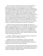There are aspects of ambisexuality which we have only glimpsed or guessed at, and which we may never grasp entirely. The kemmer phenomenon fascinates all of us Investigators, of course. It fascinates us, but it rules the Gethenians, dominates them. The structure of their societies, the management of their industry, agriculture, commerce, the size of their settlements, the subjects of their stories, everything is shaped to fit the somer-kemmer cycle. Everybody has his holiday once a month; no one, whatever his position, is obliged or forced to work when in kemmer. No one is barred from the kemmerhouse, however poor or strange. Everything gives way before the recurring torment and festivity of passion. This is easy for us to understand. What is very hard for us to understand is that, fourfifths of the time, these people are not sexually motivated at all. Room is made for sex, plenty of room; but a room, as it were, apart. The society of Gethen, in its daily functioning and in its continuity, is without sex.

Consider: Anyone can turn his hand to anything. This sounds very simple, but its psychological effects are incalculable. The fact that everyone between seventeen and thirty-five or so is liable to be (as Nim put it) "tied down to childbearing," implies that no one is quite so thoroughly "tied down" here as women, elsewhere, are likely to be—psychologically or physically. Burden and privilege are shared out pretty equally; everybody has the same risk to run or choice to make. Therefore nobody here is quite so free as a free male anywhere else.

Consider: A child has no psycho-sexual relationship to his mother and father. There is no myth of Oedipus on Winter.

Consider: There is no unconsenting sex, no rape. As with most mammals other than man, coitus can be performed only by mutual invitation and consent; otherwise it is not possible. Seduction certainly is possible, but it must have to be awfully well timed.

Consider: There is no division of humanity into strong and weak halves, protective/protected, dominant/submissive, owner/chattel, active/passive. In fact the whole tendency to dualism that pervades human thinking may be found to be lessened, or changed, on Winter.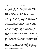The following must go into my finished Directives: When you meet a Gethenian you cannot and must not do what a bisexual naturally does, which is to cast him in the role of Man or Woman, while adopting towards him a corresponding role dependent on your expectations of the patterned or possible interactions between persons of the same or the opposite sex. Our entire pattern of socio-sexual interaction is nonexistent here. They cannot play the game. They do not see one another as men or women. This is almost impossible for our imagination to accept. What is the first question we ask about a newborn baby?

Yet you cannot think of a Gethenian as "it." They are not neuters. They are potentials, or integrals. Lacking the Karhidish "human pronoun" used for persons in somer, I must say "he," for the same reasons as we used the masculine pronoun in referring to a transcendent god: it is less defined, less specific, than the neuter or the feminine. But the very use of the pronoun in my thoughts leads me continually to forget that the Karhider I am with is not a man, but a manwoman.

The First Mobile, if one is sent, must be warned that unless he is very self-assured, or senile, his pride will suffer. A man wants his virility regarded, a woman wants her femininity appreciated, however indirect and subtle the indications of regard and appreciation. On Winter they will not exist. One is respected and judged only as a human being. It is an appalling experience.

Back to my theory. Contemplating the motives for such an experiment, if such it was, and trying perhaps to exculpate our Hainish ancestors from the guilt of barbarism, of treating lives as things, I have made some guesses as to what they might have been after.

The somer-kemmer cycle strikes us as degrading, a return to the estrous cycle of the lower mammals, a subjection of human beings to the mechanical imperative of rut. It is possible that the experimenters wished to see whether human beings lacking continuous sexual potentiality would remain intelligent and capable of culture.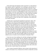On the other hand, the limitation of the sexual drive to a discontinuous time-segment, and the "equalizing" of it in androgyny, must prevent, to a large extent, both the exploitation and the frustration of the drive. There must be sexual frustration (though society provides as well as it can against it; so long as the social unit is large enough that more than one person will be in kemmer at one time, sexual fulfillment is fairly certain), but at least it cannot build up; it is over when kemmer is over. Fine; thus they are spared much waste and madness; but what is left, in somer? What is there to sublimate? What would a society of eunuchs achieve? -But of course they are not eunuchs, in somer, but rather more comparable to pre-adolescents: not castrate, but latent.

Another guess concerning the hypothetical experiment's object: The elimination of war. Did the Ancient Hainish postulate that continuous sexual capacity and organized social aggression, neither of which are attributes of any mammal but man, are cause and effect? Or, like Tumass Song Angot, did they consider war to be a purely masculine displacementactivity, a vast Rape, and therefore in their experiment eliminate the masculinity that rapes and the femininity that is raped? God knows. The fact is that Gethenians, though highly competitive (as proved by the elaborate social channels provided for competition for prestige, etc.) seem not to be very aggressive; at least they apparently have never yet had what one could call a war. They kill one another readily by ones and twos; seldom by tens or twenties; never by hundreds or thousands. Why?

It may turn out to have nothing to do with their androgyne psychology. There are not very many of them, after all. And there is the climate. The weather of Winter is so relentless, so near the limit of tolerability even to them with all their cold-adaptations, that perhaps they use up their fighting spirit fighting the cold. The marginal peoples, the races that just get by, are rarely the warriors. And in the end, the dominant factor in Gethenian life is not sex or any other human thing: it is their environment, their cold world. Here man has a crueler enemy even than himself.

I am a woman of peaceful Chiffewar, and no expert on the attractions of violence or the nature of war. Someone else will have to think this out. But I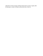really don't see how anyone could put much stock in victory or glory after he had spent a winter on Winter, and seen the face of the Ice.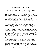## 8. Another Way into Orgoreyn

I SPENT THE SUMMER more as an Investigator than a Mobile, going about the land of Karhide from town to town, from Domain to Domain, watching and listening—things a Mobile cannot do at first, while he is still a marvel and monstrosity, and must be forever on show and ready to perform. I would tell my hosts in those rural Hearths and villages who I was; most of them had heard a little about me over the radio and had a vague idea what I was. They were curious, some more, some less. Few were frightened of me personally, or showed the xenophobic revulsion. An enemy, in Karhide, is not a stranger, an invader. The stranger who comes unknown is a guest. Your enemy is your neighbor.

During the month of Kus I lived on the Eastern coast in a Clan-Hearth called Gorinhering, a house-town-fort-farm built up on a hill above the eternal fogs of the Hodomin Ocean. Some five hundred people lived there. Four thousand years ago I should have found their ancestors living in the same place, in the same kind of house. Along in those four millennia the electric engine was developed, radios and power looms and power vehicles and farm machinery and all the rest began to be used, and a Machine Age got going, gradually, without any industrial revolution, without any revolution at all. Winter hasn't achieved in thirty centuries what Terra once achieved in thirty decades. Neither has Winter ever paid the price that Terra paid.

Winter is an inimical world; its punishment for doing things wrong is sure and prompt: death from cold or death from hunger. No margin, no reprieve. A man can trust his luck, but a society can't; and cultural change, like random mutation, may make things chancier. So they have gone very slowly. At any one point in their history a hasty observer would say that all technological progress and diffusion had ceased. Yet it never has. Compare the torrent and the glacier. Both get where they are going.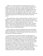I talked a lot with the old people of Gorinhering, and also with the children. It was my first chance to see much of Gethenian children, for in Erhenrang they are all in the private or public Hearths and Schools. A quarter to a third of the adult urban population is engaged full time in the nurture and education of the children. Here the clan looked after its own; nobody and everybody was responsible for them. They were a wild lot, chasing about over those fog-hidden hills and beaches. When I could round one up long enough to talk, I found them shy, proud, and immensely trustful.

The parental instinct varies as widely on Gethen as anywhere. One can't generalize. I never saw a Karhider hit a child. I have seen one speak very angrily to a child. Their tenderness toward their children struck me as being profound, effective, and almost wholly unpossessive. Only in that unpossessiveness does it perhaps differ from what we call the "maternal" instinct. I suspect that the distinction between a maternal and a paternal instinct is scarcely worth making; the parental instinct, the wish to protect, to further, is not a sex-linked characteristic…

Early in Hakanna we heard in Gorinhering on the static-fuzzed Palace Bulletin that King Argaven had announced his expectation of an heir. Not another kemmering-son, of which he already had seven, but an heir of the body, king-son. The king was pregnant.

I found this funny, and so did the clansmen of Gorinhering, but for different reasons. They said he was too old to be bearing children, and they got hilarious and obscene on the subject. The old men went about cackling over it for days. They laughed at the king, but were not otherwise much interested in him. "The Domains are Karhide," Estraven had said, and like so much Estraven had said it kept recurring to me as I learned more. The seeming nation, unified for centuries, was a stew of uncoordinated principalities, towns, villages, "pseudo-feudal tribal economic units," a sprawl and splatter of vigorous, competent, quarrelsome individualities over which a grid of authority was insecurely and lightly laid. Nothing, I thought, could ever unite Karhide as a nation. Total diffusion of rapid communication devices, which is supposed to bring about nationalism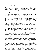almost inevitably, had not done so. The Ekumen could not appeal to these people as a social unit, a mobilizable entity: rather it must speak to their strong though undeveloped sense of humanity, of human unity. I got quite excited thinking about this. I was, of course, wrong; yet I had learned something about Gethenians which in the long run proved to be useful knowledge.

Unless I was to spend all year in Old Karhide I must return to the West Fall before the passes of the Kargav closed. Even here on the coast there had been two light snowfalls in the last month of summer. Rather reluctantly I set off west again, and came to Erhenrang early in Gor, the first month of autumn. Argaven was now in seclusion in the summer-palace at Warrever, and had named Pemmer Harge rem ir Tibe as Regent during his confinement. Tibe was already making the most of his term of power. Within a couple of hours of my arrival I began to see the flaw in my analysis of Karhide—it was already out of date—and also began to feel uncomfortable, perhaps unsafe, in Erhenrang.

Argaven was not sane; the sinister incoherence of his mind darkened the mood of his capital; he fed on fear. All the good of his reign had been done by his ministers and the kyorremy. But he had not done much harm. His wrestles with his own nightmares had not damaged the kingdom. His cousin Tibe was another kind of fish, for his insanity had logic. Tibe knew when to act, and how to act. Only he did not know when to stop.

Tibe spoke on the radio a good deal. Estraven when in power had never done so, and it was not in the Karhidish vein: their government was not a public performance, normally; it was covert and indirect. Tibe, however, orated. Hearing his voice on the air I saw again the long-toothed smile and the face masked with a net of fine wrinkles. His speeches were long and loud: praises of Karhide, disparagements of Orgoreyn, vilifications of "disloyal factions," discussions of the "integrity of the Kingdom's borders," lectures in history and ethics and economics, all in a ranting, canting, emotional tone that went shrill with vituperation or adulation. He talked much about pride of country and love of the parentland, but little about shifgrethor, personal pride or prestige. Had Karhide lost so much prestige in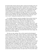the Sinoth Valley business that the subject could not be brought up? No; for he often talked about the Sinoth Valley. I decided that he was deliberately avoiding talk of shifgrethor because he wished to rouse emotions of a more elemental, uncontrollable kind. He wanted to stir up something which the whole shifgrethor-pattern was a refinement upon, a sublimation of. He wanted his hearers to be frightened and angry. His themes were not pride and love at all, though he used the words perpetually; as he used them they meant self-praise and hate. He talked a great deal about Truth also, for he was, he said, "cutting down beneath the veneer of civilization."

It is a durable, ubiquitous, specious metaphor, that one about veneer (or paint, or pliofilm, or whatever) hiding the nobler reality beneath. It can conceal a dozen fallacies at once. One of the most dangerous is the implication that civilization, being artificial, is unnatural: that it is the opposite of primitiveness… Of course there is no veneer, the process is one of growth, and primitiveness and civilization are degrees of the same thing. If civilization has an opposite, it is war. Of those two things, you have either one, or the other. Not both. It seemed to me as I listened to Tibe's dull fierce speeches that what he sought to do by fear and by persuasion was to force his people to change a choice they had made before their history began, the choice between those opposites.

The time was ripe, perhaps. Slow as their material and technological advance had been, little as they valued "progress" in itself, they had finally, in the last five or ten or fifteen centuries, got a little ahead of Nature. They weren't absolutely at the mercy of their merciless climate any longer; a bad harvest would not starve a whole province, or a bad winter isolate every city. On this basis of material stability Orgoreyn had gradually built up a unified and increasingly efficient centralized state. Now Karhide was to pull herself together and do the same; and the way to make her do it was not by sparking her pride, or building up her trade, or improving her roads, farms, colleges, and so on; none of that; that's all civilization, veneer, and Tibe dismissed it with scorn. He was after something surer, the sure, quick, and lasting way to make people into a nation: war. His ideas concerning it could not have been too precise, but they were quite sound. The only other means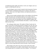of mobilizing people rapidly and entirely is with a new religion; none was handy; he would make do with war.

I sent the Regent a note in which I quoted to him the question I had put to the Foretellers of Otherhord and the answer I had got. Tibe made no response. I then went to the Orgota Embassy and requested permission to enter Orgoreyn.

There are fewer people running the offices of the Stabiles of the Ekumen on Hain than there were running that embassy of one small country to another, and all of them were armed with yards of soundtapes and records. They were slow, they were thorough; none of the slapdash arrogance and sudden deviousness that marked Karhidish officialdom. I waited, while they filled out their forms.

The waiting got rather uneasy. The number of Palace Guards and city police on the streets of Erhenrang seemed to multiply every day; they were armed, and they were even developing a sort of uniform. The mood of the city was bleak, although business was good, prosperity general, and the weather fair. Nobody wanted much to do with me. My "landlady" no longer showed people my room, but rather complained about being badgered by "people from the Palace," and treated me less as an honored sideshow than as a political suspect. Tibe made a speech about a foray in the Sinoth Valley: "brave Karhidish farmers, true patriots," had dashed across the border south of Sassinoth, had attacked an Orgota village, burned it, and killed nine villagers, and then dragging the bodies back had dumped them into the Ey River, "such a grave," said the Regent, "as all the enemies of our nation will find!" I heard this broadcast in the eating-hall of my island. Some people looked grim as they listened, others uninterested, others satisfied, but in these various expressions there was one common element, a little tic or facial cramp that had not used to be there, a look of anxiety.

That evening a man came to my room, my first visitor since I had returned to Erhenrang. He was slight, smooth-skinned, shy-mannered, and wore the gold chain of a Foreteller, one of the Celibates. "I'm a friend of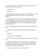one who befriended you," he said, with the brusqueness of the timid, "I've come to ask you a favor, for his sake."

"You mean Faxe—?"

"No. Estraven."

My helpful expression must have changed. There was a little pause, after which the stranger said, "Estraven, the traitor. You remember him, perhaps?"

Anger had displaced timidity, and he was going to play shifgrethor with me. If I wanted to play, my move was to say something like, "I'm not sure; tell me something about him." But I didn't want to play, and was used to volcanic Karhidish tempers by now. I faced his anger deprecatingly and said, "Of course I do."

"But not with friendship." His dark, down-slanted eyes were direct and keen.

"Well, rather with gratitude, and disappointment. Did he send you to me?"

"He did not."

I waited for him to explain himself.

He said, "Excuse me. I presumed; I accept what presumption has earned me."

I stopped the stiff little fellow as he made for the door. "Please: I don't know who you are, or what you want. I haven't refused, I simply haven't consented. You must allow me the right to a reasonable caution. Estraven was exiled for supporting my mission here—"

"Do you consider yourself to be in his debt for that?"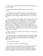"Well, in a sense. However, the mission I am on overrides all personal debts and loyalties."

"If so," said the stranger with fierce certainty, "it is an immoral mission."

That stopped me. He sounded like an Advocate of the Ekumen, and I had no answer. "I don't think it is," I said finally; "the shortcomings are in the messenger, not the message. But please tell me what it is you want me to do."

"I have certain monies, rents and debts, which I was able to collect from the wreck of my friend's fortune. Hearing that you were about to go to Orgoreyn, I thought to ask you to take the money to him, if you find him. As you know, it would be a punishable offense to do so. It may also be useless. He may be in Mishnory, or on one of their damnable Farms, or dead. I have no way of finding out. I have no friends in Orgoreyn, and none here I dared ask this of. I thought of you as one above politics, free to come and go. I did not stop to think that you have, of course, your own politics. I apologize for my stupidity."

"Well, I'll take the money for him. But if he's dead or can't be found, to whom shall I return it?"

He stared at me. His face worked and changed, and he caught his breath in a sob. Most Karhiders cry easily, being no more ashamed of tears than of laughter. He said, "Thank you. My name is Foreth. I'm an Indweller at Orgny Fastness."

"You're of Estraven's clan?"

"No. Foreth rem ir Osboth: I was his kemmering."

Estraven had had no kemmering when I knew him, but I could rouse no suspicion of this fellow in myself. He might be unwittingly serving someone else's purpose, but he was genuine. And he had just taught me a lesson: that shifgrethor can be played on the level of ethics, and that the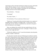expert player will win. He had cornered me in about two moves. He had the money with him and gave it to me, a solid sum in Royal Karhidish Merchants' notes of credit, nothing to incriminate me, and consequently nothing to prevent me from simply spending it.

"If you find him …" He stuck.

"A message?"

"No. Only if I knew…"

"If I do find him, I'll try to send news of him to you."

"Thank you," he said, and he held out both his hands to me, a gesture of friendship which in Karhide is not lightly made. "I wish success to your mission, Mr. Ai. He—Estraven—he believed you came here to do good, I know. He believed it very strongly."

There was nothing in the world for this man outside Estraven. He was one of those who are damned to love once. I said again, "Is there no word from you that I might take him?"

"Tell him the children are well," he said, then hesitated, and said quietly, *"Nusuth,* no matter," and left me.

Two days later I took the road out of Erhenrang, the northwest road this time, afoot. My permission to enter Orgoreyn had arrived much sooner than the clerks and officials of the Orgota Embassy had led me to expect or had themselves expected; when I went to get the papers they treated me with a sort of poisonous respect, resentful that protocol and regulations had, on somebody's authority, been pushed aside for me. As Karhide had no regulations at all about leaving the country, I set straight off. Over the summer I had learned what a pleasant land Karhide was for walking in. Roads and inns are set for foot-traffic as well as for powered vehicles, and where inns are wanting one may count infallibly on the code of hospitality. Townsfolk of Co-Domains and the villagers, farmers, or lord of any Domain will give a traveler food and lodging, for three days by the code,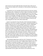and in practice for much longer than that; and what's best is that you are always received without fuss, welcomed, as if they had been expecting you to come.

I meandered across the splendid slanting land between the Sess and the Ey, taking my time, working out my keep a couple of mornings in the fields of the great Domains, where they were getting the harvest in, every hand and tool and machine at work to get the golden fields cut before the weather turned. It was all golden, all benign, that week of walking; and at night before I slept I would step out of the dark farmhouse or firelit Hearth-Hall where I was lodged and walk a way into the dry stubble to look up at the stars, flaring like far cities in the windy autumn dark.

In fact I was reluctant to leave this land, which I had found, though so indifferent to the Envoy, so gentle to the stranger. I dreaded starting all over, trying to repeat my news in a new language to new hearers, failing again perhaps. I wandered more north than west, justifying my course by a curiosity to see the Sinoth Valley region, the locus of the rivalry between Karhide and Orgoreyn. Though the weather held clear it began to grow colder, and at last I turned west before I got to Sassinoth, remembering that there was a fence across that stretch of border, and I might not be so easily let out of Karhide there. Here the border was the Ey, a narrow river but fierce, glacier-fed like all rivers of the Great Continent. I doubled back a few miles south to find a bridge, and came on one linking two little villages, Passerer on the Karhide side and Siuwensin in Orgoreyn, staring sleepily at each other across the noisy Ey.

The Karhidish bridge-keeper asked me only if I planned to return that night, and waved me on across. On the Orgota side an Inspector was called out to inspect my passport and papers, which he did for about an hour, a Karhidish hour at that. He kept the passport, telling me I must call for it next morning, and gave me in place of it a permiso for meals and lodging at the Commensal Transient-House of Siuwensin. I spent another hour in the office of the superintendent of the Transient-House, while the superintendent read my papers and checked on the authenticity of my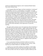permiso by telephoning the Inspector at the Commensal Border-Station from which I had just come.

I can't properly define that Orgota word here translated as "commensal," "commensality." Its root is a word meaning "to eat together." Its usage includes all national/ governmental institutions of Orgoreyn, from the State as a whole through its thirty-three component substates or Districts to the sub-substates, townships, communal farms, mines, factories, and so on, that compose these. As an adjective it is applied to all the above; in the form "the Commensals" it usually means the thirty-three Heads of Districts, who form the governing body, executive and legislative, of the Great Commensality of Orgoreyn, but it may also mean the citizens, the people themselves. In this curious lack of distinction between the general and specific applications of the word, in the use of it for both the whole and the part, the state and the individual, in this imprecision is its precisest meaning.

My papers and my presence were at last approved, and by Fourth Hour I got my first meal since early breakfast—supper: kadik-porridge and cold sliced bread-apple. For all its array of officials, Siuwensin was a very small, plain place, sunk deep in rural torpor. The Commensal Transient-House was shorter than its name. Its dining-room had one table, five chairs, and no fire; food was brought in from the village hot-shop. The other room was the dormitory: six beds, a lot of dust, a little mildew. I had it to myself. As everybody in Siuwensin appeared to have gone to bed directly after supper, I did the same. I fell asleep in that utter country silence that makes your ears ring. I slept an hour and woke in the grip of a nightmare about explosions, invasion, murder, and conflagration.

It was a particularly bad dream, the kind in which you run down a strange street in the dark with a lot of people who have no faces, while houses go up in flames behind you, and children scream.

I ended up in an open field, standing in dry stubble by a black hedge. The dull-red halfmoon and some stars showed through clouds overhead. The wind was bitter cold. Near me a big barn or granary bulked up in the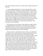dark, and in the distance beyond it I saw little volleys of sparks going up on the wind.

I was bare-legged and barefoot, in my shirt, without breeches, hieb, or coat; but I had my pack. It held not only spare clothes but also my rubies, cash, documents, papers, and ansible, and I slept with it as a pillow when I traveled. Evidently I hung onto it even during bad dreams. I got out shoes and breeches and my furlined winter hieb, and dressed, there in the cold, dark country silence, while Siuwensin smoldered half a mile behind me. Then I struck out looking for a road, and soon found one, and on it, other people. They were refugees like me, but they knew where they were going. I followed them, having no direction of my own, except away from Siuwensin; which, I gathered as we walked, had been raided by a foray from Passerer across the bridge.

They had struck, set fire, withdrawn; there had been no fight. But all at once lights glared down the dark at us, and scuttling to the roadside we watched a land-caravan, twenty trucks, come at top speed out of the west toward Siuwensin and pass us with a flash of light and a hiss of wheels twenty times repeated; then silence and the dark again.

"We soon came to a communal farm-center, where we were halted and interrogated. I tried to attach myself to the group I had followed down the road, but no luck; no luck for them either, if they did not have their identification-papers with them. They, and I as a foreigner without passport, were cut out of the herd and given separate quarters for the night in a storage-barn, a vast stone semi-cellar with one door locked on us from outside, and no window. Now and then the door was unlocked and a new refugee thrust in by a farm-policeman armed with the Gethenian sonic "gun." The door shut, it was perfectly dark: no light. One's eyes, cheated of sight, sent starbursts and fiery blots whirling through the black. The air was cold, and heavy with the dust and odor of grain. No one had a handlight; these were people who had been routed out of their beds, like me; a couple of them were literally naked, and had been given blankets by others on the way. They had nothing. If they had had anything, it would have been their papers. Better to be naked than to lack papers, in Orgoreyn.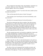They sat dispersed in that hollow, huge, dusty blindness. Sometimes two conversed a while, low-voiced. There was no fellowfeeling of being prisoners together. There was no complaint.

I heard one whisper to my left: "I saw him in the street, outside my door. His head was blown off."

"They use those guns that fire pieces of metal. Foray guns."

"Tiena said they were't from Passerer, but from Ovord Domain, come down by truck."

"But there isn't any quarrel between Ovord and Siuwensin…"

They did not understand; they did not complain. They did not protest being locked up in a cellar by their fellow-citizens after having been shot and burned out of their homes. They sought no reasons for what had happened to them. The whispers in the dark, random and soft, in the sinuous Orgota language that made Karhidish sound like rocks rattled in a can, ceased little by little. People slept. A baby fretted a while, away off in the dark, crying at the echo of its own cries.

The door squealed open and it was broad day, sunlight like a knife in the eyes, bright and frightening. I stumbled out behind the rest and was mechanically following them when I heard my name. I had not recognized it; for one thing the Orgota could say *L.* Someone had been calling it at intervals ever since the door was unlocked.

"Please come this way, Mr. Ai," said a hurried person in red, and I was no longer a refugee. I was set apart from those nameless ones with whom I had fled down a dark road and whose lack of identity I had shared all night in a dark room. I was named, known, recognized; I existed. It was an intense relief. I followed my leader gladly.

The office of the Local Commensal Farm Centrality was hectic and upset, but they made time to look after me, and apologized to me for the discomforts of the night past. "If only you had not chosen to enter the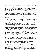Commensality at Siuwensin!" lamented one fat Inspector, "if only you had taken the customary roads!" They did not know who I was or why I was to be given particular treatment; their ignorance was evident, but made no difference. Genly Ai, the Envoy, was to be treated as a distinguished person. He was. By mid-afternoon I was on my way to Mishnory in a car put at my disposal by the Commensal Farm Centrality of East Homsvashom, District Eight. I had a new passport, and a free pass to all Transient-Houses on my road, and a telegraphed invitation to the Mishnory residence of the First Commensal District Commissioner of Entry-Roads and Ports, Mr. Uth Shusgis.

The radio of the little car came on with the engine and ran while the car did; so all afternoon as I drove through the great level grainlands of East Orgoreyn, fenceless (for there are no herd-beasts) and full of streams, I listened to the radio. It told me about the weather, the crops, roadconditions; it cautioned me to drive carefully; it gave me various kinds of news from all thirty-three Districts, the output of various factories, the shipping-information from various sea and river ports; it singsonged some Yomesh chants, and then told me about the weather again. It was all very mild, after the ranting I had heard on the radio in Erhenrang. No mention was made of the raid on Siuwensin; the Orgota government evidently meant to prevent, not rouse, excitement. A brief official bulletin repeated every so often said simply that order was being and would be maintained along the Eastern Border. I liked that; it was reassuring and unprovocative, and had the quiet toughness that I had always admired in Gethenians: Order will be maintained… I was glad, now, to be out of Karhide, an incoherent land driven towards violence by a paranoid, pregnant king and an egomaniac Regent. I was glad to be driving sedately at twenty-five miles an hour through vast, straight-furrowed grain-lands, under an even gray sky, towards a capital whose government believed in Order.

The road was posted frequently (unlike the signless Karhidish roads on which you had to ask or guess your way) with directions to prepare to stop at the Inspection-Station of such-and-such Commensal Area or Region; at these internal customs-houses one's identification must be shown and one's passage recorded. My papers were valid to all examination, and I was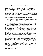politely waved on after minimal delay, and politely advised how far it was to the next Transient-House if I wanted to eat or sleep. At 25 mph it is a considerable journey from the North Fall to Mishnory, and I spent two nights on the way. Food at the Transient-Houses was dull but plentiful, lodging decent, lacking only privacy. Even that was supplied in some measure by the reticence of my fellow travelers. I did not strike up an acquaintance or have a real conversation at any of these halts, though I tried several times. The Orgota seemed not an unfriendly people, but incurious; they were colorless, steady, subdued. I liked them. I had had two years of color, choler, and passion in Karhide. A change was welcome.

Following the east bank of the great River Kunderer I came on my third morning in Orgoreyn to Mishnory, the largest city on that world.

In the weak sunlight between autumn showers it was a queer-looking city, all blank stone walls with a few narrow windows set too high, wide streets that dwarfed the crowds, street-lamps perched on ridiculous tall posts, roofs pitched steep as praying hands, shed-roofs sticking out of housewalls eighteen feet above ground like big aimless bookshelves—an ill-proportioned, grotesque city, in the sunlight. It was not built for sunlight. It was built for winter. In winter, with those streets filled ten feet up with packed, hard-rolled snow, the steep roofs icicle-fringed, sleds parked under the shed-roofs, narrow window-slits shining yellow through driving sleet, you would see the fitness of that city, its economy, its beauty.

Mishnory was cleaner, larger, lighter than Erhenrang, more open and imposing. Great buildings of yellowish-white stone dominated it, simple stately blocks all built to a pattern, housing the offices and services of the Commensal Government and also the major temples of the Yomesh cult, which is promulgated by the Commensality. There was no clutter and contortion, no sense of always being under the shadow of something high and gloomy, as in Erhenrang; everything was simple, grandly conceived, and orderly. I felt as if I had come out of a dark age, and wished I had not wasted two years in Karhide. This, now, looked like a country ready to enter the Ekumenical Age.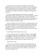I drove about the city a while, then returned the car to the proper Regional Bureau and went on foot to the residence of the First Commensal District Commissioner of Entry-Roads and Ports. I had never made quite sure whether the invitation was a request or a polite command. *Nusuth.* I was in Orgoreyn to speak for the Ekumen, and might as well begin here as anywhere.

My notions of Orgota phlegm and self-control were spoiled by Commissioner Shusgis, who advanced on me smiling and shouting, grabbed both my hands in the gesture which Karhiders reserve for moments of intense personal emotion, pumped my arms up and down as if trying to start a spark in my engine, and bellowed a greeting to the Ambassador of the Ekumen of the Known Worlds to Gethen.

That was a surprise, for not one of the twelve or fourteen Inspectors who had studied my papers had shown any sign of recognizing my name or the terms Envoy or Ekumen—all of which had been at least vaguely familiar to all Karhiders I had met. I had decided that Karhide had never let any broadcasts concerning me be used on Orgota stations, but had tried to keep me a national secret.

"Not Ambassador, Mr. Shusgis. Only an envoy."

"Future Ambassador, then. Yes, by Meshe!" Shusgis, a solid, beaming man, looked me up and down and laughed again. "You're not what  $I^{\diamondsuit}$ expected,  $\bullet$  Mr. Ai! Nowhere near it. Tall as a street-lamp, they said, thin as a sledge-runner, soot-black and slant-eyed—an ice-ogre I expected, a monster! Nothing of the kind. Only you're darker than most of us."

"Earth-colored," I said.

"And you were in Siuwensin the night of the foray? By the breasts of Meshe! what a world we live in. You might have been killed crossing the bridge over the Ey, after crossing all space to get here. Well! Well! You're here. And a lot of people want to see you, and hear you, and make you welcome to Orgoreyn at last."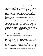He installed me at once, no arguments, in an apartment of his house. A high official and wealthy man, he lived in a style that has no equivalent in Karhide, even among lords of great Domains. Shusgis' house was a whole island, housing over a hundred employees, domestic servants, clerks, technical advisers, and so on, but no relatives, no kinfolk. The system of extended-family clans, of Hearths and Domains, though still vaguely discernible in the Commensal structure, was 'nationalized' several hundred years ago in Orgoreyn. No child over a year old lives with its parent or parents; all are brought up in the Commensal Hearths. There is no rank by descent. Private wills are not legal: a man dying leaves his fortune to the state. All start equal.

But obviously they don't go on so. Shusgis was rich, and liberal with his riches. There were luxuries in my rooms that I had not known existed on Winter—for instance, a shower. There was an electric heater as well as a well-stocked fireplace. Shusgis laughed: "They told me, keep the Envoy warm, he's from a hot world, an oven of a world, and can't stand our cold. Treat him as if he were pregnant, put furs on his bed and heaters in his room, heat his wash-water and keep his windows shut! Will it do? Will you be comfortable? Please tell me what else you'd like to have here."

Comfortable! Nobody in Karhide had ever asked me, under any circumstances, if I was comfortable.

"Mr. Shusgis," I said with emotion, "I feel perfectly at home."

He wasn't satisfied till he had got another pesthry-fur blanket on the bed, and more logs into the fireplace. "I know how it is," he said, "when I was pregnant I couldn't keep warm-my feet were like ice, I sat over the fire all that winter. Long ago of course, but I remember!" —Gethenians tend to have their children young; most of them, after the age of twenty-four or so, use contraceptives, and they cease to be fertile in the female phase at about forty. Shusgis was in his fifties, therefore his "long ago of course,"! and it certainly was difficult to imagine him as a young mother. He was a hard shrewd jovial politician, whose acts of kindness served his interest and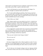whose interest was himself. His type is panhuman. I had met him on Earth, and on Hain, and on Ollul. I expect to meet him in Hell.

"You're well informed as to my looks and tastes, Mr. Shusgis. I'm flattered; I thought my reputation hadn't preceded me."

"No," he said, understanding me perfectly, "they'd just as soon have kept you buried under a snowdrift, there in Erhenrang, eh? But they let you go, they let you go; and that's when we realized, here, that you weren't just another Karhidish lunatic but the real thing."

"I don't follow you, I think."

"Why, Argaven and his crew were afraid of you, Mr. Ai—afraid of you and glad to see your back. Afraid if they mishandled you, or silenced you, there might be retribution. A foray from outer space, eh! So they didn't dare touch you. And they tried to hush you up. Because they're afraid of you and of what you bring to Gethen!"

It was exaggerated; I certainly hadn't been censored out of the Karhidish news, at least so long as Estraven was in power. But I already had the impression that for some reason news hadn't got around about me much in Orgoreyn, and Shusgis confirmed my suspicions.

"Then you aren't afraid of what I bring to Gethen?"

"No, we're not, sir!"

"Sometimes I am."

He chose to laugh jovially at that. I did not qualify my words. I'm not a salesman, I'm not selling Progress to the Abos. We have to meet as equals, with some mutual understanding and candor, before my mission can even begin.

"Mr. Ai, there are a lot of people waiting to meet you, bigwigs and little ones, and some of them are the ones you'll be wanting to talk to here, the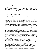people who get things done. I asked for the honor of receiving you because I've got a big house and because I'm well known as a neutral sort of fellow, not a Dominator and not an Open-Trader, just a plain Commissioner who does his job and won't lay you open to any talk about whose house you're staying in." He laughed. "But that means you'll be eating out a good deal, if you don't mind."

"I'm at your disposal, Mr. Shusgis."

"Then tonight it'll be a little supper with Vanake Slose."

"Commensal from Kuwera—Third District, is it?" Of course I had done some homework before I came. He fussed over my condescension in deigning to learn anything about his country. Manners here were certainly different from manners in Karhide; there, the fuss he was making would either have degraded his own shifgrethor or insulted mine; I wasn't sure which, but it would have done one or the other—practically everything did.

I needed clothes fit for a dinner-party, having lost my good Erhenrang suit in the raid on Siuwensin, so that afternoon I took a Government taxi downtown and brought myself an Orgota rig. Hieb and shirt were much as in Karhide, but instead of summer breeches they wore thigh-high leggings the year round, baggy and cumbrous; the colors were loud blues or reds, and the cloth and cut and make were all a little shoddy. It was standardized work. The clothes showed me what it was that this impressive, massive city lacked: elegance. Elegance is a small price to pay for enlightenment, and I was glad to pay it. I went back to Shusgis' house and reveled in the hot showerbath, which came at one from all sides in a kind of prickly mist. I thought of the cold tin tubs of East Karhide that I had chattered and shuddered in last summer, the ice-ringed basin in my Erhenrang room. Was that elegance? Long live comfort! I put on my gaudy red finery, and was driven with Shusgis to the supper-party in his chauffeured private car. There are more servants, more services in Orgoreyn than in Karhide. This is because all Orgota are employees of the state; the state must find employment for all citizens, and does so. This, at least, is the accepted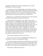explanation, though like most economic explanations it seems, under certain lights, to omit the main point.

Commensal Slose's fiercely-lighted, high, white reception room held twenty or thirty guests, three of them Commensals and all of them evidently notables of one kind or another. This was more than a group of Orgota curious to see "the alien." I was not a curiosity, as I had been for a whole year in Karhide; not a freak; not a *puzzle.* I was, it seemed, a key.

What door was I to unlock? Some of them had a notion, these statesmen and officials who greeted me effusively, but I had none.

I wouldn't find out during supper. All over Winter, even in frozen barbarian Perunter, it is considered execrably vulgar to talk business while eating. As supper was served promptly I postponed my questions and attended to a gummy fish soup and to my host and fellow guests. Slose was a frail, youngish person, with unusually light, bright eyes and a muted, intense voice; he looked like an idealist, a dedicated soul. I liked his manner, but I wondered what it was he was dedicated to. On my left sat another Commensal, a fat-faced fellow named Obsle. He was gross, genial, and inquisitive. By the third sip of soup he was asking me what the devil was I really born on some other world—what was it like there—warmer than Gethen, everybody said—how warm?

"Well, in this same latitude on Terra, it never snows."

"It never snows. It never snows?" He laughed with real enjoyment, as a child laughs at a good lie, encouraging further flights.

"Our sub-arctic regions are rather like your habitable zone; we're farther out of our last Ice Age than you, but not out, you see. Fundamentally Terra and Gethen are very much alike. All the inhabited worlds are. Men can live only within a narrow range of environments; Geth-en's at one extreme…"

"Then there are worlds hotter than yours?"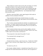"Most of them are warmer. Some are hot; Gde, for instance. It's mostly sand and rock desert. It was warm to start with, and an exploitive civilization wrecked its natural balances fifty or sixty thousand years ago, burned up the forests for kindling, as it were. There are still people there, but it resembles—if I understand the Text —the Yomesh idea of where thieves go after death."

That drew a grin from Obsle, a quiet, approving grin which made me suddenly revise my estimation of the man.

"Some subcultists hold that those Afterlife Interims are actually, physically situated on other worlds, other planets of the real universe. Have you met with that idea, Mr. Ai?"

"No; I've been variously described, but nobody's yet explained me away as a ghost." As I spoke I chanced to look to my right, and saying "ghost" saw one. Dark, in dark clothing, still and shadowy, he sat at my elbow, the specter at the feast.

Obsle's attention had been taken up by his other neighbor, and most people were listening to Slose at the head of the table. I said in a low voice, "I didn't expect to see you here, Lord Estraven."

"The unexpected is what makes life possible," he said.

"I was entrusted with a message for you."

He looked inquiring.

"It takes the form of money—some of your own— Foreth rem ir Osboth sends it. I have it with me, at Mr. Shusgis' house. I'll see that it comes to you."

"It's kind of you, Mr. Ai.

He was quiet, subdued, reduced—a banished man living off his wits in a foreign land. He seemed disinclined to talk with me, and I was glad not to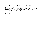talk with him. Yet now and then during that long, heavy, talkative supperparty, though all my attention was given to those complex and powerful Orgota who meant to befriend or use me, I was sharply aware of him: of his silence: of his dark averted face. And it crossed my mind, though I dismissed the idea as baseless, that I had not come to Mishnory to eat roast blackfish with the Commensals of my own free will; nor had they brought me here. He had.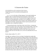# 9. Estraven the Traitor

*An East Karhidish tale, as told in Gorinhering by Tobord Chorhawa and recorded by G.A. The story is well known in various versions, and a 'habben' play based on it is in the repertory of traveling players east of the Kargav.*

LONG AGO, BEFORE the days of King Argaven I who made Karhide one kingdom, there was blood feud between the Domain of Stok and the Domain of Estre in Kerm Land. The feud had been fought in forays and ambushes for three generations, and there was no settling it, for it was a dispute over land. Rich land is scarce in Kerm, and a Domain's pride is in the length of its borders, and the lords of Kerm Land are proud men and umbrageous men, casting black shadows.

It chanced that the heir of the flesh of the Lord of Estre, a young man, skiing across Icefoot Lake in the month of Irrem hunting pesthry, came onto rotten ice and fell into the lake. Though by using one ski as a lever on a firmer ice-edge he pulled himself up out of the water at last, he was in almost as bad case out of the lake as in it, for he was drenched, the air was *kurem*,\*

Kurem, damp weather,  $0^{\circ}$  to -20 $^{\circ}$  F.

and night was coming on. He saw no hope of reaching Estre eight miles away uphill, and so set off towards the village of Ebos on the north shore of the lake. As night fell the fog flowed down off the glacier and spread out all across the lake, so that he could not see his way, nor where to set his skis. Slowly he went for fear of rotten ice, yet in haste, because the cold was at his bones and before long he would not be able to move. He saw at last a light before him in the night and fog. He cast off his skis, for the lakeshore was rough going and bare of snow in places. His legs would not well hold him up any more, and he struggled as best he could to the light. He was far astray from the way to Ebos. This was a small house set by itself in a forest of the thore-trees that are all the woods of Kerm Land, and they grew close all about the house and no taller than its roof. He beat at the door with his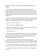hands and called aloud, and one opened the door and brought him into firelight.

There was no one else there, only this one person alone. He took Estraven's clothes off him that were like clothes of iron with the ice, and put him naked between furs, and with the warmth of his own body drove out the frost from Estraven's feet and hands, and face, and gave him hot ale to drink. At last the young man was recovered, and looked on the one who cared for him.

This was a stranger, young as himself. They looked at each other. Each of them was comely, strong of frame and fine of feature, straight and dark. Estraven saw that the fire of kemmer was in the face of the other.

He said, "I am Arek of Estre."

The other said, "I am Therem of Stok."

Then Estraven laughed, for he was still weak, and said, "Did you warm me back to life in order to kill me, Stokven?"

The other said, 'No.'

He put out his hand and touched Estraven's hand, as if he were making certain that the frost was driven out. At the touch, though Estraven was a day or two from his kemmer, he felt the fire waken in himself. So for a while both held still, their hands touching.

"They are the same," said Stokven, and laying his palm against Estraven's showed it was so: their hands were the same in length and form, finger by finger, matching like the two hands of one man laid palm to palm.

"I have never seen you before," Stokven said. "We are mortal enemies." He rose, and built up the fire in the hearth, and returned to sit by Estraven.

"We are mortal enemies," said Estraven. "I would swear kemmering with you."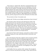"And I with you," said the other. Then they vowed kemmering to each other, and in Kerm Land then as now that vow of faithfulness is not to be broken, not to be replaced. That night, and the day that followed, and the night that followed, they spent in the hut in the forest by the frozen lake. On the next morning a party of men from Stok came to the hut. One of them knew young Estraven by sight. He said no word and gave no warning but drew his knife, and there in Stokven's sight stabbed Estraven in the throat and chest, and the young man fell across the cold hearth in his blood, dead.

"He was the heir of Estre," the murderer said.

Stokven said, "Put him on your sledge, and take him to Estre for burial."

He went back to Stok. The men set off with Estraven's body on the sledge, but they left it far in the thore-forest for wild beasts to eat, and returned that night to Stok. Therem stood up before his parent in the flesh, Lord Harish rem ir Stokven, and said to the men, "Did you do as I bid you?" They answered, "Yes." Therem said, "You lie, for you would never have come back alive from Estre. These men have disobeyed my command and lied to hide their disobedience: I ask their banishment." Lord Harish granted it, and they were driven out of hearth and law.

Soon after this Therem left his Domain, saying that he wished to indwell at Rotherer Fastness for a time, and he did not return to Stok until a year had passed.

Now in the Domain of Estre they sought for Arek in mountain and plain, and then mourned for him: bitter the mourning through summer and autumn, for he had been the lord's one child of the flesh. But in the end of the month Thern when winter lay heavy on the land, a man came up the mountainside on skis, and gave to the warder at Estre Gate a bundle wrapped in furs, saying, "This is Therem, the son's son of Estre." Then he was down the mountain on his skis like a rock skipping over water, gone before any thought to hold him.

In the bundle of furs lay a newborn child, weeping. They brought the child in to Lord Sorve and told him the stranger's words; and the old lord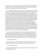full of grief saw in the baby his lost son Arek. He ordered that the child be reared as a son of the Inner Hearth, and that he be called Therem, though that was not a name ever used by the clan of Estre.

The child grew comely, fine and strong; he was dark of nature and silent, yet all saw in him some likeness to the lost Arek. When he was grown Lord Sorve in the willfulness of old age named him heir of Estre. Then there were swollen hearts among Sorve's kemmering-sons, all strong men in their prime, who had waited long for lordship. They laid ambush against young Therem when he went out alone hunting pesthry in the month of Irrem. But he was armed, and not taken unawares. Two of his hearth-brothers he shot, in the fog that lay thick on Icefoot Lake in the thaw-weather, and a third he fought with, knife to knife, and killed at last, though he himself was wounded on the chest and neck with deep cuts. Then he stood above his brother's body in the mist over the ice, and saw that night was falling. He grew sick and weak as the blood ran from his wounds, and he thought to go to Ebos village for help; but in the gathering dark he went astray, and came to the thore-forest on the east shore of the lake. There seeing an abandoned hut he entered it, and too faint to light a fire he fell down on the cold stones of the hearth, and lay so with his wounds unstanched.

One came in out of the night, a man alone. He stopped in the doorway and was still, staring at the man who lay in his blood across the hearth. Then he entered in haste, and made a bed of furs that he took out of an old chest, and built up a fire, and cleaned Therem's wounds and bound them. When he saw the young man look at him he said, "I am Therem of Stok."

"I am Therem of Estre."

There was silence a while between them. Then the young man smiled and said, "Did you bind up my wounds in order to kill me, Stokven?"

"No," said the older one.

Estraven asked, "How does it chance that you, the Lord of Stok, are here on disputed land alone?"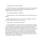"I come here often," Stokven replied.

He felt the young man's pulse and hand for fever, and for an instant laid his palm flat to Estraven's palm; and finger by finger their two hands matched, like the two hands of one man.

"We are mortal enemies," said Stokven.

Estraven answered, "We are mortal enemies. Yet I have never seen you before."

Stokven turned aside his face. "Once I saw you, long ago," he said. "I wish there might be peace between our houses."

Estraven said, "I will vow peace with you."

So they made that vow, and then spoke no more, and the hurt man slept. In the morning Stokven was gone, but a party of people from Ebos village came to the hut and carried Estraven home to Estre. There none dared longer oppose the old lord's will, the rightness of which was written plain in three men's blood on the lake-ice; and at Sorve's death Therem became Lord of Estre. Within the year he ended the old feud, giving up half the disputed lands to the Domain of Stok. For this, and for the murder of his hearth-brothers, he was called Estraven the Traitor. Yet his name, Therem, is still given to children of that Domain.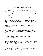### 10. Conversations in Mishnory

NEXT MORNING AS I finished a late breakfast served to me in my suite in Shusgis' mansion the house-phone emitted a polite bleat. When I switched it on, the caller spoke in Karhidish: "Therem Harth here. May I come up?"

"Please do."

I was glad to get the confrontation over with at once. It was plain that no tolerable relationship could exist between Estraven and myself. Even though his disgrace and exile were at least nominally on my account, I could take no responsibility for them, feel no rational guilt; he had made neither his acts nor his motives clear to me in Erhenrang, and I could not trust the fellow. I wished that he was not mixed up with these Orgota who had, as it were, adopted me. His presence was a complication and an embarrassment.

He was shown into the room by one of the many house-employees. I had him sit down in one of the large padded chairs, and offered him breakfastale. He refused. His manner was not constrained—he had left shyness a long way behind him if he ever had any—but it was restrained: tentative, aloof.

"The first real snow," he said, and seeing my glance at the heavily curtained window, "You haven't looked out yet?"

I did so, and saw snow whirling thick on a light wind down the street, over the whitened roofs; two or three inches had fallen in the night. It was Odarhad Gor, the 17th of the first month of autumn. "It's early," I said, caught by the snow-spell for a moment.

"They predict a hard winter this year."

I left the curtains drawn back. The bleak even light from outside fell on his dark face. He looked older. He had known some hard times since I saw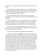him last in the Corner Red Dwelling of the Palace in Erhenrang by his own fireside.

"I have here what I was asked to bring you," I said, and gave him the foilskin-wrapped packet of money, which I had set out on a table ready after his call. He took it and thanked me gravely. I had not sat down. After a moment, still holding the packet, he stood up.

My conscience itched a little, but I did not scratch it. I wanted to discourage him from coming to me. That this involved humiliating him was unfortunate.

He looked straight at me. He was shorter than I, of course, short-legged and compact, not as tall even as many women of my race. Yet when he looked at me he did not seem to be looking up at me. I did not meet his eyes. I examined the radio on the table with a show of abstracted interest.

"One can't believe everything one hears on that radio, here," he said pleasantly. "Yet it seems to me that here in Mishnory you are going to be in some need of information, and advice."

"There seem to be a number of people quite ready to supply it."

"And there's safety in numbers,  $\bullet$  eh? Ten are more trustworthy than one. Excuse me, I shouldn't use Karhidish, I forgot." He went on in Orgota, "Banished men should never speak their native tongue; it comes bitter from their mouth. And this language suits a traitor better, I think; drips off one's teeth like sugar-syrup. Mr. Ai, I have the right to thank you. You performed a service both for me and for my old friend and kemmering Ashe Foreth, and in his name and mine I claim my right. My thanks take the form of advice." He paused; I said nothing. I had never heard him use this sort of harsh, elaborate courtesy, and had no idea what it signified. He went on, "You are, in Mishnory, what you were not, in Erhenrang. There they said you were; here they'll say you're not. You are the tool of a faction. I advise you to be careful how you let them use you. I advise you to find out what the enemy faction is, and who they are, and never to let them use you, for they will not use you well."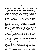He stopped. I was about to demand that he be more specific, but he said, "Goodbye, Mr. Ai," turned, and left. I stood benumbed. The man was like an electric shock—nothing to hold on to and you don't know what hit you.

He had certainly spoiled the mood of peaceful self-congratulation in which I had eaten breakfast. I went to the narrow window and looked out. The snow had thinned a little. It was beautiful, drifting in white clots and clusters like a fall of cherry-petals in the orchards of my home, when a spring wind blows down the green slopes of Borland, where I was born: on Earth, warm Earth, where trees bear flowers in spring. All at once I was utterly downcast and homesick. Two years I had spent on this damned planet, and the third winter had begun before autumn was underway months and months of unrelenting cold, sleet, ice, wind, rain, snow, cold, cold inside, cold outside, cold to the bone and the marrow of the bone. And all that time on my own, alien and isolate, without a soul I could trust. Poor Genly, shall we cry? I saw Estraven come out of the house onto the street below me, a dark foreshortened figure in the even, vague gray-white of the snow. He looked about, adjusting the loose belt of his hieb—he wore no coat. He set off down the street, walking with a deft, definite grace, a quickness of being that made him seem in that minute the only thing alive in all Mishnory.

I turned back to the warm room. Its comforts were stuffy and cloddish, the heater, the padded chairs, the bed piled with furs, the rugs, drapes, wrappings, mufflings.

I put on my winter coat and went out for a walk, in a disagreeable mood, in a disagreeable world.

I was to lunch that day with Commensals Obsle and Yegey and others I had met the night before, and to be introduced to some I had not met. Lunch is usually served from a buffet and eaten standing up, perhaps so that one will not feel he has spent the entire day sitting at table. For this formal affair, however, places were set at table, and the buffet was enormous, eighteen or twenty hot and cold dishes, mostly variations on sube-eggs and breadapple. At the sideboard, before the taboo on conversation applied,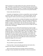Obsle remarked to me while loading up his plate with batter-fried subeeggs, "The fellow named Mersen is a spy from Erhenrang, and Gaum there is an open agent of the Sarf, you know." He spoke conversationally, laughed as if I had made an amusing reply, and moved off to the pickled blackfish.

I had no idea what the Sarf was.

As people were beginning to sit down a young fellow came in and spoke to the host, Yegey, who then turned to us. "News from Karhide," he said. "King Argaven's child was born this morning, and died within the hour."

There was a pause, and a buzz, and then the handsome man called Gaum laughed and lifted up his beer-tankard. "May all the Kings of Karhide live as long!" he cried. Some drank the toast with him, most did not. "Name of Meshe, to laugh at a child's death," said a fat old man in purple sitting heavily down beside me, his leggings bunched around his thighs like skirts, his face heavy with disgust

Discussion arose as to which of his kemmering-sons Argaven might name as his heir—for he was well over forty and would now surely have no child of his flesh— and how long he might leave Tibe as Regent. Some thought the regency would be ended at once, others were dubious. "What do you think, Mr. Ai?" asked the man called Mersen, whom Obsle had identified as a Karhidish agent, and thus presumably one of Tibe's own men. "You've just come from Erhenrang, what are they saying there about these rumors that Argaven has in fact abdicated without announcement, handed the sledge over to his cousin?"

"Well, I've heard the rumor, yes."

"Do you think it's got any foundation?"

"I have no idea," I said, and at this point the host intervened with a mention of the weather; for people had begun to eat.

After servants had cleared away the plates and the mountainous wreckage of roasts and pickles from the buffet, we all sat on around the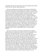long table; small cups of a fierce liquor were served, lifewater they called it, as men often do; and they asked me questions.

Since my examination by the physicians and scientists of Erhenrang I had not been faced with a group of people who wanted me to answer their questions. Few Karhiders, even the fishermen and farmers with whom I had spent my first months, had been willing to satisfy their curiosity—which was often intense—by simply asking. They were involute, introvert, indirect; they did not like questions and answers. I though of Otherherd Fastness, of what Faxe the Weaver had said concerning answers… Even the experts had limited their questions to strictly physiological subjects, such as the glandular and circulatory functions in which I differed most notably from the Gethenian norm. They had never gone on to ask, for example, how the continuous sexuality of my race influenced its social institutions, how we handled our 'permanent kemmer'. They listened, when I told them; the psychologists listened when I told them about mindspeech; but not one of them had brought himself to ask enough general questions to form any adequate picture of Terran or Ekumenical society—except, perhaps, Estraven.

Here they weren't quite so tied up by considerations of everybody's prestige and pride, and questions evidently were not insulting either to the asker or the one questioned. However I soon saw that some of the questioners were out to catch me, to prove me a fraud. That threw me off balance a minute. I had of course met with incredulity in Karhide, but seldom with a will to incredulity. Tibe had put on an elaborate show of going-along-with-the-hoax, the day of the parade in Erhenrang, but as I now knew that was part of the game he had played to discredit Estraven, and I guessed that Tibe did in fact believe me. He had seen my ship, after all, the little lander that had brought me down onplanet; he had free access along with anyone else to the engineers' reports on the ship and the ansible. None of these Orgota had seen the ship. I could show them the ansible, but it didn't make a very convincing Alien Artifact, being so incomprehensible as to fit in with hoax as well as with reality. The old Law of Cultural Embargo stood against the importation of analyzable, imitable artifacts at this stage, and so I had nothing with me except the ship and ansible, my box of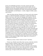pictures, the indubitable peculiarity of my body, and the unprovable singularity of my mind. The pictures passed around the table, and were examined with the noncommittal expression you see on the faces of people looking at pictures of somebody else's family. The questioning continued. What, asked Obsle, was the Ekumen—a world, a league of worlds, a place, a government?

"Well, all of those and none. Ekumen is our Terran word; in the common tongue it's called the Household; in Karhidish it would be the Hearth. In Orgota I'm not sure, I don't know the language well enough yet. Not the Commensality, I think, though there are undoubtedly similarities between the Commensal Government and the Ekumen. But the Ekumen is not essentially a government at all. It is an attempt to reunify the mystical with the political, and as such is of course mostly a failure; but its failure has done more good for humanity so far than the successes of its predecessors. It is a society and it has, at least potentially, a culture. It is a form of education; in one aspect it's a sort of very large school—very large indeed. The motives of communication and cooperation are of its essence, and therefore in another aspect it's a league or union of worlds, possessing some degree of centralized conventional organization. It's this aspect, the League, that I now represent. The Ekumen as a political entity functions through coordination, not by rule. It does not enforce laws; decisions are reached by council and consent, not by consensus or command. As an economic entity it is immensely active, looking after interworld communication, keeping the balance of trade among the Eighty Worlds. Eighty-four, to be precise, if Gethen enters the Ekumen…"

"What do you mean, it doesn't enforce its laws?" said Slose.

"It hasn't any. Member states follow their own laws; when they clash the Ekumen mediates, attempts to make a legal or ethical adjustment or collation or choice. Now if the Ekumen, as an experiment in the superorganic, does eventually fail, it will have to become a peace-keeping force, develop a police, and so on. But at this point there's no need. All the central worlds are still recovering from a disastrous era a couple of centuries ago, reviving lost skills and lost ideas, learning how to talk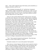again…" How could I explain the Age of the Enemy, and its aftereffects, to a people who had no word for war?

"This is absolutely fascinating, Mr. Ai," said the host, Commensal Yegey, a delicate, dapper, drawling fellow with keen eyes. "But I can't see what they'd want with us. I mean to say, what particular good is an eightyfourth world to them? And not, I take it, a very clever world, for we don't have Star Ships and so on, as they all do."

"None of us did, until the Hainish and the Cetians arrived. And some worlds still weren't allowed to, for centuries, until the Ekumen established the canons for what I think you here call Open Trade." That got a laugh all around, for it was the name of Yegey's party or faction within the Commensality. "Open trade is really what I'm here to try to set up. Trade not only in goods, of course, but in knowledge, technologies, ideas, philosophies, art, medicine, science, theory… I doubt that Gethen would ever do much physical coming-and-going to the other worlds. We are seventeen light-years here from the nearest Ekumenical World, Ollul, a planet of the star you call Asyomse; the farthest is two hundred and fifty light-years away and you cannot even see its star. With the ansible communicator, you could talk with that world as if by radio with the next town. But I doubt you'd ever meet any people from it… The kind of trade I speak of can be highly profitable, but it consists largely of simple communication rather than of transportation. My job here is, really, to find out if you're willing to communicate with the rest of mankind."

"'You,'" Slose repeated, leaning forward intensely: "Does that mean Orgoreyn? or does it mean Gethen as a whole?"

I hesitated a moment, for it was not the question I had expected.

"Here and now, it means Orgoreyn. But the contract cannot be exclusive. If Sith, or the Island Nations, or Karhide decide to enter the Ekumen, they may. It's a matter of individual choice each time. Then what generally happens, on a planet as highly developed as Gethen, is that the various anthrotypes or regions or nations end up by establishing a set of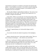representatives to function as coordinator on the planet and with the other planets—a local Stability, in our terms. A lot of time is saved by beginning this way; and money, by sharing the expense. If you decided to set up a starship of your own, for instance."

"By the milk of Meshe!" said fat Humery beside me. "You want *us* to go shooting off into the Void? Ugh!" He wheezed, like the high notes of an accordion, in disgust and amusement.

Gaum spoke: "Where is *your* ship, Mr. Ai?" He put the question softly, half-smiling, as if it were extremely subtle and he wished the subtlety to be noticed. He was a most extraordinarily handsome human being, by any standards and as either sex, and I couldn't help staring at him as I answered, and also wondered again what the Sarf was. "Why, that's no secret; it was talked about a good bit on the Karhidish radio. The rocket that landed me on Horden Island is now in the Royal Workshop Foundry in the Artisan School; most of it, anyway; I think various experts went off with various bits of it after they'd examined it."

"Rocket?" inquired Humery, for I had used the Orgota word for firecracker.

"It succinctly describes the method of propulsion of the landingboat, sir."

Humery wheezed some more. Gaum merely smiled, saying, "Then you have no means of returning to... well, wherever you came from?"

"Oh, yes. I could speak to Ollul by ansible and ask them to send a NAFAL ship to pick me up. It would get here in seventeen years. Or I could radio to the starship that brought me into your solar system. It's in orbit around your sun now. It would get here in a matter of days."

The sensation that caused was visible and audible, and even Gaum couldn't hide his surprise. There was some discrepancy here. This was the one major fact I had kept concealed in Karhide, even from Estraven. If, as I had been given to understand, the Orgota knew about me only what Karhide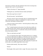had chosen to tell them, then this should have been only one among many surprises. But it wasn't. It was the big one.

"Where is this ship, sir?" Yegey demanded.

"Orbiting the sun, somewhere between Gethen and Kuhurn."

"How did you get from it to here?"

"By the firecracker," said old Humery.

"Precisely. We don't land an interstellar ship on a populated planet until open communication or alliance is established. So I came in on a little rocket-boat, and landed on Horden Island."

"And you can get in touch with the—with the big ship by ordinary radio, Mr. Ai?" That was Obsle.

"Yes," I omitted mention for the present of my little relay satellite, set into orbit from the rocket; I did not want to give them the impression that their sky was full of my junk. "It would take a fairly powerful transmitter, but you have plenty of those."

"Then we could radio your ship?"

"Yes, if you had the proper signal. The people aboard are in a condition we call stasis, hibernation you might say, so that they won't lose out of their lives the years they spend waiting for me to get my business done down here. The proper signal on the proper wavelength will set machinery in motion which will bring them out of stasis; after which they'll consult with me by radio, or by ansible using Ollul as relay-center."

Someone asked uneasily, "How many of them?"

"Eleven."

That brought a little sound of relief, a laugh. The tension relaxed a little.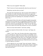"What if you never signaled?" Obsle asked.

"They'll come out of stasis automatically, about four years from now."

"Would they come here after you, then?"

"Not unless they'd heard from me. They'd consult with the Stabiles on Ollul and Ham, by ansible. Most likely they'd decide to try again-send down another person as Envoy. The Second Envoy often finds things easier than the First. He has less explaining to do, and people are likelier to believe him…"

Obsle grinned. Most of the others still looked thoughtful and guarded. Gaum gave me an airy little nod, as if applauding my quickness to reply: a conspirator's nod. Slose was staring bright-eyed and tense at some inner vision, from which he turned abruptly to me. "Why," he said, "Mr. Envoy, did you never speak of this other ship, during your two years in Karhide?"

"How do we know that he didn't?" said Gaum, smiling.

"We know damned well that he didn't, Mr. Gaum," said Yegey, also smiling.

"I didn't," I said. "This is why. The idea of that ship, waiting out there, can be an alarming one. I think some of you find it so. In Karhide, I never advanced to a point of confidence with those I dealt with that allowed me to take the risk of speaking of the ship. Here, you've had longer to think about me; you're willing to listen to me out in the open, in public; you're not so much ruled by fear. I took the risk because I think the time has come to take it, and that Orgoreyn is the place."

"You are right, Mr. Ai, you are right!" Slose said violently. "Within a month you will send for that ship, and it will be made welcome in Orgoreyn as the visible sign and seal of the new epoch. Their eyes will be opened who will not see now!"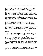It went on, right on till dinner was served to us where we sat. We ate and drank and went home, I for one worn out, but pleased all in all with the way things had gone. There were warnings and obscurities, of course. Slose wanted to make a religion of me. Gaum wanted to make a sham of me. Mersen seemed to want to prove that he was not a Karhidish agent by proving that I was. But Obsle, Yegey, and some others were working on a higher level. They wanted to communicate with the Stabiles, and to bring the NAFAL ship down on Orgota ground, in order to persuade or coerce the Commensality of Orgoreyn to ally itself with the Ekumen. They believed that in doing so Orgoreyn would gain a large and lasting prestige-victory over Karhide, and that the Commensals who engineered this victory would gain according prestige and power in their government. Their Open Trade faction, a minority in the Thirty-Three, opposed the continuation of the Sinoth Valley dispute, and in general represented a conservative, unaggressive, non-nationalistic policy. They had been out of power for a long time and were calculating that their way back to power might, with some risks taken, lie on the road I pointed out. That they saw no farther than that, that my mission was a means to them and not an end, was no great harm. Once they were on the road, they might begin to get some sense of where it could take them. Meanwhile, if shortsighted, they were at least realistic.

Obsle, speaking to persuade others, had said, "Either Karhide will fear the strength this alliance will give us— and Karhide is always afraid of new ways and new ideas, remember—and so will hang back and be left behind. Or else the Erhenrang Government will get up their courage and come and ask to join, after us, in second place. In either case the shifgrethor of Karhide will be diminished; and in either case, we drive the sledge. If we have the wits to take this advantage now, it will be a permanent advantage and a certain one!" Then turning to me, "But the Ekumen must be willing to help us, Mr. Ai. We have got to have more to show our people than you alone, one man, already known in Erhenrang."

"I see that, Commensal. You'd like a good, showy proof, and I'd like to offer one. But I cannot bring down the ship until its safety and your integrity are reasonably secure. I need the consent and the guarantee of your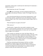government, which I take it would mean the whole board of Commensals publicly announced."

Obsle looked dour, but said, "Fair enough."

Driving  $\lozenge$  home with Shusgis, who had contributed nothing but his jovial laugh to the afternoon's business, I asked, "Mr. Shusgis, what is the Sarf?"

"One of the Permanent Bureaus of the Internal Administration. Looks out after false registries, unauthorized travel, job-substitutions, forgeries, that sort of thing—trash. That's what *sarf* means in gutter-Orgota, trash, it's a nickname."

"Then the Inspectors are agents of the Sarf?"

"Well, some are."

"And the police, I suppose they come under its authority to some extent?" I put the question cautiously and was answered in kind. "I suppose so. I'm in the External Administration, of course, and I can't keep all the offices straight, over in Internal."

"They certainly are confusing; now what's the Waters Office, for instance?" So I backed off as best I could from the subject of the Sarf. What Shusgis had not said on the subject might have meant nothing at all to a man from Hain, say, or lucky Chiffewar; but I was born on Earth. It is not altogether a bad thing to have criminal ancestors. An arsonist grandfather may bequeath one a nose for smelling smoke.

It had been entertaining and fascinating to find here on Gethen governments so similar to those in the ancient histories of Terra: a monarchy, and a genuine fullblown bureaucracy. This new development was also fascinating, but less entertaining. It was odd that in the less primitive society, the more sinister note was struck.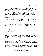So Gaum, who wanted me to be a liar, was an agent of the secret police of Orgoreyn. Did he know that Obsle knew him as such? No doubt he did. Was he then the agent provocateur? Was he nominally working with, or against, Obsle's faction? Which of the factions within the Government of Thirty-Three controlled, or was controlled by, the Sarf? I had better get these matters straight, but it might not be easy to do so. My course, which for a while had looked so clear and hopeful, seemed likely to become as tortuous and beset with secrets as it had been in Erhenrang. Everything had gone all right, I thought, until Estraven had appeared shadowlike at my side last night.

"What's Lord Estraven's position, here in Mishnory?" I asked Shusgis, who had settled back as if half asleep in the corner of the smooth-running car.

"Estraven? Harth, he's called here, you know. We don't have titles in Orgoreyn, dropped all that with the New Epoch. Well, he's a dependent of Commensal Yegey's, I understand."

"He lives there?"

"I believe so."

I was about to say that it was odd that he had been at Slose's last night and not at Yegey's today, when I saw that in the light of our brief morning interview it wasn't very odd. Yet even the idea that he was intentionally keeping away made me uncomfortable.

"They found him," said Shusgis, resettling his broad hips on the cushioned seat, "over in the Southside in a glue factory or a fish cannery or some such place, and gave him a hand out of the gutter. Some of the Open Trade crowd, I mean. Of course he was useful to them when he was in the kyorremy and Prime Minister, so they stand by him now. Mainly they do it to annoy Mersen, I think. Ha, ha! Mersen's a spy for Tibe, and of course he thinks nobody knows it but everybody does, and he can't stand the sight of Harth—thinks he's either a traitor or a double agent and doesn't know which, and can't risk shifgrethor in finding out. Ha, ha!"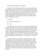"Which do you think Harth is, Mr. Shusgis?"

"A traitor, Mr. Ai. Pure and simple. Sold out his country's claims in the Sinoth Valley in order to prevent Tibe's rise to power, but didn't manage it cleverly enough. He'd have met with worse punishment than exile, here. By Meshe's tits! If you play against your own side you'll lose the whole game. That's what these fellows with no patriotism, only self-love, can't see. Though I don't suppose Harth much cares where he is so long as he can keep on wriggling towards some kind of power. He hasn't done so badly here, in five months, as you see."

"Not so badly."

"You don't trust him either, eh?"

"No, I don't."

"I'm glad to hear it, Mr. Ai. I don't see why Yegey and Obsle hang on to the fellow. He's a proven traitor, out for his own profit, and trying to hang onto your sledge, Mr. Ai, until he can keep himself going. That's how I see it. Well, I don't know that I'd give him any free rides, if he came asking me for one!" Shusgis puffed and nodded vigorously in approval of his own opinion, and smiled at me, the smile of one virtuous man to another. The car ran softly through the wide, well-lit streets. The morning's snow was melted except for dingy heaps along the gutters; it was raining now, a cold, small rain.

The great buildings of central Mishnory, government offices, schools, Yomesh temples, were so blurred by rain in the liquid glare of the high streetlights that they looked as if they were melting. Their corners were vague, their facades streaked, dewed, smeared. There was something fluid, insubstantial, in the very heaviness of this city built of monoliths, this monolithic state which called the part and the whole by the same name. And Shusgis, my jovial host, a heavy man, a substantial man, he too was somehow, around the corners and edges, a little vague, a little, just a little bit unreal.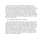Ever since I had set off by car through the wide golden fields of Orgoreyn four days ago, beginning my successful progress towards the inner sanctums of Mishnory, I had been missing something. But what?'I felt insulated. I had not felt the cold, lately. They kept rooms decently warm, here. I had not eaten with pleasure, lately. Orgota cooking was insipid; no harm in that. But why did the people I met, whether well or ill disposed towards me, also seem insipid? There were vivid personalities among them —Obsle, Slose, the handsome and detestable Gaum —and yet each of them lacked some quality, some dimension of being; and they failed to convince. They were not quite solid.

It was, I thought, as if they did not cast shadows.

This kind of rather highflown speculation is an essential part of my job. Without some capacity for it I could not have qualified as a Mobile, and I received formal training in it on Hain, where they dignify it with the title of Farfetching. What one is after when farfetching might be described as the intuitive perception of a moral entirety; and thus it tends to find expression not in rational symbols, but in metaphor. I was never an outstanding farfetcher, and this night I distrusted my own intuitions, being very tired. When I was back in my apartment I took refuge in a hot shower. But even there I felt a vague unease, as if the hot water was not altogether real and reliable, and could not be counted on.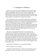### 11. Soliloquies in Mishnory

MISHNORY. STRETH SUSMY. I am not hopeful, yet all events show cause for hope. Obsle haggles and dickers with his fellow Commensals, Yegey employs blandishments, Slose proselytizes, and the strength of their following grows. They are astute men, and have their faction well in hand. Only seven of the Thirty-Three are reliable Open Traders; of the rest, Obsle thinks to gain the sure support of ten, giving a bare majority.

One of them seems to have a true interest in the Envoy: Csl. Ithepen of the Eynyen District, who has been curious about the Alien Mission since, while working for the Sarf, he was in charge of censoring the broadcasts we sent out from Erhenrang. He seems to carry the weight of those suppressions on his conscience. He proposed to Obsle that the Thirty-Three announce their invitation to the Star Ship not only to their countrymen, but at the same time to Karhide, asking Argaven to join Karhide's voice to the invitation. A noble plan, and it will not be followed. They will not ask Karhide to join them in anything.

The Sarf's men among the Thirty-Three of course oppose any consideration at all of the Envoy's presence and mission. As for those lukewarm and uncommitted whom Obsle hopes to enlist, I think they fear the Envoy, much as Argaven and most of the Court did; with this difference, that Argaven thought him mad, like himself, while they think him a liar, like themselves. They fear to swallow a great hoax in public, a hoax already refused by Karhide, a hoax perhaps even invented by Karhide. They make their invitation, they make it publicly; then where is their shifgrethor, when no Star Ship comes?

Indeed Genly Ai demands of us an inordinate trustfulness.

To him evidently it is not inordinate.

And Obsle and Yegey think that a majority of the Thirty-Three will be persuaded to trust him. I do not know why I am less hopeful than they;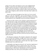perhaps I do not really want Orgoreyn to prove more enlightened than Karhide, to take the risk and win the praise and leave Karhide in the shadow. If this envy be patriotic, it comes too late; as soon as I saw that Tibe would soon have me ousted, I did all I could to ensure that the Envoy would come to Orgoreyn, and in exile here I have done what I could to win them to him.

Thanks to the money he brought me from Ashe I now live by myself again, as a 'unit' not a 'dependent.' I go to no more banquets, am not seen in public with Obsle or other supporters of the Envoy, and have not seen the Envoy himself for over a halfmonth, since his second day in Mishnory.

He gave me Ashe's money as one would give a hired assassin his fee. I have not often been so angry, and I insulted him deliberately. He knew I was angry but I am not sure he understood that he was insulted; he seemed to *accept* my advice despite the manner of its giving; and when my temper cooled I saw this, and was worried by it. Is it possible that all along in Erhenrang he was seeking my advice, not knowing how to tell me that he sought it? If so, then he must have misunderstood half and not understood the rest of what I told him by my fireside in the Palace, the night after the Ceremony of the Keystone. His shifgrethor must be founded, and composed, and sustained, altogether differently from ours; and when I thought myself most blunt and frank with him he may have found me most subtle and unclear.

His obtuseness is ignorance. His arrogance is ignorance. He is ignorant of us: we of him. He is infinitely a stranger, and I a fool, to let my shadow cross the light of the hope he brings us. I keep my mortal vanity down. I keep out of his way: for clearly that is what he wants. He is right. An exiled Karhidish traitor is no credit to his cause.

Conformable to the Orgota law that each 'unit' must have employment, I work from Eighth Hour to noon in a plastics factory. Easy work: I run a machine which fits together and heatbonds pieces of plastic to form little transparent boxes. I do not know what the boxes are for. In the afternoon, finding myself dull, I have taken up the old disciplines I learned in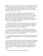Rotherer. I am glad to see I have lost no skill at summoning dothe-strength, or entering the untrance; but I get little good out of the untrance, and as for the skills of stillness and of fasting, I might as well never have learned them, and must start all over, like a child. I have fasted now one day, and my belly screams A week! A month!

The nights freeze now; tonight a hard wind bears frozen rain. All evening I have thought continually of Estre and the sound of the wind seems the sound of the wind that blows there. I wrote to my son tonight, a long letter. While writing it I had again and again a sense of Arek's presence, as if I should see him if I turned. Why do I keep such notes as these? For my son to read? Little good they would do him. I write to be writing in my own language, perhaps.

*Harhahad Susmy.* Still no mention of the Envoy has been made on the radio, not a word. I wonder if Genly Ai sees that in Orgoreyn, despite the vast visible apparatus of government, nothing is done visibly, nothing is said aloud. The machine conceals the machinations.

Tibe wants to teach Karhide how to lie. He takes his lessons from Orgoreyn: a good school. But I think we shall have trouble learning how to lie, having for so long practiced the art of going round and round the truth without ever lying about it, or reaching it either.

A big Orgota foray yesterday across the Ey; they burned the granaries of Tekember. Precisely what the Sarf wants, and what Tibe wants. But where does it end?

Slose, having turned his Yomesh mysticism onto the Envoy's statements, interprets the coming of the Ekumen to earth as the coming of the Reign of Meshe among men, and loses sight of our purpose. "We must halt this rivalry with Karhide *before* the New Men come," he says. "We must cleanse our spirits for their coming. We must forego shifgrethor, forbid all acts of vengeance, and unite together without envy as brothers of one Hearth."

But how, until they come? How to break the circle?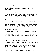*Guyrny Susmy.* Slose heads a committee that purposes to suppress the obscene plays performed in public kemmerhouses here; they must be like the Karhidish *huhuth.* Slose opposes them because they are trivial, vulgar, and blasphemous.

To oppose something is to maintain it.

They say here "all roads lead to Mishnory." To be sure, if you turn your back on Mishnory and walk away from it, you are still on the Mishnory road. To oppose vulgarity is inevitably to be vulgar. You must go somewhere else; you must have another goal; then you walk a different road.

Yegey in the Hall of the Thirty-Three today: "I unalterably oppose this blockade of grain-exports to Karhide, and the spirit of competition which motivates it." Right enough, but he will not get off the Mishnory road going that way. He must offer an alternative. Orgoreyn and Karhide both must stop following the road they're on, in either direction; they must go somewhere else, and break the circle. Yegey, I think, should be talking of the Envoy and of nothing else.

To be an atheist is to maintain God. His existence or his nonexistence, it amounts to much the same, on the plane of proof. Thus *proof* is a word not often used among the Handdarata, who have chosen not to treat God as a fact, subject either to proof or to belief: and they have broken the circle, and go free.

To learn which questions are unanswerable, and *not to answer them:* this skill is most needful in times of stress and darkness.

*Tormenbod Susmy.* My unease grows: still not one word about the Envoy has been spoken on the Central Bureau Radio. None of the news about him that we used to broadcast from Erhenrang was ever released here, and rumors rising out of illegal radio reception over the border, and traders' and travelers' stories, never seem to have spread far. The Sarf has more complete control over communications than I knew, or thought possible. The possibility is awesome. In Karhide king and kyorremy have a good deal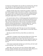of control over what people do, but very little over what they hear, and none over what they say. Here, the government can check not only act but thought. Surely no men should have such power over others.

Shusgis and others take Genly Ai about the city openly. I wonder if he sees that this openness hides the fact that he is hidden. No one knows he is here. I ask my fellow-workers at the factory, they know nothing and think I am talking of some crazy Yomesh sectarian. No information, no interest, nothing that might advance Ai's cause, or protect his life.

It is a pity he looks so like us. In Erhenrang people often pointed him out on the street, for they knew some truth or talk about him and knew he was there. Here where his presence is kept secret his person goes unremarked. They see him no doubt much as I first saw him: an unusually tall, husky, and dark youth just entering kemmer. I studied the physicians' reports on him last year. His differences from us are profound. They are not superficial. One must know him to know him alien.

Why do they hide him, then? Why does not one of the Commensals force the issue and speak of him in a public speech or on the radio? Why is even Obsle silent? Out of fear.

My king was afraid of the Envoy; these fellows are afraid of one another.

I think that I, a foreigner, am the only person Obsle trusts. He has some pleasure in my company (as I in his), and several times has waived shifgrethor and frankly asked my advice. But when I urge him to speak out, to raise public interest as a defense against factional intrigue, he does not hear me.

"If the entire Commensality had their eyes on the Envoy, the Sarf would not dare touch him," I say, "or you, Obsle."

Obsle sighs. "Yes, yes, but we can't do it, Estraven. Radio, printed bulletins, scientific periodicals, they're all in the Sarf's hands. What am I to do, make speeches on a street-corner like some fanatic priest?"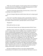"Well, one can talk to people, set rumors going; I had to do something of the same sort last year in Erhenrang. Get people asking questions to which you have the answer, that is, the Envoy himself."

"If only he'd bring that damned Ship of his down here, so that we had something to show people! But as it is—"

"He won't bring his Ship down until he knows that you're acting in good faith."

"Am I not?" cries Obsle, fattening out like a great hob-fish- "Haven't I spent every hour of the past month on this business? Good faith! He expects us to believe whatever he tells us, and then doesn't trust us in return!"

"Should he?"

Obsle puffs and does not reply.

He comes nearer honesty than any Orgota government official I know.

*Odgetheny Susmy.* To become a high officer in the Sarf one must have, it seems, a certain complex form of stupidity. Gaum exemplifies it. He sees me as a Karhidish agent attempting to lead Orgoreyn into a tremendous prestige-loss by persuading them to believe in the hoax of the Envoy from the Ekumen; he thinks that I spent my time as Prime Minister preparing this hoax. By God, I have better things to do than play shifgrethor with scum. But that is a simplicity he is unequipped to see. Now that Yegey has apparently cast me off Gaum thinks I must be purchasable, and so prepared to buy me out in his own curious fashion. He has watched me or had me watched close enough that he knew I would be due to enter kemmer on Posthe or Tormenbod; so he turned up last night in full kemmer, hormoneinduced no doubt, ready to seduce me. An accidental meeting on Pyenefen Street. "Harth! I haven't seen you in a halfmonth, where have you been hiding yourself lately? Come have a cup of ale with me."

He chose an alehouse next door to one of the Commensal Public Kemmerhouses. He ordered us not ale, but lifewater. He meant to waste no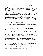time. After one glass he put his hand on mine and shoved his face up close, whispering, "We didn't'meet by chance, I waited for you: I crave you for my kemmering tonight," and he called me by my given name. I did not cut his tongue out, because since I left Estre I don't carry a knife. I told him that I intended to abstain while in exile. He cooed and muttered and held on to my hands. He was going very rapidly into full phase as a woman. Gaum is very beautiful in kemmer,  $\bullet$  and he $\bullet$  counted on his beauty and his sexual insistence, knowing,  $\bigcirc$  I suppose, that being of the Handdara I would be unlikely to use kemmer-reduction drugs, and would make a point of abstinence against the odds. He forgot that detestation is as good as any drug. I got free of his pawing, which of course was having some effect on me, and left him, suggesting that he $\bullet$  try the $\bullet$  public kemmerhouse  $\bullet$ next door. At that he looked at me with pitiable hatred: for he was, however false his purpose, truly in kemmer and deeply roused.

Did he really think I'd sell myself for his small change? He must think me very uneasy; which, indeed, makes me uneasy.

Damn them, these unclean men. There is not one clean man among them.

*Odsordny Susmy.* This afternoon Genly Ai spoke in the Hall of the  $\bullet$ Thirty-Three. $\hat{\mathbf{\diamond}}$  No $\hat{\mathbf{\diamond}}$  audience was $\hat{\mathbf{\diamond}}$  permitted and no broadcast made, but Obsle later had me in and played me his own tape of the session. The Envoy spoke well, with moving candor and urgency. There is an innocence in him that I have found merely foreign and foolish; yet in another moment that seeming innocence reveals a discipline of knowledge and a largeness of purpose that awes me. Through him speaks a shrewd, and magnanimous people, a people who have woven together into one wisdom a profound, old, terrible, and unimaginably various experience of life. But he himself is young: impatient, inexperienced. He stands higher than we stand, seeing wider, but he is himself only the height of a man.

He speaks better now than he did in Erhenrang, more simply and more subtly; he has learned his job in doing it, like us all.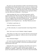His speech was often interrupted by members of the Domination faction demanding that the President stop this lunatic, turn him out, and get on with the order of business. Csl. Yemenbey was most obstreperous, and probably spontaneous. "You don't swallow this *gichy-michyp"* he kept roaring across to Obsle. Planned interruptions which made part of the tape hard to follow were led, Obsle says, by Kaharosile.—From memory:

Alshel (presiding): Mr. Envoy, we find this information, and the proposals made by Mr. Obsle, Mr. Slose, Mr. Ithepen, Mr. Yegey and others, most interesting—most stimulating. We need, however, a little more to go on. (Laughter) Since the King of Karhide has your… the vehicle you arrived on, locked up where we can't see it, would it be possible, as suggested, for you to bring down your… Star Ship? What do you call it?

Ai: Starship is a good name, sir.

Alshel: Oh? What do you call it?

Ai: Well, technically, it's a manned interstellar Cetian Design NAFAL-20.

Voice: You're sure it's not St. Pethethe's sledge? (Laughter)

Alshel: Please. Yes. Well, if you can get this ship down onto the ground here—solid ground you might say—so that we can, as it were, have some substantial—

Voice: Substantial fishguts!

Ai: I want very much to bring that ship down, Mr. Alshel, as proof and witness of our reciprocal good faith. I await only your preliminary public announcement of the event.

Kaharosile: Don't you see, Commensals, what all this is? It's not just a stupid joke. It is, in intention, a public mockery of our credulity, our gullibility, our stupidity—engineered, with incredible impudence, by this person who stands here before us today. You know he comes from Karhide.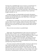You know he is a Karhidish agent. You can see he is a sexual deviant of a type which in Karhide, due to the influence of the Dark Cult, is left uncured, and sometimes is even artificially created for the Foretellers' orgies. And yet when he says "I am from outer space" some of you actually shut your eyes, abase your intellects, and *believe!* Never could I have thought it possible, etc., etc.

To judge by the tape, Ai withstood gibes and assaults with patience. Obsle says he handled himself well. I was hanging about outside the Hall to see them come out after the Session of the Thirty-Three. Ai had a grim pondering look. Well he might.

My helplessness is intolerable. I was one who set this machine running, and now cannot control its running. I slink in the streets with my hood pulled forward, to catch a glimpse of the Envoy. For this useless sneaking life I threw away my power, my money, and my friends. What a fool you are, Therem.

Why can I never set my heart on a possible thing?

*Odeps Susmy.* The transmitting device Genly Ai has now turned over to the Thirty-Three, in Obsle's care, is not going to change any minds. No doubt it does what he says it does, but if Royal Mathematician Shorst would say of it only, "I don't understand the principles," then no Orgota mathematician or engineer will do much better, and nothing is proved or disproved. An admirable outcome, were this world one Fastness of the Handdara, but alas we must walk forward troubling the new snow, proving and disproving, asking and answering.

Once more I pressed on Obsle the feasibility of having Ai radio his Star Ship, waken the people aboard, and ask them to converse with the Commensals by radio hook-up to the Hall of the Thirty-Three. This time Obsle had a reason ready for not doing so. "Listen, Estraven my dear, the Sarf runs all our radio, you know that by now. I have no idea, even I, which of the men in Communications are the Sarf men; most of them, no doubt,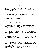for I know as a fact that they run the transmitters and receivers on every level right down to the technicians and repairmen. They could and would block—or falsify —any transmission we received, if we did receive one! Can you imagine that scene, in the Hall? We 'Outer-spacers' victims of our own hoax, listening with bated breath to a clutter of static-and nothing else —no answer, no Message?"

"And you have no money to hire some loyal technicians, or buy off some of theirs?" I asked; but no use. He fears for his own prestige. His behavior towards me is already changed. If he calls off his reception for the Envoy tonight, things are in a bad way.

*Odarhad Susmy*. He called off the reception.

This morning I went to see the Envoy, in proper Orgota style. Not openly, at Shusgis' house, where the staff must be crawling with Sarf agents, Shusgis being one himself, but in the street, by chance, Gaumfashion, sneaking and creeping. "Mr. Ai, will you hear me a moment?"

He looked around startled, and recognizing me, alarmed. After a moment he broke out, "What good is it, Mr. Harth? You know that I can't rely on what you say—since Erhenrang—"

That was candid, if not perceptive; yet it was perceptive too: he knew that I wanted to advise him, not to ask something of him, and spoke to save my pride.

I said, "This is Mishnory, not Erhenrang, but the danger you are in is the same. If you cannot persuade Obsle or Yegey to let you make radio contact with your ship, so that the people aboard it can while remaining safe lend some support to your statements, then I think you should use your own instrument, the ansible, and call the ship down at once. The risk it will run is less than the risk you are now running, alone."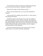"The Commensals' debates concerning my messages have been kept secret. How do you know about my 'statements,' Mr. Harth?"

"Because I have made it my life's business to know—"

"But it is not your business here, sir. It is up to the Commensals of Orgoreyn."

"I tell you that you're in danger of your life, Mr. Ai," I said; to that he said nothing, and I left him.

I should have spoken to him days ago. It is too late. Fear undoes his mission and my hope, once more. Not fear of the alien, the unearthly, not here. These Orgota have not the wits nor size of spirit to fear what is truly and immensely strange. They cannot even see it. They look at the man from another world and see what? a spy from Karhide, a pervert, an agent, a sorry little political Unit like themselves.

If he does not send for the ship at once it will be too late; it may be already too late. It is my fault. I have done nothing right.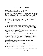## 12. On Time and Darkness

*From The Sayings of Tuhulme the High Priest, a book of the Yomesh Canon, composed in North Orgoreyn about 900 years ago.*

MESHE IS THE Center of Time. That moment of his life when he saw all things clearly came when he had lived on earth thirty years, and after it he lived on earth again thirty years, so that the Seeing befell in the center of his life. And all the ages up until the Seeing were as long as the ages will be after the Seeing, which befell in the Center of Time. And in the Center there is no time past and no time to come. In all time past it is. In all time to come it is. It has not been nor yet will it be. It is. It is all.

Nothing is unseen.

The poor man of Sheney came to Meshe lamenting that he had not food to give the child of his flesh, nor grain to sow, for the rains had rotted the seed in the ground and all the folk of his hearth starved. Meshe said, "Dig in the stone-fields of Tuerresh, and you will find there a treasure of silver and precious stones; for I see a king bury it there, ten thousand years ago, when a neighboring king presses feud upon him."

The poor man of Sheney dug in the moraines of Tuerresh and unearthed where Meshe pointed a great hoard of ancient jewels, and at sight of it he shouted aloud for joy. But Meshe standing by wept at sight of it, saying, "I see a man kill his hearth-brother for one of those carven stones. That is ten thousand years from now, and the bones of the murdered man will lie in this grave where the treasure lies. O man of Sheney, I know too where your grave is: I see you lying in it." .

The life of every man is in the Center of Time, for all were seen in the Seeing of Meshe, and are in his Eye. We are the pupils of his Eye. Our doing is his Seeing: our being his Knowing.

A hemmen-tree in the heart of Ornen Forest, which lies a hundred miles long and a hundred miles wide, was old and greatly grown, with a hundred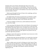branches and on every branch a thousand twigs and on every twig a hundred leaves. The tree said in its rooted being, "All my leaves are seen, but one, this one in the darkness cast by all the others. This one leaf I keep secret to myself. Who will see it in the darkness of my leaves? and who will count the number of them?"

Meshe passed through the Forest of Ornen in his wanderings, and from that one tree plucked that one leaf.

No raindrop falls in the storms of autumn that ever fell before, and the rain has fallen, and falls, and will fall throughout all the autumns of the years. Meshe saw each drop, where it fell, and falls, and will fall.

In the Eye of Meshe are all the stars, and the darknesses between the stars: and all are bright.

In the answering of the Question of the Lord of Shorth, in the moment of the Seeing, Meshe saw all the sky as if it were all one sun. Above the earth and under the earth all the sphere of sky was bright as the sun's surface, and there was no darkness. For he saw not what was, nor what will be, but what is. The stars that flee and take away their light all were present in his eye, and all their light shone presently.\*

Darkness is only in the mortal eye, that thinks it sees, but sees not. In the Sight of Meshe there is no darkness.

Therefore those that call upon the darkness\*\* are made fools of and spat out from the mouth of Meshe, for they name what is not, calling it Source and End.

There is neither source nor end, for all things are in the Center of Time. As all the stars may be reflected in a round raindrop falling in the night: so too do all the stars reflect the raindrop. There is neither darkness nor death, for all things are, in the light of the Moment, and their end and their beginning are one.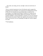One center, one seeing, one law, one light. Look now into the Eye of Meshe!

\*This is a mystical expression of one of the theories used to support the expanding-universe hypothesis, first proposed by the Mathematical School of Sith over four thousand years ago and generally accepted by later cosmologists, even though meteorological conditions on Gethen prevent their gathering much observational support from astronomy. The rate of expansion (Hubble's constant; Rerherek's constant) can in fact be estimated from the observed amount of light in the night sky; the point here involved is that, if the universe were not expanding, the night sky would not appear to be dark.

\*\*The Handdarata.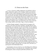#### 13. Down on the Farm

ALARMED BY Estraven's sudden reappearance, his familiarity with my affairs, and the fierce urgency of his warnings, I hailed a taxi and drove straight to Obsle's island, meaning to ask the Commensal how Estraven knew so much and why he had suddenly popped up from nowhere urging me to do precisely what Obsle yesterday had advised against doing. The Commensal was out, the doorkeeper did not know where he was or when he would be in. I went to Yegey's house with no better luck. A heavy snow, the heaviest of the autumn so far, was falling; my driver refused to take me farther than to Shusgis' house, as he did not have snow-cleats on his tires. That evening I failed to reach Obsle, Yegey, or Slose by telephone.

At dinner Shusgis explained: a Yomesh festival was going on, the Solemnity of the Saints and Throne-Upholders, and high officials of the Commensality were expected to be seen at the temples. He also explained Estraven's behavior, shrewdly enough, as that of a man once powerful and now fallen, who grasps at any chance to influence persons or events always less rationally, more desperately, as time passes and he knows himself sinking into powerless anonymity. I agreed that this would explain Estraven's anxious, almost frantic manner. The anxiety had however infected me. I was vaguely ill at ease all through that long and heavy meal. Shusgis talked and talked to me and to the many employees, aides and sycophants who sat down at his table nightly; I had never known him so longwinded, so relentlessly jovial. When dinner was over it was pretty late for going out again, and in any case the Solemnity would keep all the Commensals busy, Shusgis said, until after midnight. I decided to pass up supper, and went to bed early. Some time between midnight and dawn I was awakened by strangers, informed that I was under arrest, and taken by an armed guard to the Kundershaden Prison.

Kundershaden is old, one of the few very old buildings left in Mishnory. I had noticed it often as I went about the city, a long grimy many-towered ill-looking place, distinct among the pallid bulks and hulks of the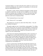Commensal edifices. It is what it looks like and is called. It is a jail. It is not a front for something else, not a façade, not a pseudonym. It is real, the real thing, the thing behind the words.

The guards, a sturdy, solid lot, hustled me through the corridors and left me alone in a small room, very dirty and very brightly lit. In a few minutes another lot of guards came crowding in as escort to a thin-faced man with an air of authority. He dismissed all but two. I asked him if I would be allowed to send word to Commensal Obsle.

"The Commensal knows of your arrest."

I said, "Knows of it?" very stupidly.

"My superiors act, of course, by order of the Thirty-Three.—You will now undergo interrogation."

The guards caught my arms. I resisted them, saying angrily, "I'm willing to answer what you ask, you can leave out the intimidation!" The thin-faced man paid no attention, but called back another guard. The three of them got me strapped on a pull-down table, stripped me, and injected me with, I suppose, one of the veridical drugs.

I don't know how long the questioning lasted or what it concerned, as I was drugged more or less heavily all the time and have no memory of it. When I came to myself again I had no idea how long I had been kept in Kundershaden: four or five days, judging by my physical condition, but I was not sure. For some while after that I did not know what day of the month it was, nor what month, and in fact I came only slowly to comprehend my surroundings at all.

I was in a caravan-truck, much like the truck that had carried me over the Kargav to Rer, but in the van; not the cab. There were twenty or thirty other people in with me, hard to tell how many, since there were no windows and light came only through a slit in the rear door, screened with four thicknesses of steel mesh. We had evidently been traveling some while when I recovered conscious thought, as each person's place was more or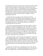less defined, and the smell of excreta, vomit, and sweat had already reached a point it neither surpassed nor declined from. No one knew any of the others. No one knew where we were being taken. There was little talking. It was the second time I had been locked in the dark with uncomplaining, unhopeful people of Orgoreyn. I knew now the sign I had been given, my first night in this country. I had ignored that black cellar and gone looking for the substance of Orgoreyn above ground, in daylight. No wonder nothing had seemed real.

I felt that the truck was going east, and couldn't get rid of this impression even when it became plain that it was going west, farther and farther into Orgoreyn. One's magnetic and directional subsenses are all wrong on other planets; when the intellect won't or can't compensate for that wrongness, the result is a profound bewilderment, a feeling that everything, literally, has come loose.

One of the truckload died that night. He had been clubbed or kicked in the abdomen, and died hemorrhaging from anus and mouth. No one did anything for him; there was nothing to be done. A plastic jug of water had been shoved in amongst us some hours before, but it was long since dry. The man happened to be next to me on the right, and I took his head on my knees to give him relief in breathing; so he died. We were all naked, but thereafter I wore his blood for clothing, on my legs and thighs and hands: a dry, stiff, brown garment with no warmth in it.

The night grew bitter, and we had to get close together for warmth. The corpse, having nothing to give, was pushed out of the group, excluded. The rest of us huddled together, swaying and jolting all in one motion, all night. Darkness was total inside our steel box. We were on some country road, and no truck followed us; even with face pressed up close to the mesh one could see nothing out the door-slit but darkness and the vague loom of fallen snow.

Falling snow; new-fallen snow; long-fallen snow; snow after rain has fallen on it; refrozen snow… Orgota and Karhidish have a word for each of these. In Karhidish (which I know better than Orgota) they have by my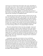count sixty-two words for the various kinds, states, ages, and qualities of snow; fallen snow, that is. There is another set of words for the varieties of snowfall; another for ice; a set of twenty or more that define what the temperature range is, how strong a wind blows, and what kind of precipitation is occurring, all together. I sat and tried to draw up lists of these words in my head that night. Each time I recalled another one I would repeat the lists, inserting it in its alphabetical place.

Along after dawn the truck stopped. People screamed out the slit .that there was a dead body in the truck: come and take it out. One after another of us screamed and shouted. We pounded together on the sides and door, making so hideous a pandemonium inside the steel box that we could not stand it ourselves. No one came. The truck stood still for some hours. At last there was a sound of voices outside; the truck lurched, skidding on an ice-patch, and set off again. One could see through the slit that it was late on a sunny morning, and that we were going through wooded hills.

The truck continued thus for three more days and nights—four in all since my awakening. It made no stops at Inspection Points, and I think it never passed through a town of any size. Its journey was erratic, furtive. There were stops to change drivers and recharge batteries; there were other, longer stops for no reason that could be discerned from inside the van. Two of the days it sat still from noon till dark, as if deserted, then began its run again at night. Once a day, around noon, a big jug of water was passed in through a trap in the door.

Counting the corpse there were twenty-six of us, two thirteens. Gethenians often think in thirteens, twenty-sixes, fifty-twos, no doubt because of the 26-day lunar cycle that makes their unvarying month and approximates their sexual cycle. The corpse was shoved up tight against the steel doors that formed the rear wall of our box, where he would keep cold. The rest of us sat and lay and crouched, each in his own place, his territory, his Domain, until night; when the cold grew so extreme that little by little we drew together and merged into one entity occupying one space, warm in the middle, cold at the periphery.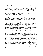There was kindness. I and certain others, an old man and one with a bad cough, were recognized as being least resistant to the cold, and each night we were at the center of the group, the entity of twenty-five, where it was warmest. We did not struggle for the warm place, we simply were in it each night. It is a terrible thing, this kindness that human beings do not lose. Terrible, because when we are finally naked in the dark and cold, it is all we have. We who are so rich, so full of strength, we end up with that small change. We have nothing else to give.

Despite our crowdedness and our huddling together nights, we in the truck were remote from one another. Some were stupefied from drugging, some were probably mental or social defectives to start with, all were abused and scared; yet it may be strange that among twenty-five not one ever spoke to all the others together, not even to curse them. Kindness there was and endurance, but in silence, always in silence. Jammed together in the sour darkness of our shared mortality, we bumped one another continually, jolted together, fell over one another, breathed our breaths mingling, laid the heat of our bodies together as a fire is laid—but remained strangers. I never learned the name of any of them in the truck.

One day, the third day I think, when the truck stopped still for hours and I wondered if they had simply left us in some desert place to rot, one of them began to talk to me. He kept telling me a long story about a mill in South Orgoreyn where he had worked, and how he had got into trouble with an overseer. He talked and talked in his soft dull voice and kept putting his hand on mine as if to be sure he had my attention. The sun was getting west of us and as we stood slewed around on the shoulder of the road a shaft of light entered in the window-slit; suddenly, even back in the box, one could see. I saw a girl, a filthy, pretty, stupid, weary girl looking up into my face as she talked, smiling timidly, looking for solace. The young Orgota was in kemmer, and had been drawn to me. The one time any one of them asked anything of me, and I couldn't give it. I got up and went to the window-slit as if for air and a look out, and did not come back to my place for a long time.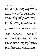That night the truck went up long grades, down, up again. From time to time it halted inexplicably. At each halt a frozen, unbroken silence lay outside the steel walls of our box, the silence of vast waste lands, of the heights. The one in kemmer still kept the place beside mine, and still sought to touch me. I stood up for a long time again with my face pressed to the steel mesh of the window, breathing clean air that cut my throat and lungs like a razor. My hands pressed against the metal door became numb. I realized at last that they were or soon would be frostbitten. My breath had made a little ice-bridge between my lips and the mesh. I had to break this bridge with my fingers before I could turn away. When I huddled down with the others I began to shake with cold, a kind of shaking I had not experienced, jumping, racking spasms like the convulsions of fever. The truck started up again. Noise and motion gave an illusion of warmth, dispelling that utter, glacial silence, but I was still too cold to sleep that night. I thought we were at a fairly high altitude most of the night, but it was hard to tell, one's breathing, heartbeat, and energy-level being unreliable indicators, given the circumstances.

As I knew later, we were crossing the Sembensyens that night, and must have gone up over nine thousand feet on the passes.

I was not much troubled by hunger. The last meal I remembered eating was that long and heavy dinner in Shusgis' house; they must have fed me in Kundershaden, but I had no recollection of it. Eating did not seem to be a part of this existence in the steel box, and I did not often think about it. Thirst, on the other hand, was one of the permanent conditions of life. Once daily at a stop the trap, evidently set into the rear-door for this purpose, was unbolted; one of us thrust out the plastic jug and it was soon thrust back in filled, along with a brief gust of icy air. There was no way to measure out the water among us. The jug was passed, and each got three or four good swallows before the next hand reached for it. No one person or group acted as dispensers or guardians; none saw to it that a drink was saved for the man who coughed, though he was now in a high fever. I suggested this once and those around me nodded, but it was not done. The water was shared more or less equally-no one ever tried to get much more than his share and was gone within a few minutes. Once the last three, up against the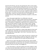forward wall of the box, got none, the jug being dry when it came to them. The next day two of them insisted on being first in line, and were. The third lay huddled in his front corner unstirring, and nobody saw to it that he got his share. Why didn't I try to? I don't know. That was the fourth day in the truck. If I had been passed over I'm not sure I would have made an effort to get my share. I was aware of his thirst and his suffering, and the sick man's, and the others', much as I was aware of my own. I was unable to do anything about any of this suffering, and therefore accepted it, as they did, placidly.

I know that people might behave very differently in the same circumstances. These were Orgota, people trained from birth in a discipline of cooperation, obedience, submission to a group purpose ordered from above. The qualities of independence and decision were weakened in them. They had not much capacity for anger. They formed a whole, I among them; each felt it, and it was a refuge and true comfort in the night, that wholeness of the huddled group each drawing life from the others. But there was no spokesman for the whole, it was headless, passive.

Men whose will was tempered to a sharper edge might have done much better: talked more, shared the water more justly, given more ease to the sick, and kept their courage higher. I don't know. I only know what it was like inside that truck.

On the fifth morning, if my count is right, from the day I wakened in the truck, it stopped. We heard talking outside and calling back and forth. The steel rear-doors were unbolted from the outside and flung wide open.

One by one we crept to that open end of the steel box, some on hands and knees, and jumped or crawled down onto the ground. Twenty-four of us did. Two dead men, the old corpse and a new one, the one who had not got his drink of water for two days, were dragged out.

It was cold outside, so cold and so glaring with white sunlight on white snow that to leave the fetid shelter of the truck was very hard, and some of us wept. We stood bunched up beside the great truck, all of us naked and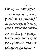stinking, our little whole, our night-entity exposed to the bright cruel daylight. They broke us up, made us form a line, and led us towards a building a few hundred yards away. The metal walls and snow-covered roof of the building, the plain of snow all around, the great range of mountains that lay under the rising sun, the vast sky, all seemed to shake and glitter with excess of light.

We were lined up to wash ourselves at a big trough in a frame hut; everybody began by drinking the wash-water. After that we were led into the main building and given undershirts, gray felt shirts, breeches, leggings, and felt boots. A guard checked off our names on a list as we filed into the refectory, where with a hundred or more other people in gray we sat at bolted-down tables and were served breakfast: grain-porridge and beer. After that the whole lot of us, new prisoners and old, were divided up into squads of twelve. My squad was taken to a sawmill a few hundred yards behind the main building, inside the fence. Outside the fence and not far from it a forest began that covered the folded hills as far to northward as the eye could see. Under the direction of our guard we carried and stacked sawn boards from the mill to a huge shed where lumber was stored through the winter.

It was not easy to walk, stoop, and lift loads, after the days in the truck. They didn't let us stand idle, but they didn't force the pace either. In the middle of the day we were served a cupful of the unfermented grain-brew, orsh; before sunset we were taken back to the barracks and given dinner, porridge with some vegetables, and beer. By nightfall we were locked into the dormitory, which was kept fully lighted all night. We slept on five-footdeep shelves all around the walls of the room in two tiers. Old prisoners scrambled for the upper tier, the more desirable, since heat rises. For bedding each man was issued a sleeping-bag at the door. They were coarse heavy bags,  $\hat{\bullet}$  foul with other men's sweat, but well insulated and warm. Their drawback for me was their shortness. An average-sized Gethenian could get clear inside head and all, but I couldn't; nor could I ever stretch out fully on the sleeping-shelf. The  $\diamondsuit$  place was  $\diamondsuit$  called  $\diamondsuit$  Pulefen  $\diamondsuit$ Commensality $\hat{\mathbf{\hat{\Phi}}} \hat{\mathbf{\hat{V}}}$  Third Voluntary  $\hat{\mathbf{\hat{\Phi}}} \hat{\mathbf{\hat{V}}}$  Farm  $\hat{\mathbf{\hat{V}}} \hat{\mathbf{\hat{V}}}$  and  $\hat{\mathbf{\hat{V}}} \hat{\mathbf{\hat{V}}}$ Resettlement $\hat{\mathbf{\diamond}} \hat{\mathbf{\diamond}}$  Agency. $\hat{\mathbf{\diamond}} \hat{\mathbf{\diamond}}$  Pulefen, District Thirty, is in the extreme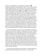northwest of the habitable zone of Orgoreyn, bounded by the $\bullet$ Sembensyen Mountains, the Esagel River, and the coast. The area is thinly settled, without big cities. The town nearest us was a place called Turuf, several miles to the southwest; I never saw it. The Farm was on the edge of a great unpopulated forest region,  $\bullet$  Tarrenpeth.  $\bullet$  Too far north for the larger trees, hemmen or serem or black vate, the forest was all of one kind of tree, a gnarled scrubby conifer ten or twelve feet high, gray-needled, called thore. Though the number of native species, plant or animal, on Winter is unusually small, the membership of each species is very large: there were thousands of square miles of thore-trees, and nothing much else, in that one forest. Even the wilderness is carefully husbanded there, and though that forest had been logged for centuries there were no waste places in it, no desolations of stumps, no eroded slopes. It seemed that every tree in it was accounted for, and that not one grain of sawdust from our mill went unused. There was a small plant on the Farm, and when the weather prevented parties from going out into the forest we worked in the mill or in the plant, treating and compressing chips, bark, and sawdust into various forms, and extracting from the dried thore-needles a resin used in plastics.

The work was genuine work, and we were not overdriven. If they had allowed a little more food and better clothing much of the work would have been pleasant, but we were too hungry and cold most of the time for any pleasure. The guards were seldom harsh and never cruel. They tended to be stolid, slovenly, heavy, and to my eyes effeminate—not in the sense of delicacy, etc., but in just the opposite sense: a gross, bland fleshiness, a bovinity without point or edge. Among my fellow-prisoners I had also for the first time on Winter a certain feeling of being a man among women, or among eunuchs. The prisoners had that same flabbiness and coarseness. They were hard to tell apart; their emotional tone seemed always low, their talk trivial. I took this lifelessness and leveling at first for the effect of the privation of food, warmth, and liberty, but I soon found out that it was more specific an effect than that: it was the result of the drugs given all prisoners to keep them out of kemmer.

I knew that drugs existed which could reduce or virtually eliminate the potency phase of the Gethenian sexual cycle; they were used when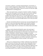convenience, medicine, or morality dictated abstinence. One kemmer, or several, could be skipped thus without ill effect. The voluntary use of such drugs was common and accepted. It had not occurred to me that they might be administered to unwilling persons.

There were good reasons. A prisoner in kemmer would be a disruptive element in his work-squad. If let off work, what was to be done with him? —especially if no other prisoner was in kemmer at the time, as was possible, there being only some 150 of us. To go through kemmer without a partner is pretty hard on a Gethenian; better, then, simply obviate the misery and wasted work-time, and not go through kemmer at all So they prevented it.

Prisoners who had been there for several years were psychologically and I believe to some extent physically adapted to this chemical castration. They were as sexless as steers. They were without shame and without desire, like the angels. But it is not human to be without shame and without desire.

Being so strictly denned and limited by nature, the sexual urge of Gethenians is really not much interfered with by society: there is less coding, channeling, and repressing of sex there than in any bisexual society I know of. Abstinence is entirely voluntary; indulgence is entirely acceptable. Sexual fear and sexual frustration are both extremely rare. This was the first case I had seen of the social purpose running counter to the sexual drive. Being a suppression, not merely a repression, it produced not frustration, but something more ominous, perhaps, in the long run: passivity.

There are no communal insects on Winter. Gethenians do not share their earth as Terrans do with those older societies, those innumerable cities of little sexless workers possessing no instinct but that of obedience to the group, the whole. If there were ants on Winter, Gethenians might have tried to imitate them long ago. The regime of the Voluntary Farms is a fairly recent thing, limited to one country of the planet and literally unknown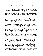elsewhere. But it is an ominous sign of the direction that a society of people so vulnerable to sexual control might take.

At Pulefen Farm we were, as I said, underfed for the work we did, and our clothing, particularly our footgear, was completely inadequate for that winter climate. The guards, most of them probationary prisoners, were not much better off. The intent of the place and its regime was punitive, but not destructive, and I think it might have been endurable, without the druggings and the examinations.

Some of the prisoners underwent the examination in groups of twelve; they merely recited a sort of confessional and catechism, got their antikemmer shot, and were released to work. Others, the political prisoners, were subjected every fifth day to questioning under drugs.

I don't know what drugs they used. I don't know the purpose of the questioning. I have no idea what questions they asked me. I would come to myself in the dormitory after a few hours, laid out on the sleeping-shelf with six or seven others, some waking like myself, some still slack and blank in the grip of the drug. When we were all afoot the guards would take us out to the plant to work; but after the third or fourth of these examinations I was unable to get up. They let me be, and next day I could go out with my squad, though I felt shaky. After the next examination I was helpless for two days. Either the anti-kemmer hormones or the veridicals evidently had a toxic effect on my non-Gethenian nervous system, and the effect was cumulative.

I remember planning how I would plead with the Inspector when the next examination came. I would start by promising to answer truthfully anything he asked, without drugs; and later I would say to him, "Sir, don't you see how useless it is to know the answer to the wrong question?" Then the Inspector would turn into Faxe, with the Foreteller's gold chain around his neck, and I would have long conversations with Faxe, very pleasantly, while I controlled the drip of acid from a tube into a vat of pulverized wood-chips. Of course when I came to the little room where they examined us, the Inspector's aide had pulled back my collar and given me the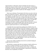injection before I could speak, and all I remember from that session, or perhaps the memory is from an earlier one, is the Inspector, a tired-looking young Orgota with dirty fingernails, saying drearily, "You must answer my questions in Orgota, you must not speak any other language. You must speak in Orgota."

There was no infirmary. The principle of the Farm was work or die; but there were leniencies in practice—gaps between work and death, provided by the guards. As I said, they were not cruel; neither were they kind. They were slipshod and didn't much care, so long as they kept out of trouble themselves. They let me and another prisoner stay in the dormitory, simply left us there in our sleeping-bags as if by oversight, when it was plain that we could not stand up on our feet. I was extremely ill after the last examination; the other, a middle-aged fellow, had some disorder or disease of the kidney, and was dying. As he could not die all at once, he was allowed to spend some time at it, on the sleeping-shelf.

I remember him more clearly than anything else in Pulefen Farm. He was physically a typical Gethenian of the Great Continent, compactly made, short-legged and short-armed, with a solid layer of subcutaneous fat giving him even in illness a sleek roundness of body. He had small feet and hands, rather broad hips, and a deep chest, the breasts scarcely more developed than in a male of my race. His skin was dark ruddy-brown, his black hair fine and fur-like. His face was broad, with small, strong features, the cheekbones pronounced. It is a type not unlike that of various isolated Terran groups living in very high altitudes or Arctic areas. His name was Asra; he had been a carpenter. We talked.

Asra was not, I think, unwilling to die, but he was afraid of dying; he sought distraction from his fear.

We had little in common other than our nearness to death, and that was not what we wanted to talk about; so, much of the time, we did not understand each other very well. It did not matter to him. I, younger and incredulous, would have liked understanding, comprehension, explanation. But there was no explanation. We talked.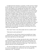At night the barracks dormitory was glaring, crowded, and noisy. During the day the lights were turned off and the big room was dusky, empty, still. We lay close together on the sleeping-shelf and talked softly. Asra liked best to tell long meandering tales about his young days on a Commensal farm in the Kunderer Valley, that broad splendid plain I had driven through coming from the border to Mishnory. His dialect was strong, and he used many names of people, places, customs, tools, that I did not know the meaing of, so I seldom caught more than the drift of his reminiscences. When he was feeling easiest, usually around noon, I would ask him for a myth or tale. Most Gethenians are well stuffed with these. Their literature, though it exists in written form, is a live oral tradition, and they are all in this sense literate. Asra knew the Orgota staples, the Short-Tales of Meshe, the tale of Parsid, parts of the great epics and the novel-like Sea-Traders saga. These, and bits of local lore recalled from his childhood, he would tell in his soft slurry dialect, and then growing tired would ask me for a story. "What do they tell in Karhide?" he would say, rubbing his legs, which tormented him with aches and shooting pains, and turning to me his face with its shy, sly, patient smile.

Once I said, "I know a story about people who live on another world."

"What kind of world would that be?"

"One like this one, all in all; but it doesn't go around the sun. It goes around the star you call Selemy. That's a yellow star like the sun, and on that world, under that sun, live other people."

"That's in the Sanovy teachings, that about the other worlds. There used to be an old Sanovy crazy-priest would come by my Hearth when I was little and tell us children all about that, where the liars go when they die, and where the suicides go, and where the thieves go— that's where we're going, me and you, eh, one of those places?"

"No, this I'm telling of isn't a spirit-world. A real one. The people that live on it are real people, alive, just like here. But very-long-ago they learned how to fly." Asra grinned.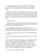"Not by flapping their arms, you know. They flew in machines like cars." But it was hard to say in Orgota, which lacks a word meaning precisely "to fly"; the closest one can come has more the meaning of "glide."

"Well, they learned how to make machines that went right over the air as a sledge goes over snow. And after a while they learned how to make them go farther and faster, till they went like the stone out of a sling off the earth and over the clouds and out of the air, clear to another world, going around another sun. And when they got to that world, what did they find there but men…"

"Sliding in the air?"

"Maybe, maybe not…When they got to my world, we already knew how to get about in the air. But they taught us how to get from world to world, we didn't yet have the machines for that."

Asra was puzzled by the injection of the teller into the tale. I was feverish, bothered by the sores which the drugs had brought out on my arms and chest, and I could not remember how I had meant to weave the story.

"Go on," he said, trying to make sense of it. "What did they do besides go in the air?"

"Oh, they did much as people do here. But they're all in kemmer all the time."

He chuckled. There was of course no chance of concealment in this life, and my nickname among prisoners and guards was, inevitably, "the Pervert." But where there is no desire and no shame no one, however anomalous, is singled out; and I think Asra made no connection of this notion with myself and my peculiarities. He saw it merely as a variation on an old theme, and so he chuckled a little and said, "In kemmer all the time… Is it a place of reward, then? Or a place of punishment?"

"I don't know, Asra. Which is this world?"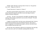"Neither, child. This here is just the world, it's how it is. You get born into it and… things are as they are…"

"I wasn't born into it. I came to it. I chose it."

The silence and the shadow hung around us. Away off in the country silence beyond the barracks walls there was one tiny edge of sound, a handsaw keening: nothing else.

"Ah well… Ah well," Asra murmured, and sighed, and rubbed his legs, making a little moaning sound that he was not aware of himself. "We none of us choose," he said.

A night or two after that he went into coma, and presently died. I had not learned what he had been sent to the Voluntary Farm for, what crime or fault or irregularity in his identification papers, and knew only that he had been in Pulefen Farm less than a year.

The day after Asra's death they called me for examination; this time they had to carry me in, and I can't remember anything further than that.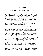## 14. The Escape

WHEN Obsle and Yegey both left town, and Slose's doorkeeper refused me entrance, I knew it was time to turn to my enemies, for there was no more good in my friends. I went to Commissioner Shusgis, and blackmailed him. Lacking sufficient cash to buy him with, I had to spend my reputation. Among the perfidious, the name of traitor is capital in itself. I told him that I was in Orgoreyn as agent of the Nobles Faction in Karhide, which was planning the assassination of Tibe, and that he had been designated as my Sarf contact; if he refused to give me the information I needed I would tell my friends in Erhenrang that he was a double agent, serving the Open Trade Faction, and this word would of course get back to Mishnory and to the Sarf: and the damned fool believed me. He told me quick enough what I wanted to know; he even asked me if I approved.

I was not in immediate danger from my friends Obsle, Yegey, and the others. They had bought their safety by sacrificing the Envoy, and trusted me to make no trouble for them or myself. Until I went to Shusgis, no one in the Sarf but Gaum had considered me worthy their notice, but now they would be hard at my heels. I must finish my business and drop out of sight. Having no way to get word directly to anyone in Karhide, as mail would be read and telephone or radio listened to, I went for the first time to the Royal Embassy. Sardon rem ir Chene-wich, whom I had known well at court, was on the staff there. He agreed at once to convey to Argaven a message stating what had become of the Envoy and where he was to be imprisoned. I could trust Chenewich, a clever and honest person, to get the message through unintercepted, though what Argaven would make of it or do with it I could not guess. I wanted Argaven to have that information in case Ai's Star Ship did come suddenly falling down out of the clouds; for at that time I still kept some hope that he had signaled the Ship before the Sarf arrested him.

I was now in peril, and if I had been seen to enter the Embassy, in instant peril. I went straight from its door to the caravan port on the Southside and before noon of that day, Odstreth Susmy, I left Mishnory as I had entered it,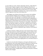as carry-loader on a truck. I had my old permits with me, a little altered to fit the new job. Forgery of papers is risky in Orgoreyn where they are inspected fifty-two times daily, but it is not rare for being risky, and my old companions in Fish Island had shown me the tricks of it. To wear a false name galls me, but nothing else would save me, or get me clear across the width of Orgoreyn to the coast of the Western Sea.

My thoughts were all there in the west as the caravan went rumbling across the Kunderer Bridge and out of Mishnory. Autumn was facing towards winter now, and I must get to my destination before the roads closed to fast traffic, and while there was still some good in getting there. I had seen a Voluntary Farm over in Komsvashom when I was in the Sinoth Administration, and had talked with ex-prisoners of Farms. What I had seen and heard lay heavy on me now. The Envoy, so vulnerable to cold that he wore a coat when the weather was in the 30's, would not survive winter in Pulefen. Thus need drove me fast, but the caravan took me slow, weaving from town to town northward and southward of the way, loading and unloading, so that it took me a halfmonth to get to Ethwen, at the mouth of the River Esagel.

In Ethwen I had luck. Talking with men in the Transient-House I heard of the fur trade up the river, how licensed trappers went up and down river by sledge or iceboat through Tarrenpeth Forest almost to the Ice. Out of their talk of traps came my plan of trap-springing. There are white-fur pesthry in Kerm Land as in the Gobrin Hinterlands; they like places that lie under the breath of the glacier. I had hunted them when I was young in the thore-forests of Kerm, why not go trapping them now in the thore-forests of Pulefen?

In that far west and north of Orgoreyn, in the great wild lands west of the Sembensyen, men come and go somewhat as they like, for there are not enough Inspectors to keep them all penned in. Something of the old freedom survives the New Epoch, there. Ethwen is a gray port built on the gray rocks of Esagel Bay; a rainy sea-wind blows in the streets, and the people are grim seamen, straight-spoken. I look back with praise to Ethwen, where my luck changed.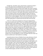I bought skis, snowshoes, traps, and provisions, acquired my hunter's license and authorization and identification and so forth from the Commensal Bureau, and set out afoot up the Esagel with a party of hunters led by an old man called Mavriva. The river was not yet frozen, and wheels were on the roads still, for it rained more than it snowed on this coastal slope even now in the year's last month. Most hunters waited till full winter, and in the month of Thern went up the Esagel by iceboat, but Mavriva meant to get far north early and trap the pesthry as they first came down into the forests in their migration. Mavriva knew the Hinterlands, the North Sembensyen, and the Fire-Hills as well as any man knows them, and in those days going upriver I learned much from him that served me later.

At the town called Turuf I dropped out of the party feigning illness. They went on north, after which I struck out northeastward by myself into the high foothills of the Sembensyen. I spent some days learning the land and then, caching almost all I carried in a hidden valley twelve or thirteen miles from Turuf, I came back to the town, approaching it from the south again, and this time entered it and put up at the Transient-House. As if stocking up for a trapping run I bought skis, snowshoes, and provisions, a fur bag and winter clothing, all over again; also a Chabe stove, a polyskin tent, and a light sledge to load it all on. Then nothing to do but wait for the rain to turn to snow and the mud to ice: not long, for I had spent over a month on my way from Mishnory to Turuf. On Arhad Thern the winter was frozen in and the snow I had waited for was falling.

I passed the electric fences of Pulefen Farm in early afternoon, all track and trace behind me soon covered by the snowfall. I left the sledge in a stream-gully well into the forest east of the Farm and carrying only a backpack snowshoed back around to the road; along it I came openly to the Farm's front gate. There I showed the papers which I had reforged again while waiting in Turuf. They were "blue stamp" now, identifying me as Thener Benth, paroled convict, and attached to them was an order to report on or before Eps Thern to Pulefen Commensality Third Voluntary Farm for two years' guard duty. A sharp-eyed Inspector would have been suspicious of those battered papers, but there were few sharp eyes here.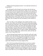Nothing easier than getting into prison. I was somewhat reassured as to the getting out.

The chief guard on duty berated me for arriving a day later than my orders specified, and sent me to the barracks. Dinner was over, and luckily it was too late to issue me regulation boots and uniform and confiscate my own good clothing. They gave me no gun, but I found one handy while I scrounged around the kitchen coaxing the cook for a bite to eat. The cook kept his gun hung on a nail behind the bake-ovens. I stole it. It had no lethal setting; perhaps none of the guards' guns did. They do not kill people on their Farms: they let hunger and winter and despair do their murders for them.

There were thirty or forty jailkeepers and a hundred and fifty or sixty prisoners, none of them very well off, most of them sound asleep though it was not much past Fourth Hour. I got a young guard to take me around and show me the prisoners asleep. I saw them in the staring light of the great room they slept in, and all but gave up my hope of acting that first night before I had drawn suspicion on myself. They were all hidden away on the longbeds in their bags like babies in wombs, invisible, indistinguishable. - All but one, there, too long to hide, a dark face like a skull, eyes shut and sunken, a mat of long, fibrous hair.

The luck that had turned in Ethwen now turned the world with it under my hand. I never had a gift but one, to know when the great wheel gives to a touch, to know and act. I had thought that foresight lost, last year in Erhenrang, and never to be regained. A great delight it was to feel that certainty again, to know that I could steer my fortune and the world's chance like a bobsled down the steep, dangerous hour.

Since I still went roaming and prying about, in my part as a restless curious dimwitted fellow, they wrote me onto the late watch-shift; by midnight all but I and one other late watcher within doors slept. I kept up my shiftless poking about the place, wandering up and down from time to time by the longbeds. I settled my plans, and began to ready my will and body to enter dothe, for my own strength would never suffice unaided by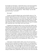the strength out of the Dark. A while before dawn I went into the sleepingroom once more and with the cook's gun gave Genly Ai a hundredthsecond of stun to the brain, then hoisted him up bag and all and carried him out over my shoulder to the guardroom. "What's doing?" says the other guard half asleep, "Let him be!"

## "He's dead."

"Another one dead? By Meshe's guts, and not hardly winter yet." He turned his head sideways to look into the Envoy's face as it hung down on my back. "That one, the Pervert, is it. By the Eye, I didn't believe all they say about Karhiders, till I took a look at him, the ugly freak he is. He spent all week on the longbed moaning and sighing, but I didn't think he'd die right off like that. Well, go dump him outside where he'll keep till daylight, don't stand there like a carry-loader with a sack of turds…"

I stopped by the Inspection Office on my way down the corridor, and I being the guard none stopped me from entering and looking till I found the wall-panel that contained the alarms and switches. None was labeled, but guards had scratched letters beside the switches to jog their memory when haste was needed; taking F.f. for "fences" I turned that switch to cut the current to the outermost defenses of the Farm, and then went on, pulling Ai along now by the shoulders. I came by the guard on duty in the watchroom by the door. I made a show of laboring to haul the dead load, for the dothestrength was full within me and I did not want it seen how easily, in fact, I could pull or carry the weight of a man heavier than myself. I said, "A dead prisoner, they said get him out of the sleeping-room. Where do I stow him?"

"I don't know. Get him outside. Under a roof, so he won't get snowburied and float up stinking next spring in the thaws. It's snowing *peditia."* He meant what we call *sove-snow,* a thick, wet fall, the best of news to me. "All right, all right," I said, and lugged my load outside and around the corner of the barracks, out of his sight. I got Ai up over my shoulders again, went northeast a few hundred yards, clambered up over the dead fence and slung my burden down, jumped down free, took up Ai once more and made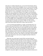off as fast as I could towards the river. I was not far from the fence when a whistle began to shriek and the floodlights went on. It snowed hard enough to hide me, but not hard enough to hide my tracks within minutes. Yet when I got down to the river they were not yet on my trail. I went north on clear ground under the trees, or through the water when there was no clear ground; the river, a hasty little tributary of the Esagel, was still unfrozen. Things were growing plain now in the dawn and I went fast. In full dothe I found the Envoy, though a long awkward load, no heavy one. Following the stream into the forest I came to the ravine where my sledge was, and onto the sledge I strapped the Envoy, loading my stuff around and over him till he was well hidden, and a weathersheet over all; then I changed clothes, and ate some food from my pack, for the great hunger one feels in longsustained dothe was already gnawing at me. Then I set off north on the main Forest Road. Before long a pair of skiers came up with me.

I was now dressed and equipped as a trapper, and told them that I was trying to catch up with Mavriva's outfit, which had gone north in the last days of Grende. They knew Mavriva, and accepted my story after a glance at my trapper's license. They were not expecting to find the escaped men heading north, for nothing lies north of Pulefen but the forest and the Ice; they were perhaps not very interested in finding the escaped men at all. Why should they be? They went on, and only an hour later passed me again on their way back to the Farm. One of them was the fellow I had stood late watch with. He had never seen my face, though he had had it before his eyes half the night.

When they were surely gone I turned off the road and all that day followed a long halfcircle back through the forest and the foothills east of the Farm, coming in at last from the east, from the wilderness, to the hidden dell above Turuf where I had cached all my spare equipment. It was hard sledging in that much-folded land, with more than my weight to pull, but the snow was thick and already growing firm, and I was in dothe. I had to maintain the condition, for once one lets the dothe-strength lapse one is good for nothing at all. I had never maintained dothe before for over an hour or so, but I knew that some of the Old Men can keep in the full strength for a day and a night or even longer, and my present need proved a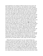good supplement to my training. In dothe one does not worry much, and what anxiety I had was for the Envoy, who should have waked long ago from the light dose of sonic I had given him. He never stirred, and I had no time to tend to him. Was his body so alien that what to us is mere paralysis was death to him? When the wheel turns under your hand, you must watch your words: and I had twice called him dead, and carried him as the dead are carried. The thought would come that this was then a dead man that I hauled across the hills, and that my luck and his life had gone to waste after all. At that I would sweat and swear, and the dothe-strength would seem to run out of me like water out of a broken jar. But I went on, and the strength did not fail me till I had reached the cache in the foothills, and set up the tent, and done what I could for Ai. I opened a box of hyperfood cubes, most of which I devoured, but some of which I got into him as a broth, for he looked near to starving. There were ulcers on his arms<sup> $\diamondsuit$ </sup> and breast, kept raw by the filthy sleeping-bag he lay in. When these sores were cleaned and he lay warm in the fur bag, as well hidden as winter and wilderness could hide him, there was no more I could do. Night had fallen and the greater darkness, the payment for the voluntary summoning of the body's full strength, was coming hard upon me; to darkness I must entrust myself, and him. We slept. Snow fell. All the night and day and night of my *thangen*sleep it must have snowed, no blizzard, but the first great snowfall of winter. When at last I roused and pulled myself up to look out, the tent was half buried. Sunlight and blue shadows lay vivid on the snow. Far and high in the east one drift of gray dimmed the sky's brightness: the smoke of Udenushreke, nearest to us of the Fire-Hills. Around the little peak of the tent lay the snow, mounds, hillocks, swells, slopes, all white, untrodden.

Being still in the recovery-period I was very weak and sleepy, but whenever I could rouse myself I gave Ai broth, a little at a time; and in the evening of that day he came to life, if not to his wits. He sat up crying out as if in great terror. When I knelt by him he struggled to get away from me, and the effort being too much for him, fainted. That night he talked much, in no tongue I knew. It was strange, in that dark stillness of the wilds, to hear him mutter words of a language he had learned on another world than this. The next day was hard, for whenever I tried to look after him he took me, I think, for one of the guards at the Farm, and was in terror that I would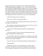give him some drug. He would break out into Orgota and Karhidish all babbled pitifully together, begging me "not to," and he fought me with a panic strength. This happened again and again, and as I was still in thangen and weak of limb and will, it seemed I could not care for him at all. That day I thought that they had not only drugged but mindchanged him, leaving him insane or imbecile. Then I wished that he had died on the sledge in the thore-forest, or that I had never had any luck at all, but had been arrested as I left Mishnory and sent to some Farm to work out my own damnation.

I woke from sleep and he was watching me.

"Estraven?" he said in a weak amazed whisper.

Then my heart lifted up. I could reassure him, and see to his needs; and that night we both slept well.

The next day he was much improved, and sat up to eat. The sores on his body were healing. I asked him what they were.

"I don't know. I think the drugs caused them; they kept giving me injections…"

"To prevent kemmer?" That was one report I had heard from men escaped or released from Voluntary Farms.

"Yes. And others, I don't know what they were, veridicals of some kind. They made me ill, and they kept giving them to me. What were they trying to find out, what could I tell them?"

"They may have not so much been questioning as domesticating you."

"Domesticating?"

"Rendering you docile by a forced addiction to one of the orgrevy derivatives. That practice is not unknown in Karhide. Or they may have been carrying out an experiment on you and the others. I have been told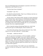they test mindchanging drugs and techniques on prisoners in the Farms. I doubted that, when I heard it; not now."

"You have these Farms in Karhide?"

"In Karhide?" I said. "No."

He rubbed his forehead fretfully. "They'd say in Mishnory that there are no such places in Orgoreyn, I suppose."

"On the contrary. They'd boast of them, and show you tapes and pictures of the Voluntary Farms, where deviates are rehabilitated and vestigial tribal groups are given refuge. They might show you around the First District Voluntary Farm just outside Mishnory, a fine showplace from all accounts. If you believe that we have Farms in Karhide, Mr. Ai, you overestimate us seriously. We are not a sophisticated people."

He lay a long time staring at the glowing Chabe stove, which I had turned up till it gave out suffocating heat. Then he looked at me.

"You told me this morning, I know, but my mind wasn't clear, I think. Where are we, how did we get here?" I told him again.

"You simply… walked out with me?"

"Mr. Ai, any one of you prisoners, or all of you together, could have walked out of that place, any night. If you weren't starved, exhausted, demoralized, and drugged; and if you had winter clothing; and if you had somewhere to go… There's the catch. Where would you go? To a town? No papers; you're done for. Into the wilderness? No shelter; you're done for. In summer, I expect they bring more guards into Pulefen Farm. In winter, they use winter itself to guard it."

He was scarcely listening. "You couldn't carry me a hundred feet, Estraven. Let alone run, carrying, me, a couple of miles cross-country in the dark—"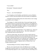"I was in dothe."

He hesitated. "Voluntarily induced?"

"Yes."

"You are… one of the Handdarata?"

"I was brought up in the Handdara, and indwelt two years at Rotherer Fastness. In Kerm Land most people of the Inner Hearths are Handdarata."

"I thought that after the dothe period, the extreme drain on one's energy necessitated a sort of collapse—"

"Yes; thangen, it's called, the dark sleep. It lasts much longer than the dothe period, and once you enter the recovery period it's very dangerous to try to resist it. I slept straight through two nights. I'm still in thangen now; I couldn't walk over the hill. And hunger's part of it, I've eaten up most of the rations I'd planned to last me the week."

"All right," he said with peevish haste. "I see, I believe you—what can I do but believe you. Here I am, here you are… But I don't understand. I don't understand what you did all this for."

At that my temper broke, and I must stare at the ice-knife which lay close by my hand, not looking at him and not replying until I had controlled my anger. Fortunately there was not yet much heat or quickness in my heart, and I said to myself that he was an ignorant man, a foreigner, ill-used and frightened. So I arrived at justice, and said finally, "I feel that it is in part my fault that you came to Orgoreyn and so to Pulefen Farm. I am trying to amend my fault."

"You had nothing to do with my coming to Orgoreyn."

"Mr. Ai, we've seen the same events with different eyes; I wrongly thought they'd seem the same to us. Let me go back to last spring. I began to encourage King Argaven to wait, to make no decision concerning you or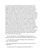your mission, about a halfmonth before the day of the Ceremony of the Keystone. The audience was already planned, and it seemed best to go through with it, though without looking for any results from it. All this I thought you understood, and in that I erred. I took too much for granted; I didn't wish to offend you, to advise you; I thought you understood the danger of Pemmer Harge rem ir Tibe's sudden ascendancy in the kyorremy. If Tibe had known any good reason to fear you, he would have accused you of serving a faction, and Argaven, who is very easily moved by fear, would likely have had you murdered. I wanted you down, and safe, while Tibe was up and powerful. As it chanced, I went down with you. I was bound to fall, though I didn't know it would be that very night we talked together; but no one is Argaven's prime minister for long. After I received the Order of Exile I could not communicate with you lest I contaminate you with my disgrace, and so increase your peril. I came here to Orgoreyn. I tried to suggest to you that you should also come to Orgoreyn. I urged the men I distrusted least among the Thirty-Three Commensals to grant you entry; you would not have got it without their favor. They saw, and I encouraged them to see, in you a way towards power, a way out of the increasing rivalry with Karhide and back towards the restoration of open trade, a chance perhaps to break the grip of the Sarf. But they are over-cautious men, afraid to act. Instead of proclaiming you, they hid you, and so lost their chance, and sold you to the Sarf to save their own pelts. I counted too much on them, and therefore the fault is mine."

"But for what purpose—all this intriguing, this hiding and powerseeking and plotting—what was it all for, Estraven? What were you after?"

"I was after what you're after: the alliance of my world with your worlds. What did you think?"

We were staring at each other across the glowing stove like a pair of wooden dolls.

"You mean, even if it was Orgoreyn that made the alliance—?"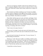"Even if it was Orgoreyn. Karhide would soon have followed. Do you think I would play shifgrethor when so much is at stake for all of us, all my fellow men? What does it matter which country wakens first, so long as we waken?"

"How the devil can I believe anything you say!" he burst out. Bodily weakness made his indignation sound aggrieved and whining. "If all this is true, you might have explained some of it earlier, last spring, and spared us both a trip to Pulefen. Your efforts on my behalf—"

"Have failed. And have put you in pain, and shame, and danger. I know it. But if I had tried to fight Tibe for your sake, you would not be here now, you'd be in a grave in Erhenrang. And there are now a few people in Karhide, and a few in Orgoreyn, who believe your story, because they listened to me. They may yet serve you. My greatest error was, as you say, in not making myself clear to you. I am not used to doing so. I am not used to giving, or accepting, either advice or blame."

"I don't mean to be unjust, Estraven—"

"Yet you are. It is strange. I am the only man in all Gethen that has trusted you entirely, and I am the only man in Gethen that you have refused to trust."

He put his head in his hands. He said at last, "I'm sorry, Estraven." It was both apology and admission.

"The fact is," I said, "that you're unable, or unwilling, to believe in the fact that I believe in you." I stood up, for my legs were cramped, and found I was trembling with anger and weariness. "Teach me your mindspeech," I said, trying to speak easily and with no rancor, "your language that has no lies in it. Teach me that, and then ask me why I did what I've done."

"I should like to do that, Estraven."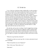## 15. To the Ice

I WOKE. Until now it had been strange, unbelievable, to wake up inside a dim cone of warmth, and to hear my reason tell me that it was a tent, that I lay in it, alive, that I was not still in Pulefen Farm. This time there was no strangeness in my waking, but a grateful sense of peace. Sitting up I yawned and tried to comb back my matted hair with my fingers. I looked at Estraven, stretched out sound asleep on his sleeping-bag a couple of feet from me. He wore nothing but his breeches; he was hot. The dark secret face was laid bare to the light, to my gaze. Estraven asleep looked a little stupid, like everyone asleep: a round, strong face, relaxed and remote, small drops of sweat on the upper lip and over the heavy eyebrows. I remembered how he had stood sweating on the parade-stand in Erhenrang in panoply of rank and sunlight. I saw him now defenseless and half-naked in a colder light, and for the first time saw him as he was.

He woke late, and was slow in waking. At last he staggered up yawning, pulled on his shirt, stuck his head out to judge the weather, and then asked me if I wanted a cup of orsh. When he found that I had crawled about and brewed up a pot of the stuff with the water he had left in a pan as ice on the stove last night, he accepted a cup, thanked me stiffly, and sat down to drink it.

"Where do we go from here, Estraven?"

"It depends on where you want to go, Mr. Ai. And on what kind of travel you can manage."

"What's the quickest way out of Orgoreyn?"

"West. To the coast. Thirty miles or so."

"What then?"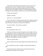"The harbors will be freezing or already frozen, here. In any case no ships go out far in winter. It would be a matter of waiting in hiding somewhere until next spring, when the great traders go out to Sith and Perunter. None will be going to Karhide, if the trade-embargoes continue. We might work our passage on a trader. I am out of money, unfortunately."

"Is there any alternative?"

"Karhide. Overland."

"How far is it—a thousand miles?"

"Yes, by road. But we couldn't go on the roads. We wouldn't get past the first Inspector. Our only way would be north through the mountains, east across the Gobrin, and down to the border at Guthen Bay."

"Across the Gobrin—the ice-sheet, you mean?"

He nodded.

"It's not possible in winter, is it?"

"I think so; with luck, as in all winter journeys. In one respect a Glacier crossing is better in winter. The good weather, you know, tends to stay over the great glaciers, where the ice reflects the heat of the sun; the storms are pushed out to the periphery. Therefore the legends about the Place inside the Blizzard. That might be in our favor. Little else."

"Then you seriously think—"

"There would have been no point taking you from Pulefen Farm if I did not."

He was still stiff, sore, grim. Last night's conversation had shaken us both.

"And I take it that you consider the Ice-crossing a better risk than waiting about till spring for a sea-crossing?"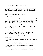He nodded. "Solitude," he explained, laconic.

I thought it over for a while. "I hope you've taken my inadequacies into account. I'm not as coldproof as you, nowhere near it. I'm no expert on skis. I'm not in good shape—though much improved from a few days ago."

Again he nodded. "I think we might make it," he said, with that complete simplicity I had so long taken for irony.

"All right."

He glanced at me, and drank down his cup of tea. Tea it might as well be called; brewed from roasted perm-grain, orsh is a brown, sweetsour drink, strong in vitamins A and C, sugar, and a pleasant stimulant related to lobeline. Where there is no beer on Winter there is orsh; where there is neither beer nor orsh, there are no people.

"It will be hard," he said, setting down his cup. "Very hard. Without luck, we will not make it."

"I'd rather die up on the Ice than in that cesspool you got me out of."

He cut off a chunk of dried breadapple, offered me a slice, and sat meditatively chewing. "We'll need more food," he said.

"What happens if we do make it to Karhide—to you, I mean? You're still proscribed."

He turned his dark, otter's glance on me. "Yes. I suppose I'd stay on this side."

"And when they found you'd helped their prisoner escape—?"

"They needn't find it." He smiled, bleak, and said, "First we have to cross the Ice."

I broke out, "Listen, Estraven, will you forgive what I said yesterday—"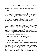*"Nusuth."* He stood up, still chewing, put on his hieb, coat, and boots, and slipped otterlike out the self-sealing valved door. From outside he stuck his head back in: "I may be late, or gone overnight. Can you manage here?"

"Yes."

"All right." With that he was off. I never knew a person who reacted so wholly and rapidly to a changed situation as Estraven. I was recovering, and willing to go; he was out of thangen; the instant that was all clear, he was off. He was never rash or hurried, but he was always ready. It was the secret, no doubt, of the extraordinary political career he threw away for my sake; it was also the explanation of his belief in me and devotion to my mission. When I came, he was ready. Nobody else on Winter was.

Yet he considered himself a slow man, poor in emergencies.

Once he told me that, being so slow-thinking, he had to guide his acts by a general intuition of which way his "luck" was running, and that this intuition rarely failed him. He said it seriously; it may have been true. The Foretellers of the Fastnesses are not the only people on Winter who can see ahead. They have tamed and trained the hunch, but not increased its certainty. In this matter the Yomeshta also have a point: the gift is perhaps not strictly or simply one of foretelling, but is rather the power of seeing (if only for a flash) *everything at once*: seeing whole.

I kept the little heater-stove at its hottest setting while Estraven was gone, and so got warm clear through for the first time in—how long? I thought it must be Thern by now, the first month of winter and of a new Year One, but I had lost count in Pulefen.

The stove was one of those excellent and economical devices perfected by the Gethenians in their millennial effort to outwit cold. Only the use of a fusion-pack as power source could improve it. Its bionic-powered battery was good for fourteen months' continuous use, its heat output was intense, it was stove, heater, and lantern all in one, and it weighed about four pounds. We would never have got fifty miles without it. It must have cost a good deal of Estraven's money, that money I had loftily handed over to him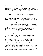in Mishnory. The tent, which was made of plastics developed for weatherresistance and designed to cope with at least some of the inside watercondensation that is the plague of tents in cold weather; the pesthry-fur sleeping-bags; the clothes, skis, sledge, food-supplies, everything was of the finest make and kind, lightweight, durable, expensive. If he had gone to get more food, what was he going to get it with?

He did not return till nightfall next day. I had gone out several times on snowshoes, gathering strength and getting practice by waddling around the slopes of the snowy vale that hid our tent. I was competent on skis, but not much good on snowshoes. I dared not go far over the hilltops, lest I lose my backtrack; it was wild country, steep, full of creeks and ravines, rising fast to the cloud-haunted mountains eastward. I had time to wonder what I would do in this forsaken place if Estraven did not come back.

He came swooping over the dusky hill—he was a magnificent skier and stopped beside me, dirty and tired and heavy-laden. He had on his back a huge sooty sack stuffed full of bundles: Father Christmas, who pops down the chimneys of old Earth. The bundles contained kadik-germ, dried breadapple, tea, and slabs of the hard, red, earthy-tasting sugar that Gethenians refine from one of their tubers.

"How did you get all this?"

"Stole it," said the one-time Prime Minister of Karhide, holding his hands over the stove, which he had not yet turned down; he, even he, was cold. "In Turuf. Close thing." That was all I ever learned. He was not proud of his exploit, and not able to laugh at it. Stealing is a vile crime on Winter; indeed the only man more despised than the thief is the suicide.

"We'll use up this stuff first," he said, as I set a pan of snow on the stove to melt. "It's heavy." Most of the food he had laid in previously was 'hyperfood' rations, a fortified, dehydrated, compressed, cubed mixture of high-energy foods—the Orgota name for it is gichy-michy, and that's what we called it, though of course we spoke Karhidish together. We had enough of it to last us sixty days at the minimal standard ration: a pound a day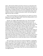apiece. After he had washed up and eaten, Estraven sat a long time by the stove that night figuring out precisely what we had and how and when we must use it. We had no scales, and he had to estimate, using a pound box of gichy-michy as standard. He knew, as do many Gethenians, the caloric and nutritive value of each food; he knew his own requirements under various conditions, and how to estimate mine pretty closely. Such knowledge has high survival-value, on Winter.

When at last he had got our rations planned out, he rolled over onto his bag and went to sleep. During the night I heard him talking numbers out of his dreams: weights, days, distances…

We had, very roughly, eight hundred miles to go. The first hundred would be north or northeast, going through the forest and across the northernmost spurs of the Sembensyen range to the great glacier, the icesheet that covers the double-lobed Great Continent everywhere north of the 45th parallel, and in places dips down almost to the 35th. One of these southward extensions is in the region of the Fire-Hills, the last peaks of the Sembensyens, and that region was our first goal. There among the mountains, Estraven reasoned, we should be able to get onto the surface of the ice-sheet, either descending onto it from a mountain-slope or climbing up to it on the slope of one of its effluent glaciers. Thereafter we would travel on the Ice itself, eastward, for some six hundred miles. Where its edge trends north again near the Bay of Guthen we would come down off it and cut southeast a last fifty or a hundred miles across the Shenshey Bogs, which by then should be ten or twenty feet deep in snow, to the Karhidish border.

This route kept us clear from start to finish of inhabited, or inhabitable, country. We would not be meeting any Inspectors. This was indubitably of the first importance. I had no papers, and Estraven said that his wouldn't hold up under any further forgeries. In any case, though I could pass for a Gethenian when no one expected anything else, I was not disguisable to an eye looking for me. In this respect, then, the way Estraven proposed for us was highly practical.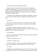In all other respects it seemed perfectly insane.

I kept my opinion to myself, for I fully meant what I'd said about preferring to die escaping, if it came down to a choice of deaths. Estraven, however, was still exploring alternatives. Next day, which we spent in loading and packing the sledge very carefully, he said, "If you raised the Star Ship, when might it come?"

"Anywhere between eight days and a halfmonth, depending on where it is in its solar orbit relative to Gethen. It might be on the other side of the sun."

"No sooner?"

"No sooner. The NAFAL motive can't be used within a solar system. The ship can come in only on rocket drive, which puts her at least eight days away. Why?"

He tugged a cord tight and knotted it before he answered. "I was considering the wisdom of trying to ask aid from your world, as mine seems unhelpful. There's a radio beacon in Turuf."

"How powerful?"

"Not very. The nearest big transmitter would be in Kuhumey, about four hundred miles south of here."

"Kuhumey's a big town, isn't it?"

"A quarter of a million souls."

"We'd have to get the use of the radio transmitter somehow; then hide out for at least eight days, with the Sarf alerted… Not much chance."

He nodded.

I lugged the last sack.of kadik-germ out of the tent, fitted it into its niche in the sledge-load, and said, "If I had called the ship that night in Mishnory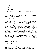—the night you told me to—the night I was arrested… But Obsle had my ansible; still has it, I suppose."

"Can he use it?"

"No. Not even by chance, fiddling about. The coordinate-settings are extremely complex. But if only I'd used it!"

"If only I'd known the game was already over, that day," he said, and smiled. He was not one for regrets.

"You did, I think. But I didn't believe you."

When the sledge was loaded, he insisted that we spend the rest of the day doing nothing, storing energy. He lay in the tent writing, in a little notebook, in his small, rapid, vertical-cursive Karhidish hand, the account that appears as the previous chapter. He hadn't been able to keep up his journal during the past month, and that annoyed him; he was pretty methodical about that journal. Its writing was, I think, both an obligation to and a link with his family, the Hearth of Estre. I learned that later, however; at the time I didn't know what he was writing, and I sat waxing skis, or doing nothing. I whistled a dance-tune, and stopped myself in the middle. We only had one tent, and if we were going to share it without driving each other mad, a certain amount of self-restraint, of manners, was evidently required… Estraven had looked up at my whistling, all right, but not with irritation. He looked at me rather dreamily, and said, "I wish I'd known about your Ship last year… Why did they send you onto this world alone?"

"The First Envoy to a world always comes alone. One alien is a curiosity, two are an invasion."

"The First Envoy's life is held cheap."

"No; the Ekumen really doesn't hold anybody's life cheap. So it follows, better to put one life in danger than two, or twenty. It's also very expensive and time-consuming, you know, shipping people over the big jumps. Anyhow, I asked for the job."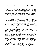"In danger, honor," he said, evidently a proverb, for he added mildly, "We'll be full of honor when we reach Karhide…"

When he spoke, I found myself believing that we would in fact reach Karhide, across eight hundred miles of mountain, ravine, crevasse, volcano, glacier, ice-sheet, frozen bog or frozen bay, all desolate, shelterless, and lifeless, in the storms of midwinter in the middle of an Ice Age. He sat writing up his records with the same obdurate patient thoroughness I had seen in a mad king up on a scaffolding mortaring a joint, and said, *"When* we reach Karhide…"

His *when* was no mere dateless hope, either. He intended to reach Karhide by the fourth day of the fourth month of winter, Arhad Anner. We were to start tomorrow, the thirteenth of the first month, Tormenbod Thern. Our rations, as well as he could calculate, might be stretched at farthest to three Gethenian months, 78 days; so we would go twelve miles a day for seventy days, and get to Karhide on Arhad Anner. That was all settled. No more to do now but get a good sleep.

We set off at dawn, on snowshoes, in a thin, windless snowfall. The surface over the hills was *bessa,* soft and still unpacked, what Terran skiers I think call "wild" snow. The sledge was heavy loaded; Estraven guessed the total weight to pull at something over 300 pounds. It was hard to pull in the fluffy snow, though it was as handy as a well-designed little boat; the runners were marvels, coated with a polymer that cut resistance almost to nothing, but of course that was no good when the whole thing was stuck in a drift. On such a surface, and going up and down slopes and gullies, we found it best to go one in harness pulling and one behind pushing. The snow fell, fine and mild, all day long. We stopped twice for a bite of food. In all the vast hilly country there was no sound. We went on, and all of a sudden it was twilight. We halted in a valley very like the one we had left that morning, a dell among white-humped hills. I was so tired I staggered, yet I could not believe the day was over. We had covered, by the sledge-meter, almost fifteen miles.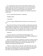If we could go that well in soft snow, fully loaded, through a steep country whose hills and valleys all ran athwart our way, then surely we could do better up on the Ice, with hard snow, a level way, and a load always lighter. My trust in Estraven had been more willed than spontaneous; now I believed him completely. We would be in Karhide in seventy days.

"You've traveled like this before?" I asked him.

"Sledged? Often."

"Long hauls?"

"I went a couple of hundred miles on the Kerm Ice one autumn, years ago."

The lower end of Kerm Land, the mountainous southernmost peninsula of the Karhide semi-continent, is, like the north, glaciated. Humanity on the Great Continent of Gethen lives in a strip of land between two white walls. A further decrease of 8% in solar radiation, they calculate, would bring the walls creeping together; there would be no men, no land; only ice.

"What for?"

"Curiosity, adventure." He hesitated and smiled slightly. "The augmentation of the complexity and intensity of the field of intelligent life," he said, quoting one of my Ekumenical quotations.

"Ah: you were consciously extending the evolutionary tendency inherent in Being; one manifestation of which is exploration." We were both well pleased with ourselves, sitting in the warm tent, drinking hot tea and waiting for the kadik-germ porridge to boil.

"That's it," he said. "Six of us. All very young. My brother and I from Estre, four of our friends from Stok. There was no purpose for the journey. We wanted to see Teremander, a mountain that stands up out of the Ice, down there. Not many people have seen it from the land."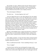The porridge was ready, a different matter from the stiff bran mush of Pulefen Farm; it tasted like the roast chestnuts of Terra, and burned the mouth splendidly. Warm through, benevolent, I said, "The best food I've eaten on Gethen has always been in your company, Estraven."

"Not at that banquet in Mishnory."

"No, that's true… . You hate Orgoreyn, don't you?"

"Very few Orgota know how to cook. Hate Orgoreyn? No, how should I? How does one hate a country, or love one? Tibe talks about it; I lack the trick of it. I know people, I know towns, farms, hills and rivers and rocks, I know how the sun at sunset in autumn falls on the side of a certain plowland in the hills; but what is the sense of giving a boundary to all that, of giving it a name and ceasing to love where the name ceases to apply? What is love of one's country; is it hate of one's uncountry? Then it's not a good thing. Is it simply self-love? That's a good thing, but one mustn't make a virtue of it, or a profession… Insofar as I love life, I love the hills of the Domain of Estre, but that sort of love does not have a boundary-line of hate. And beyond that, I am ignorant, I hope."

Ignorant, in the Handdara sense: to ignore the abstraction, to hold fast to the thing. There was in this attitude something feminine, a refusal of the abstract, the ideal, a submissiveness to the given, which rather displeased me.

Yet he added, scrupulous, "A man who doesn't detest a bad government is a fool. And if there were such a thing as a good government on earth, it would be a great joy to serve it."

There we understood each other. "I know something of that joy," I said.

"Yes; so I judged."

I rinsed our bowls with hot water and dumped the rinsings out the. valve-door of the tent. It was blind dark outside; snow fell fine and thin, just visible in the oval dim shaft of light from the valve. Sealed again in the dry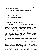warmth of the tent, we laid out our bags. He said something, "Give the bowls to me, Mr. Ai," or some such remark, and I said, "Is it going to be 'Mr.' clear across the Gobrin Ice?"

He looked up and laughed. "I don't know what to call you."

"My name is Genly Ai."

"I know. You use my landname."

"I don't know what to call you either."

"Harth."

"Then I'm Ai.—Who uses first names?"

"Hearth-brothers, or friends," he said, and saying it was remote, out of reach, two feet from me in a tent eight feet across. No answer to that. What is more arrogant than honesty? Cooled, I climbed into my fur bag. "Good night, Ai," said the alien, and the other alien said, "Good night, Harth."

A friend. What is a friend, in a world where any friend may be a lover at a new phase of the moon? Not I, locked in my virility: no friend to Therem Harth, or any other of his race. Neither man nor woman, neither and both, cyclic, lunar, metamorphosing under the hand's touch, changelings in the human cradle, they were no flesh of mine, no friends; no love between us.

We slept. I woke once and heard the snow ticking thick and soft on the tent.

Estraven was up at dawn getting breakfast. The day broke bright. We loaded up and were off as the sun gilded the tops of the scrubby bushes rimming the dell, Estraven pulling in harness and I as pusher and rudder at the stern. The snow was beginning to get a crust on it; on clear downslopes we went like a dog-team, at a run. That day we skirted and then entered the forest that borders Pulefen Farm, the forest of dwarfs, thick-set, gnurllimbed, ice-bearded thore-trees. We dared not use the main road north, but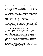logging-roads lent their direction to us sometimes for a while, and as the forest was kept clear of fallen trees and undergrowth we got on well. Once we were in Tarrenpeth there were fewer ravines or steep ridges. The sledgemeter at evening said twenty miles for the day's run, and we were less tired than the night before.

One palliative of winter on Winter is that the days stay light. The planet has a few degrees of tilt to the plane of the ecliptic, not enough to make an appreciable seasonal difference in low latitudes. Season is not a hemispheric effect but a global one, a result of the elliptoid orbit. At the far and slow-moving end of the orbit, approaching and departing from aphelion, there is just enough loss of solar radiation to disturb the already uneasy weather patterns, to chill down what is cold already, and turn the wet gray summer into white violent winter. Dryer than the rest of the year, winter might be pleasanter, if it were not for the cold. The sun, when you see it, shines high; there is no slow bleeding away of light into the darkness, as on the polar slopes of Earth where cold and night come on together.

Gethen has a bright winter, bitter, terrible, and bright.

We were three days getting through Tarrenpeth Forest. On the last, Estraven stopped and made camp early, in order to set traps. He wanted to catch some pesthry. They are one of the larger land-animals of Winter, about the size of a fox, oviparous vegetarians with a splendid coat of gray or white fur. He was after the meat, for pesthry are edible. They were migrating south in vast numbers; they are so light-footed and solitary that we saw only two or three as we hauled, but the snow was thick-starred in every glade of the thore-forest with countless little snowshoe tracks, all heading south. Estraven's snares were full in an hour or two. He cleaned and cut up the six beasts, hung some of the meat to freeze, stewed some for our meal that night. Gethenians are not a hunting people, because there is very little to hunt—no large herbivores, thus no large carnivores, except in the teeming seas. They fish, and farm. I had never before seen a Gethenian with blood on his hands.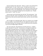Estraven looked at the white pelts. "There's a week's room and board for a pesthry-hunter," he said. "Gone to waste." He held out one for me to touch. The fur was so soft and deep that you could not be certain when your hand began to feel it. Our sleeping-bags, coats, and hoods were lined with that same fur, an unsurpassed insulator and very beautiful to see. "Hardly seems worth it," I said, "for a stew."

Estraven gave me his brief dark stare and said, "We need protein." And tossed away the pelts, where overnight the *russy,* the fierce little rat-snakes, would devour them and the entrails and the bones, and lick clean the bloody snow.

He was right; he was generally right. There was a pound or two of edible meat on a pesthry. I ate my half of the stew that night and could have eaten his without noticing. Next morning, when we started up into the mountains, I was twice the sledge-engine I had been.

We went up that day. The beneficent snowfall and *kroxet*—windless weather between 0° F. and 20°—that had seen us through Tarrenpeth and out of range of probable pursuit, now dissolved wretchedly into abovefreezing temperatures and rain. Now I began to understand why Gethenians complain when the temperature rises in winter, and cheer up when it falls. In the city, rain is an inconvenience; to a traveler it is a catastrophe. We hauled that sledge up the flanks of the Sembensyens all morning through a deep, cold porridge of rain-sodden snow. By afternoon on steep slopes the snow was mostly gone. Torrents of rain, miles of mud and gravel. We cased the runners, put the wheels on the sledge, and hauled on up. As a wheeled cart it was a bitch, sticking and tipping every moment. Dark fell before we found any shelter of cliff or cave to set up the tent in, so that despite all our care things got wet. Estraven had said that a tent such as ours would house us pretty comfortably in any weather at all, so long as we kept it dry inside. "Once you can't dry out your bags, you lose too much body-heat all night, and you don't sleep well. Our food-ration's too short to allow us to afford that. We can't count on any sunlight to dry things out, so we must not get them wet." I had listened, and had been as scrupulous as he about keeping snow and wet out of the tent, so that there was only the unavoidable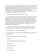moisture from our cooking, and our lungs and pores, to be evaporated. But this night everything was wet through before we could get the tent up. We huddled steaming over the Chabe stove, and presently had a stew of pesthry meat to eat, hot and solid, good enough almost to compensate for everything else. The sledge-meter, ignoring the hard uphill work we had done all day, said we had come only nine miles.

"First day we've done less than our stint," I said.

Estraven nodded, and neatly cracked a legbone for the marrow. He had stripped off his wet outer clothes and sat in shirt and breeches, barefoot, collar open. I was still too cold to take off my coat and hieb and boots. There he sat cracking marrowbones, neat, tough, durable, his sleek furlike hair shedding the water like a bird's feathers: he dripped a little onto his shoulders, like house-eaves dripping, and never noticed it. He was not discouraged. He belonged here.

The first meat-ration had given me some intestinal cramps, and that night they got severe. I lay awake in the soggy darkness loud with rain.

At breakfast he said, "You had a bad night."

"How did you know?" For he slept very deeply, scarcely moving, even when I left the tent.

He gave me that look again. "What's wrong?"

"Diarrhea."

He winced and said savagely, "It's the meat."

"I suppose so."

"My fault. I should—"

"It's all right."

"Can you travel?"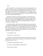"Yes."

Rain fell and fell. A west wind off the sea kept the temperature in the thirties, even here at three or four thousand feet of altitude. We never saw more than a quarter-mile ahead through the gray mist and mass of rain. What slopes rose on above us I never looked up to see: nothing to see but rain falling. We went by compass, keeping as much to northward as the cut and veer of the great slopes allowed.

The glacier had been over these mountainsides, in the hundreds of thousands of years it had been grinding back and forth across the North. There were tracks scored along granite slopes, long and straight as if cut with a great U-gouge. We could pull the sledge along those scratches sometimes as if along a road.

I did best pulling; I could lean into the harness, and the work kept me warm. When we stopped for a bite of food at midday, I felt sick and cold, and could not eat. We went on, climbing again now. Rain fell, and fell, and fell. Estraven stopped us under a great overhang of black rock, along in mid-afternoon. He had the tent up almost before I was out of harness. He ordered me to go in and. lie down.

"I'm all right," I said.

"You're not," he said. "Go on."

I obeyed, but I resented his tone. When he came into the tent with our night's needs, I sat up to cook, it being my turn. He told me in the same peremptory tone to lie still.

"You needn't order me about," I said.

"I'm sorry," he said inflexibly, his back turned.

"I'm not sick, you know."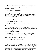"No, I didn't know. If you won't say frankly, I must go by your looks. You haven't recovered your strength, and the going has been hard. I don't know where your limits lie."

"I'll tell you when I reach them."

I was galled by his patronizing. He was a head shorter than I, and built more like a woman than a man, more fat than muscle; when we hauled together I had to shorten my pace to his, hold in my strength so as not to out-pull him: a stallion in harness with a mule—

"You're no longer ill, then?"

"No. Of course I'm tired. So are you."

"Yes, I am," he said. "I was anxious about you. We have a long way to go."

He had not meant to patronize. He had thought me sick, and sick men take orders. He was frank, and expected a reciprocal frankness that I might not be able to supply. He, after all, had no standards of manliness, of virility, to complicate his pride.

On the other hand, if he could lower all his standards of shifgrethor, as I realized he had done with me, perhaps I could dispense with the more competitive elements of my masculine self-respect, which he certainly understood as little as I understood shifgrethor…

"How much of it did we cover today?"

He looked around and smiled a little, gently. "Six miles," he said.

The next day we did seven miles, the next day twelve, and the day after that we came out of the rain, and out of the clouds, and out of the regions of mankind. It was the ninth day of our journey. We were five to six thousand feet above sealevel now, on a high plateau full of the evidences of recent mountain-building and vulcanism; we were in the Fire-Hills of the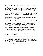Sembensyen Range. The plateau narrowed gradually to a valley and the valley to a pass between long ridges. As we approached the end of the pass the rainclouds were thinning and rending. A cold north wind dispersed them utterly, laying bare the peaks above the ridges to our right and left, basalt and snow, piebald and patchwork of black and white brilliant under the sudden sun in a dazzling sky. Ahead of us, cleared and revealed by the same vast sweep of the wind, lay twisted valleys, hundreds of feet below, full of ice and boulders. Across those valleys a great wall stood, a wall of ice, and raising our eyes up and still up to the rim of the wall we saw the Ice itself, the Gobrin Glacier, blinding and horizonless to the utmost north, a white, a white the eyes could not look on.

Here and there out of the valleys full of rubble and out of the cliffs and bends and masses of the great icefield's edge, black ridges rose; one great mass loomed up out of the plateau to the height of the gateway peaks we stood between, and from its side drifted heavily a mile-long wisp of smoke. Farther off there were others: peaks, pinnacles, black cindercones on the glacier. Smoke panted from fiery mouths that opened out of the ice.

Estraven stood there in harness beside me looking at that magnificent and unspeakable desolation. "I'm glad I have lived to see this," he said.

I felt as he did. It is good to have an end to journey towards; but it is the journey that matters, in the end.

It had not rained, here on these north-facing slopes. Snow-fields stretched down from the pass into the valleys of moraine. We stowed the wheels, uncapped the sledge-runners, put on our skis, and took off—down, north, onward, into that silent vastness of fire and ice that said in enormous letters of black and white DEATH, DEATH, written right across a continent. The sledge pulled like a feather, and we laughed with joy.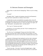## 16. Between Drumner and Dremegole

*Odyrny Thern.* Ai asks from his sleeping-bag, "What is it you're writing, Harth?"

"A record."

He laughs a little. "I ought to be keeping a journal for the Ekumenical files; but I never could stick to it without a voice-writer."

I explain that my notes are intended for my people at Estre, who will incorporate them as they see fit into the Records of the Domain; this turning my thoughts to my Hearth and my son, I seek to turn them away again, and ask, "Your parent—your parents, that is—are they alive?"

"No," says Ai. "Seventy years dead."

I puzzled at it. Ai was not thirty years old. "You're counting years of a different length than ours?"

"No. Oh, I see. I've timejumped. Twenty years from Earth to Hain-Davenant, from there fifty to Ellul, from Ellul to here seventeen. I've only lived off-Earth seven years, but I was born there a hundred and twenty years ago."

Long since in Erhenrang he had explained to me how time is shortened inside the ships that go almost as fast as starlight between the stars, but I had not laid this fact down against the length of a man's life, or the lives he leaves behind him on his own world. While he lived a few hours in one of those unimaginable ships going from one planet to another, everyone he had left behind him at home grew old and died, and their children grew old… I said at last, "I thought myself an exile."

"You for my sake—I for yours," he said, and laughed again, a slight cheerful sound in the heavy silence. These three days since we came down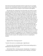from the pass have been much hard work for no gain, but Ai is no longer downcast, nor overhopeful; and he has more patience with me. Maybe the drugs are sweated out of him. Maybe we have learned to pull together.

We spent this day coming down from the basaltic spur which we spent yesterday climbing. From the valley it looked a good road up onto the Ice, but the higher we went the more scree and slick rock-face we met, and a grade ever steeper, till even without the sledge we could not have climbed it. Tonight we are back down at the foot of it in the moraine, the valley of stones. Nothing grows here. Rock, pebble-dump, boulder-fields, clay, mud. An arm of the glacier has withdrawn from this slope within the last fifty or hundred years, leaving the planet's bones raw to the air; no flesh of earth, of grass. Here and there fumaroles cast a heavy yellowish fog over the ground, low and creeping. The air smells of sulphur. It is 12°, still, overcast. I hope no heavy snow falls until we have got over the evil ground between this place and the glacier-arm we saw some miles to the west from the ridge. It seems to be a wide ice-river running down from the plateau between two mountains, volcanoes, both cappedwith steam and smoke. If we can get onto it from the slopes of the nearer volcano, it may provide us a road up onto the plateau of ice. To our east a smaller glacier comes down to a frozen lake, but it runs curving and even from here the great crevasses in it can be seen; it is impassible to us, equipped as we are. We agreed to try the glacier between the volcanoes, though by going west to it we lose at least two days' mileage towards our goal, one in going west and one in regaining the distance.

### *Opposthe Thern.* Snowing *neserem\**

\**neserem:* fine snow on a moderate gale: a light blizzard.

No travel in this. We both slept all day. We have been hauling nearly a halfmonth, the sleep does us good.

*Ottormenbod Thern.* Snowing *neserem.* Enough sleep. Ai taught me a Terran game played on squares with little stones, called go, an excellent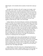difficult game. As he remarked, there are plenty of stones here to play *go* with.

He endures the cold pretty well, and if courage were enough, would stand it like a snow-worm. It is odd to see him bundled up in hieb and overcoat with the hood up, when the temperature is above zero; but when we sledge, if the sun is out or the wind not too bitter, he takes off the coat soon and sweats like one of us. We must compromise as to the heating of the tent. He would keep it hot, I cold, and either's comfort is the other's pneumonia. We strike a medium, and he shivers outside his bag, while I swelter in mine; but considering from what distances we have come together to share this tent a while, we do well enough.

*Getheny Thanern.* Clear after the blizzard, wind down, the thermometer around 15° all day. We are camped on the lower western slope of the nearer volcano: Mount Dremegole, on my map of Orgoreyn. Its companion across the ice-river is called Drumner. The map is poorly made; there is a great peak visible to the west not shown on it at all, and it is all out of proportion. The Orgota evidently do not often come into their Fire-Hills. Indeed there is not much to come for, except grandeur. We hauled eleven miles today, difficult work: all rock. Ai is asleep already. I bruised the tendon of my heel, wrenching it like a fool when my foot was caught between two boulders, and limped out the afternoon. The night's rest should heal it. Tomorrow we should get down onto the glacier.

Our food-supplies seem to have sunk alarmingly, but it is because we have been eating the bulky stuff. We had between ninety and a hundred pounds of coarse foodstuffs, half of it the load I stole in Turuf; sixty pounds of this are gone, after fifteen days' journey. I have started on the gichymichy at a pound a day, saving two sacks of kadik-germ, some sugar, and a chest of dried fishcakes for variety later. I am glad to be rid of that heavy stuff from Turuf. The sledge pulls lighter.

*Sordny Thanern.* In the 20's; frozen rain, wind pouring down the iceriver like the draft in a tunnel. Camped a quarter mile in from the edge, on a long flat streak of firn. The way down from Dremegole was rough and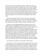steep, on bare rock and rock-fields; the glacier's edge heavily crevassed, and so foul with gravel and rocks caught in the ice that we tried the sledge on wheels there too. Before we had got a hundred yards a wheel wedged fast and the axle bent. We use runners henceforth. We made only four miles today, still in the wrong direction. The effluent glacier seems to run on a long curve westerly up to the Gobrin plateau. Here between the volcanoes it is about four miles wide, and should not be hard going farther in towards the center, though it is more crevassed than I had hoped, and the surface rotten.

Drumner is in eruption. The sleet on one's lips tastes of smoke and sulphur. A darkness loured all day in the west even under the rainclouds. From time to time all things, clouds, icy rain, ice, air, would turn a dull red, then fade slowly back to gray. The glacier shakes a little under our feet.

Eskichwe rem ir Her hypothesized that the volcanic activity in N.W. Orgoreyn and the Archipelago has been increasing during the last ten or twenty millennia, and presages the end of the Ice, or at least a recession of it and an interglacial period. CO2 released by the volcanoes into the atmosphere will in time serve as an insulator, holding in the longwave heatenergy reflected from the earth, while permitting direct solar heat to enter undiminished. The average world temperature, he says, would in the end be raised some thirty degrees, till it attains 72°. I am glad I shall not be present. Ai says that similar theories have been propounded by Terran scholars to explain the still incomplete recession of their last Age of Ice. All such theories remain largely irrefutable and unprovable; no one knows certainly why the ice comes, why it goes. The Snow of Ignorance remains untrodden.

Over Drumner in the dark now a great table of dull fire burns.

*Eps Thanern.* The meter reads sixteen miles hauled today, but we are not more than eight miles in a straight line from last night's camp. We are still in the ice-pass between the two volcanoes. Drumner is in eruption. Worms of fire crawl down its black sides, seen when wind clears off the roil and seethe of ash-cloud and smoke-cloud and white steam. Continuously, with no pause, a hissing mutter fills the air, so huge and so long a sound that one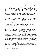cannot hear it when one stops to listen; yet it fills all the interstices of one's being. The glacier trembles perpetually, snaps and crashes, jitters under our feet. All the snowbridges that the blizzard may have laid across crevasses are gone, shaken down, knocked in by this drumming and jumping of the ice and the earth beneath the ice. We go back and forth, seeking the end of a slit in the ice that would swallow the sledge whole, then seeking the end of the next, trying to go north and forced always to go west or east. Above us Dremegole, in sympathy with Drum-ner's labor, grumbles and farts foul smoke.

Ai's face was badly frostbitten this morning, nose, ears, chin all dead gray when I chanced to look at him. Kneaded him back to life and no damage done, but we must be more careful. The wind that blows down off the Ice is, in simple truth, deadly; and we have to face it as we haul.

I shall be glad to get off this slit and wrinkled ice-arm between two growling monsters. Mountains should be seen, not heard.

*Arhad Thanern.* Some sove-snow, between 15 and 20°. We went twelve miles today, about five of them profitable, and the rim of the Gobrin is visibly nearer, north, above us. We now see the ice-river to be miles wide: the "arm" between Drumner and Dremegole is only one finger, and we now are on the back of the hand. Turning and looking down from this camp one sees the glacier-flow split, divided, torn and churned by the black steaming peaks that thwart it. Looking ahead one sees it broaden, rising and curving slowly, dwarfing the dark ridges of earth, meeting the ice-wall far above under veils of cloud and smoke and snow. Cinders and ash now fall with the snow, and the ice is thick with clinkers on it or sunk in it: a good walking surface but rather rough for hauling, and the runners need recoating already. Two or three times volcanic projectiles hit the ice quite near us. They hiss loudly as they strike, and burn themselves a socket in the ice. Cinders patter, falling with the snow. We creep infmitesimally northward through the dirty chaos of a world in the process of making itself.

Praise then Creation unfinished!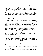*Netherhad Thanern.* No snow since morning; overcast and windy, at about 15°. The great multiple glacier we are on feeds down into the valley from the west, and we are on its extreme eastern edge. Dremegole and Drumner are now somewhat behind us, though a sharp ridge of Dremegole still rises east of us, almost at eyelevel. We have crept and crawled up to a point where we must choose between following the glacier on its long sweep westward and so up gradually onto the plateau of ice, or climbing the ice-cliffs a mile north of tonight's camp, and so saving twenty or thirty miles of hauling, at the cost of risk.

#### Ai favors the risk.

There is a frailty about him. He is all unprotected, exposed, vulnerable, even to his sexual organ which he must carry always outside himself; but he is strong, unbelievably strong. I am not sure he can keep hauling any longer than I can, but he can haul harder and faster than I—twice as hard. He can lift the sledge at front or rear to ease it over an obstacle. I could not lift and hold that weight, unless I was in dothe. To match his frailty and strength, he has a spirit easy to despair and quick to defiance: a fierce impatient courage. This slow, hard, crawling work we have been doing these days wears him out in body and will, so that if he were one of my race I should think him a coward, but he is anything but that; he has a ready bravery I have never seen the like of. He is ready, eager, to stake life on the cruel quick test of the precipice.

"Fire and fear, good servants, bad lords." He makes fear serve him. I would have let fear lead me around by the long way. Courage and reason are with him. What good seeking the safe course, on a journey such as this? There are senseless courses, which I shall not take; but there is no safe one.

*Streth Thanern.* No luck. No way to get the sledge up, though we spent the day at it.

Sove-snow in flurries, thick ash mixed with it. It was dark all day, as the wind veering around from the west again blew the pall of Drumner's smoke on us. Up here the ice shakes less, but there came a great quake while we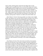tried to climb a shelving cliff; it shook free the sledge where we had wedged it and I was pulled down five or six feet with a bump, but Ai had a good handhold and his strength saved us from all careering down to the foot of the cliff, twenty feet or more. If one of us breaks a leg or shoulder in these exploits, that is probably the end of both of us; there, precisely, is the risk—rather an ugly one when looked at closely. The lower valley of the glaciers behind us is white with steam: lava touches ice, down there. We certainly cannot go back. Tomorrow we shall try the ascent farther west.

*Beren Thanern.* No luck. We must go farther west. Dark as late twilight all day. Our lungs are raw, not from cold (it remains well above zero even at night, with this west wind) but from breathing the ash and fumes of the eruption. By the end of this second day of wasted effort, scrabbling and squirming over pressure-blocks and up ice-cliffs always to be stopped by a sheer face or overhang, trying farther on and failing again, Ai was exhausted and enraged. He looked ready to cry, but did not. I believe he considers crying either evil or shameful. Even when he was very ill and weak, the first days of our escape, he hid his face from me when he wept. Reasons personal, racial, social, sexual—how can I guess why Ai must not weep? Yet his name is a cry of pain. For that I first sought him out in Erhenrang, a long time ago it seems now; hearing talk of "an Alien" I asked his name, and heard for answer a cry of pain from a human throat across the night. Now he sleeps. His arms tremble and twitch, muscular fatigue. The world around us, ice and rock, ash and snow, fire and dark, trembles and twitches and mutters. Looking out a minute ago I saw the glow of the volcano as a dull red bloom on the belly of vast clouds overhanging the darkness.

*Orny Thanern.* No luck. This is the twenty-second day of our journey, and since the tenth day we have made no progress eastward, indeed have lost twenty or twenty-five miles by going west; since the eighteenth day we have made no progress of any kind, and might as well have sat still. If we ever do get up on the Ice, will we have food enough left to take us across it? This thought is hard to dismiss. Fog and murk of the eruption cut seeing very close, so that we cannot choose our path well. Ai wants to attack each ascent, however steep, that shows any sign of shelving. He is impatient with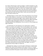my caution. We have got to watch our tempers. I will be in kemmer in a day or so, and all strains will increase. Meanwhile we butt our heads on cliffs of ice in a cold dusk full of ashes. If I wrote a new Yomesh Canon I should send thieves here after death. Thieves who steal sacks of food by night in Turuf. Thieves who steal a man's hearth and name from him and send him out ashamed and exiled. My head is thick, I must cross out all this stuff later, too tired to reread it now.

*Harhahad Thanern. On the Gobrin.* The twenty-third day of our journey. We are on the Gobrin Ice. As soon as we set out this morning we saw, only a few hundred yards beyond last night's camp, a pathway open up to the Ice, a highway curving broad and cinder-paved from the rubble and chasms of the glacier right up through the cliffs of ice. We walked up it as if strolling along the Sess Embankment. We are on the Ice. We are headed east again, homeward.

I am infected by Ai's pure pleasure in our achievement. Looked at soberly it is as bad as ever, up here. We are on the plateau's rim. Crevasses —some wide enough to sink villages in, not house by house but all at once —run inland, northward, right out of sight. Most of them cut across our way, so we too must go north, not east. The surface is bad. We screw the sledge along amongst great lumps and chunks of ice, immense debris pushed up by the straining of the great plastic sheet of ice against and among the Fire-Hills. The broken pressure-ridges take queer shapes, overturned towers, legless giants, catapults. A mile thick to start with, the Ice here rises and thickens, trying to flow over the mountains and choke the fire-mouths with silence. Some miles to the north a peak rises up out of the Ice, the sharp graceful barren cone of a young volcano: younger by thousands of years than the ice-sheet that grinds and shoves, all shattered into chasms and jammed up into great blocks and ridges, over the six thousand feet of lower slopes we cannot see.

During the day, turning, we saw the smoke of Drumner's eruption hang behind us like a gray-brown extension of the surface of the Ice. A steady wind blows along at ground level from the northeast, clearing this higher air of the soot and stink of the planet's bowels which we have breathed for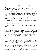days, flattening out the smoke behind us to cover, like a dark lid, the glaciers, the lower mountains, the valleys of stones, the rest of the earth. There is nothing, the Ice says, but Ice. But the young volcano there to northward has another word it thinks of saying.

No snowfall, a thin high overcast.  $-4^{\circ}$  on the plateau at dusk. A jumble of firn, new ice, and old ice underfoot. The new ice is tricky, slick blue stuff just hidden by a white *glaze.* We have both been down a good deal. I slid fifteen feet on my belly across one such slick. Ai, in harness, doubled up laughing. He apologized and explained he had thought himself the only person on Gethen who ever slipped on ice.

Thirteen miles today; but if we try to keep up such a pace among these cut, heaped, crevassed pressure-ridges we shall wear ourselves out or come to worse grief than a bellyslide.

The waxing moon is low, dull as dry blood; a great brownish, iridescent halo surrounds it.

*Guyrny Thanern.* Some snow, rising wind and falling temperature. Thirteen miles again today, which brings our distance logged since we left our first camp to 254 miles. We have averaged about ten and a half miles a day; eleven and a half omitting the two days spent waiting out the blizzard. 75 to 100 of those miles of hauling gave us no onward gain. We are not much nearer Karhide than we were when we set out. But we stand a better chance, I think, of getting there.

Since we came up out of the volcano-murk our spirit is not all spent in work and worry, and we talk again in the tent after our dinner. As I am in kemmer I would find it easier to ignore Ai's presence, but this is difficult in a two-man tent. The trouble is of course that he is, in his curious fashion, also in kemmer: always in kemmer. A strange lowgrade sort of desire it must be, to be spread out over every day of the year and never to know the choice of sex, but there it is; and here am I. Tonight my extreme physical awareness of him was rather hard to ignore, and I was too tired to divert it into untrance or any other channel of the discipline. Finally he asked, had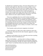he offended me? I explained my silence, with some embarrassment. I was afraid he would laugh at me. After all he is no more an oddity, a sexual freak, than I am: up here on the Ice each of us is singular, isolate, I as cut off from those like me, from my society and its rules, as he from his. There is no world full of other Gethenians here to explain and support my existence. We are equals at last, equal, alien, alone. He did not laugh, of course. Rather he spoke with a gentleness that I did not know was in him. After a while he too came to speak of isolation, of loneliness.

"Your race is appallingly alone in its world. No other mammalian species. No other ambisexual species. No animal intelligent enough even to domesticate as pets. It must color your thinking, this uniqueness. I don't mean scientific thinking only, though you are extraordinary hypothesizersit's extraordinary that you arrived at any concept of evolution, faced with that unbridgeable gap between yourselves and the lower animals. But philosophically, emotionally: to be so solitary, in so hostile a world: it must affect your entire outlook."

"The Yomeshta would say that man's singularity is his divinity."

"Lords of the Earth, yes. Other cults on other worlds have come to the same conclusion. They tend to be the cults of dynamic, aggressive, ecologybreaking cultures.

Orgoreyn is in the pattern, in its way; at least they seem bent on pushing things around. What do the Handdarata say?"

"Well, in the Handdara … you know, there's no theory, no dogma… Maybe they are less aware of the gap between men and beasts, being more occupied with the likenesses, the links, the whole of which living things are a part." Tormer's Lay had been all day in my mind, and I said the words,

*Light is the left hand of darkness and darkness the right hand of light. Two are one, life and death, lying together like lovers in kemmer, like hands joined together, like the end and the way.*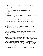My voice shook as I said the lines, for I remembered as I said them that in the letter my brother wrote me before his death he had quoted the same words.

Ai brooded, and after some time he said, "You're isolated, and undivided. Perhaps you are as obsessed with wholeness as we are with dualism."

"We are dualists too. Duality is an essential, isn't it? So long as there is *myself* and *the other."*

"I and Thou," he said. "Yes, it does, after all, go even wider than sex…"

"Tell me, how does the other sex of your race differ from yours?"

He looked startled and in fact my question rather startled me; kemmer brings out these spontaneities in one. We were both self-conscious. "I never thought of that," he said. "You've never seen a woman." He used his Terran-language word, which I knew.

"I saw your pictures of them. The women looked like pregnant Gethenians, but with larger breasts. Do they differ much from your sex in mind behavior? Are they like a different species?"

"No. Yes. No, of course not, not really. But the difference is very important. I suppose the most important thing, the heaviest single factor in one's life, is whether one's born male or female. In most societies it determines one's expectations, activities, outlook, ethics, manners—almost everything. Vocabulary. Semiotic usages. Clothing. Even food. Women… women tend to eat less… It's extremely hard to separate the innate differences from the learned ones. Even where women participate equally with men in the society, they still after all do all the childbearing, and so most of the child-rearing…"

"Equality is not the general rule, then? Are they mentally inferior?"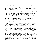"I don't know. They don't often seem to turn up mathematicians, or composers of music, or inventors, or abstract thinkers. But it isn't that they're stupid. Physically they're less muscular, but a little more durable than men. Psychologically—"

After he had stared a long time at the glowing stove, he shook his head. "Harth," he said, "I can't tell you what women are like. I never thought about it much in the abstract, you know, and—God!—by now I've practically forgotten. I've been here two years… You don't know. In a sense, women are more alien to me than you are. With you I share one sex, anyhow…" He looked away and laughed, rueful and uneasy. My own feelings were complex, and we let the matter drop.

*Yrny Thanern.* Eighteen miles today, east-northeast by compass, on skis. We got clear of the pressure-ridges and crevasses in the first hour of pulling. Both got in harness, I ahead at first with the probe, but no more need for testing: the firn is a couple of feet thick over solid ice, and on the firn lie several inches of sound new snow from the last fall, with a good surface. Neither we nor the sledge broke through at all, and the sledge pulled so light that it was hard to believe we are still hauling about a hundred pounds apiece. During the afternoon we took turns hauling, as one can do it easily on this splendid surface. It is a pity that all the hard work uphill and over rock came while the load was heavy. Now we go light. Too light: I find myself thinking about food a good deal. We eat, Ai says, ethereally. All day we went light and fast over the level ice-plain, dead white under a gray-blue sky, unbroken except for the few black nuna-tak-peaks now far behind us, and a smudge of darkness, Drumner's breath, behind them. Nothing else: the veiled sun, the ice.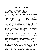# 17. An Orgota Creation Myth

*The origins of this myth are prehistorical; it has been recorded in many forms. This very primitive version is from a pre-Yomesh written text found in the Isenpeth Cave Shrine of the Gobrin Hinterlands.*

IN THE beginning there was nothing but ice and the sun. Over many years the sun shining melted a great crevasse in the ice. In the sides of this crevasse were great shapes of ice, and there was no bottom to it. Drops of water melted from the ice-shapes in the sides of the chasm and fell down and down. One of the ice-shapes said, "I bleed." Another of the ice-shapes said, "I weep." A third one said, "I sweat."

The ice-shapes climbed up out of the abyss and stood on the plain of ice. He that said "I bleed," he reached up to the sun and pulled out handfuls of excrement from the bowels of the sun, and with that dung made the hills and valleys of the earth. He that said "I weep," he breathed on the ice and melting it made the seas and the rivers. He that said "I sweat," he gathered up soil and sea-water and with them made trees, plants, herbs and grains of the field, animals, and men. The plants grew in the soil and the sea, the beasts ran on the land and swam in the sea, but the men did not wake. Thirty-nine of them there were. They slept on the ice and would not move.

Then the three ice-shapes stooped down and sat with their knees drawn up and let the sun melt them. As milk they melted, and the milk ran into the mouths of the sleepers, and the sleepers woke. That milk is drunk by the children of men alone and without it they will not wake to life.

The first to wake up was Edondurath. So tall was he that when he stood up his head split the sky, and snow fell down. He saw the others stirring and awakening, and was afraid of them when they moved, so he killed one after another with a blow of his fist. Thirty-six of them he killed. But one of them, the next to last one, ran away. Haharath he was called. Far he ran over the plain of ice and over the lands of earth. Edondurath ran behind him and caught up with him at last and smote him. Haharath died. Then Edondurath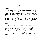returned to the Birthplace on the Gobrin Ice where the bodies of the others lay, but the last one was gone: he had escaped while Edondurath pursued Haharath.

Edondurath built a house of the frozen bodies of his brothers, and waited there inside that house for that last one to come back. Each day one of the corpses would speak, saying, "Does he burn? Does he burn?" All the other corpses would say with frozen tongues, "No, no." Then Edondurath entered kemmer as he slept, and moved and spoke aloud in dreams, and when he woke the corpses were all saying, "He burns! He burns!" And the last brother, the youngest one, heard them saying that, and came into the house of bodies and there coupled with Edondurath. Of these two were the nations of men born, out of the flesh of Edondurath, out of Edondurath's womb. The name of the other, the younger brother, the father, his name is not known.

Each of the children born to them had a piece of darkness that followed him about wherever he went by daylight. Edondurath said, "Why are my sons followed thus by darkness?" His kemmering said, "Because they were born in the house of flesh, therefore death follows at their heels. They are in the middle of time. In the beginning there was the sun and the ice, and there was no shadow. In the end when we are done, the sun will devour itself and shadow will eat light, and there will be nothing left but the ice and the darkness."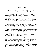## 18. On the Ice

SOMETIMES as I am falling asleep in a dark, quiet room I have for a moment a great and treasurable illusion of the past. The wall of a tent leans up over my face, not visible but audible, a slanting plane of faint sound: the susurrus of blown snow. Nothing can be seen. The light-emission of the Chabe stove is cut off, and it exists only as a sphere of heat, a heart of warmth. The faint dampness and confining cling of my sleeping-bag; the sound of the snow; barely audible, Estraven's breathing as he sleeps; darkness. Nothing else. We are inside, the two of us, in shelter, at rest, at the center of all things. Outside, as always, lies the great darkness, the cold, death's solitude.

In such fortunate moments as I fall asleep I know beyond doubt what the real center of my own life is, that time which is past and lost and yet is permanent, the enduring moment, the heart of warmth.

I am not trying to say that I was happy, during those weeks of hauling a sledge across an ice-sheet in the dead of winter. I was hungry, overstrained, and often anxious, and it all got worse the longer it went on. I certainly wasn't happy. Happiness has to do with reason, and only reason earns it. What I was given was the thing you can't earn, and can't keep, and often don't even recognize at the time; I mean joy.

I always woke up first, usually before daylight. My metabolic rate is slightly over the Gethenian norm, as are my height and weight; Estraven had figured these differences into the food-ration calculations, in his scrupulous way which one could see as either housewifely or scientific, and from the start I had had a couple of ounces more food per day than he. Protests of injustice fell silent before the self-evident justice of this unequal division. However divided, the share was small. I was hungry, constantly hungry, daily hungrier. I woke up because I was hungry.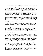If it was still dark I turned up the light of the Chabe stove, and put a pan of ice brought in the night before, now thawed, on the stove to boil. Estraven meanwhile engaged in his customary fierce and silent struggle with sleep, as if he wrestled with an angel. Winning, he sat up, stared at me vaguely, shook his head, and woke. By the time we were dressed and booted and had the bags rolled up, breakfast was ready: a mug of boiling hot orsh, and one cube of gichy-michy expanded by hot water into a sort of small, doughy bun. We chewed slowly, solemnly, retrieving all dropped crumbs. The stove cooled as we ate. We packed it up with the pan and mugs, pulled on our hooded overcoats and our mittens, and crawled out into the open air. The coldness of it was perpetually incredible. Every morning I had to believe it all over again. If one had been outside to relieve oneself already, the second exit was only harder.

Sometimes it was snowing; sometimes the long light of early day lay wonderfully gold and blue across the miles of ice; most often it was gray.

We brought the thermometer into the tent with us, nights, and when we took it outside it was interesting to watch the pointer swing to the right (Gethenian dials read counterclockwise) almost too fast to follow, registering a drop of twenty, fifty, eighty degrees, till it stopped somewhere between zero and −60°.

One of us collapsed the tent and folded it while the other loaded stove, bags, etc. onto the sledge; the tent was strapped over all, and we were ready for skis and harness. Little metal was used in our straps and fittings, but the harnesses had buckles of aluminum alloy, too fine to fasten with mittens on, which burned in that cold exactly as if they were redhot. I had to be very careful of my fingers when the temperature was below minus twenty, especially if the wind blew, for I could pick up a frostbite amazingly fast. My feet never suffered—and that is a factor of major importance, in a winter-journey where an hour's exposure can, after all, cripple one for a week or for life. Estraven had had to guess my size and the snowboots he got me were a little large, but extra socks filled the discrepancy. We put on our skis, got into harness as quick as possible, bucked and pried and jolted the sledge free if its runners were frozen in, and set off.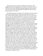Mornings after heavy snowfall we might have to spend some while digging out the tent and sledge before we could set off. The new snow was not hard to shovel away, though it made great impressive drifts around us, who were, after all, the only impediment for hundreds of miles, the only thing sticking out above the ice.

We pulled eastward by the compass. The usual direction of the wind was north to south, off the glacier. Day after day it blew from our left as we went. The hood did not suffice against that wind, and I wore a facial mask to protect my nose and left cheek. Even so my left eye froze shut one day, and I thought I had lost the use of it: even when Estraven thawed it open with breath and tongue, I could not see with it for some while, so probably more had been frozen than the lashes. In sunlight both of us wore the Gethenian slit-screen eyeshields, and neither of us suffered any snowblindness. We had small opportunity. The Ice, as Estraven had said, tends to hold a high-pressure zone above its central area, where thousands of square miles $\bullet$  of white reflect the sunlight. We were not in this central zone, however, but at best on the edge of it, between it and the zone of turbulent, deflected, precipitation-laden storms that it sends continually to torment the subglacial lands. Wind from due north brought bare, bright weather, but from northeast or northwest it brought snow, or harrowed up dry fallen snow into blinding, biting clouds like sand or dust-storms, or else, sinking almost to nothing, crept in sinuous trails along the surface, leaving the sky white, the air white, no visible sun, no shadow: and the snow itself, the Ice, disappeared from under our feet. Around midday we would halt, and cut and set up a few blocks of ice for a protective wall if the wind was strong. We heated water to soak a cube of gichy-michy in, and drank the water hot, sometimes with a bit of sugar melted in it; harnessed up again and went on. We seldom talked while on the march or at lunch, for our lips were sore, and when one's mouth was open the cold got inside, hurting teeth and throat and lungs; it was necessary to keep the mouth closed and breathe through the nose, at least when the air was forty or fifty degrees below freezing. When it went on lower than that, the whole breathing process was further complicated by the rapid freezing of one's exhaled breath; if you didn't look out your nostrils might freeze shut, and then to keep from suffocating you would gasp in a lungful of razors.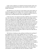Under certain conditions our exhalations freezing instantly made a tiny crackling noise, like distant firecrackers, and a shower of crystals: each breath a snowstorm.

We pulled till we were tired out or till it began to grow dark, halted, set up the tent, pegged down the sledge if there was threat of high wind, and settled in for the night. On a usual day we would have pulled for eleven or twelve hours, and made between twelve and eighteen miles.

It does not seem a very good rate, but then conditions were a bit adverse. The crust of the snow was seldom right for both skis and sledge-runners. When it was light and new the sledge ran through rather than over it; when it was partly hardened, the sledge would stick but we on skis would not, which meant that we were perpetually being pulled up backward with a jolt; and when it was hard it was often heaped up in long wind-waves, *sastrugi,* that in some places ran up to four feet high. We had to haul the sledge up and over each knife-edged or fantastically corniced top, then slide her down, and up over the next one: for they never seemed to run parallel to our course. I had imagined the Gobrin Ice Plateau to be all one sheet like a frozen pond, but there were hundreds of miles of it that were rather like an abruptly frozen, storm-raised sea.

The business of setting up camp, making everything secure, getting all the clinging snow off one's outer clothing, and so on, was trying. Sometimes it did not seem worthwhile. It was so late, so cold, one was so tired, that it would be much easier to lie down in a sleeping-bag in the lee of the sledge and not bother with the tent. I remember how clear this was to me on certain evenings, and how bitterly I resented my companion's methodical, tyrannical insistence that we do everything and do it correctly and thoroughly. I hated him at such times, with a hatred that rose straight up out of the death that lay within my spirit. I hated the harsh, intricate, obstinate demands that he made on me in the name of life. When all was done we could enter the tent, and almost at once the heat of the Chabe stove could be felt as an enveloping, protecting ambiance. A marvelous thing surrounded us: warmth. Death and cold were elsewhere, outside.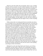Hatred was also left outside. We ate and drank. After we ate, we talked. When the cold was extreme, even the excellent insulation of the tent could not keep it out, and we lay in our bags as close to the stove as possible. A little fur of frost gathered on the inner surface of the tent. To open the valve was to let in a draft of cold that instantly condensed, filling the tent with a swirling mist of fine snow. When there was blizzard, needles of icy air blew in through the vents, elaborately protected as they were, and an impalpable dust of snow-motes fogged the air. On those nights the storm made an incredible noise, and we could not converse by voice, unless we shouted with our heads together. On other nights it was still, with such a stillness as one imagines as existing before the stars began to form, or after everything has perished.

Within an hour after our evening meal Estraven turned the stove down, if it was feasible to do so, and turned the light-emission off. As he did so he murmured a short and charming grace of invocation, the only ritual words I had ever learned of the Handdara: "Praise then darkness and Creation unfinished," he said, and there was darkness. We slept. In the morning it was all to do over. We did it over for fifty days. Estraven kept up his journal, though during the weeks on the Ice he seldom wrote more than a note of the weather and the distance we had come that day. Among these notes there is occasional mention of his own thoughts or of some of our conversation, but not a word concerning the profounder conversation between us which occupied our rest between dinner and sleep on many nights of the first month on the Ice, while we still had enough energy to talk, and on certain days that we spent storm-bound in the tent. I told him that I was not forbidden, but not expected, to use paraverbal speech on a non-Ally planet, and asked him to keep what he learned from his own people, at least until I could discuss what I had done with my colleagues on the ship. He assented, and kept his word. He never said or wrote anything concerning our silent conversations.

Mindspeech was the only thing I had to give Estraven, out of all my civilization, my alien reality in which he was so profoundly interested. I could talk and describe endlessly; but that was all I had to give. Indeed it may be the only important thing we have to give to Winter. But I can't say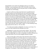that gratitude was my motive for infringing on the Law of Cultural Embargo. I was not paying my debt to him. Such debts remain owing. Estraven and I had simply arrived at the point where we shared whatever we had that was worth sharing.

I expect it will turn out that sexual intercourse is possible between Gethenian double-sexed and Hainish-norm one-sexed human beings, though such intercourse will inevitably be sterile. It remains to be proved; Estraven and I proved nothing except perhaps a rather subtler point. The nearest to crisis that our sexual desires brought us was on a night early in the journey, our second night up on the Ice. We had spent all day struggling and back-tracking in the cut-up, crevassed area east of the Fire-Hills. We were tired that evening but elated, sure that a clear course would soon open out ahead. But after dinner Estraven grew taciturn, and cut my talk off short. I said at last after a direct rebuff, "Harth, I've said something wrong again, please tell me what it is." He was silent.

"I've made some mistake in shifgrethor. I'm sorry; I can't learn. I've never even really understood the meaning of the word."

"Shifgrethor? It comes from an old word for *shadow*." We were both silent for a little, and then he looked at me with a direct, gentle gaze. His face in the reddish light was as soft, as vulnerable, as remote as the face of a woman who looks at you out of her thoughts and does not speak.

And I saw then again, and for good, what I had always been afraid to see, and had pretended not to see in him: that he was a woman as well as a man. Any need to explain the sources of that fear vanished with the fear; what I was left with was, at last, acceptance of him as he was. Until then I had rejected him, refused him his own reality. He had been quite right to say that he, the only person on Gethen who trusted me, was the only Gethenian I distrusted. For he was the only one who had entirely accepted me as a human being: who had liked me personally and given me entire personal loyalty: and who therefore had demanded of me an equal degree of recognition, of acceptance. I had not been willing to give it. I had been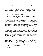afraid to give it. I had not wanted to give my trust, my friendship to a man who was a woman, a woman who was a man.

He explained, stiffly and simply, that he was in kemmer and had been trying to avoid me, insofar as one of us could avoid the other. "I must not touch you," he said, with extreme constraint; saying that he looked away.

I said, "I understand. I agree completely."

For it seemed to me, and I think to him, that it was from that sexual tension between us, admitted now and understood, but not assuaged, that the great and sudden assurance of friendship between us rose: a friendship so much needed by us both in our exile, and already so well proved in the days and nights of our bitter journey, that it might as well be called, now as later, love. But it was from the difference between us, not from the affinities and likenesses, but from the difference, that that love came: and it was itself the bridge, the only bridge, across what divided us. For us to meet sexually would be for us to meet once more as aliens. We had touched, in the only way we could touch. We left it at that. I do not know if we were right.

We talked some more that night, and I recall being very hard put to it to answer coherently when he asked me what women were like. We were both rather stiff and cautious with each other for the next couple of days. A profound love between two people involves, after all, the power and chance of doing profound hurt. It would never have occurred to me before that night that I could hurt Estraven.

Now that the barriers were down, the limitation, in my terms, of our converse and understanding seemed intolerable to me. Quite soon, two or three nights later, I said to my companion as we finished our dinner—a special treat, sugared kadik-porridge, to celebrate a twenty-mile run—"Last spring, that night in the Corner Red Dwelling, you said you wished I'd tell you more about paraverbal speech."

"Yes, I did."

"Do you want to see if I can teach you how to speak it?"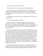He laughed. "You want to catch me lying."

"If you ever lied to me, it was long ago, and in another country."

He was an honest person, but rarely a direct one. That tickled him, and he said, "In another country I may tell you other lies. But I thought you were forbidden to teach your mind-science to… the natives, until we join the Ekumen."

"Not forbidden. It's not done. I'll do it, though, if you like. And if I can. I'm no Educer."

"There are special teachers of the skill?"

"Yes. Not on Alterra, where there's a high occurrence of natural sensitivity, and—they say—mothers mindspeak to their unborn babies. I don't know what the babies answer. But most of us have to be taught, as if it were a foreign language. Or rather as if it were our native language, but learned very late."

I think he understood my motive in offering to teach him the skill, and he wanted very much to learn it. We had a go at it. I recalled what I could of how I had been educed, at age twelve. I told him to clear his mind, let it be dark. This he did, no doubt, more promptly and thoroughly than I ever had done: he was an adept of the Handdara, after all. Then I mindspoke to him as clearly as I could. No result. We tried it again. Since one cannot bespeak until one has been bespoken, until the telepathic potentiality has been sensitized by one clear reception, I had to get through to him first. I tried for half an hour, till I felt hoarse of brain. He looked crestfallen. "I thought it would be easy for me," he confessed. We were both tired out, and called the attempt off for the night.

Our next efforts were no more successful. I tried sending to Estraven while he slept, recalling what my Educer had told me about the occurrence of "dream-messages" among pre-telepathic peoples, but it did not work.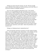"Perhaps my species lacks the capacity," he said. "We have enough rumors and hints to have made up a word for the power, but I don't know of any proven instances of telepathy among us."

"So it was with my people for thousands of years. A few natural Sensitives, not comprehending their gift, and lacking anyone to receive from or send to. All the rest latent, if that. You know I told you that except in the case of the born Sensitive, the capacity, though it has a physiological basis, is a psychological one, a product of culture, a side-effect of the use of the mind. Young children, and defectives, and members of un-evolved or regressed societies, can't mindspeak. The mind must exist on a certain plane of complexity first. You can't build up amino acids out of hydrogen atoms; a good deal of complexifying has to take place first: the same situation. Abstract thought, varied social interaction, intricate cultural adjustments, esthetic and ethical perception, all of it has to reach a certain level before the connections can be made—before the potentiality can be touched at all."

"Perhaps we Gethenians haven't attained that level."

"You're far beyond it. But luck is involved. As in the creation of amino acids… Or to take analogies on the cultural plane—only analogies, but they illuminate—the scientific method, for instance, the use of concrete, experimental techniques in science. There are peoples of the Ekumen who possess a high culture, a complex society, philosophies, arts, ethics, a high style and a great achievement in all those fields; and yet they have never learned to weigh a stone accurately. They can learn how, of course. Only for half a million years they never did… There are peoples who have no higher mathematics at all, nothing beyond the simplest applied arithmetic. Every one of them is capable of understanding the calculus, but not one of them does or ever has. As a matter of fact, my own people, the Terrans, were ignorant until about three thousand years ago of the uses of zero." That made Estraven blink. "As for Gethen, what I'm curious about is whether the rest of us may find ourselves to have the capacity for Foretelling—whether this too is a part of the evolution of the mind—if you'll teach us the techniques."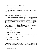"You think it a useful accomplishment?"

"Accurate prophecy? Well, of course!—"

"You might have to come to believe that it's a useless one, in order to practice it."

"Your Handdara fascinates me, Harth, but now and then I wonder if it isn't simply paradox developed into a way of life…"

We tried mindspeech again. I had never before sent repeatedly to a total non-receiver. The experience was disagreeable. I began to feel like an atheist praying. Presently Estraven yawned and said, "I am deaf, deaf as a rock. We'd better sleep." I assented. He turned out the light, murmuring his brief praise of darkness; we burrowed down into our bags, and within a minute or two he was sliding into sleep as a swimmer slides into dark water. I felt his sleep as if it were my own: the empathic bond was there, and once more I bespoke him, sleepily, by his name—*"Therem!"*

He sat bolt upright, for his voice rang out above me in the blackness, loud. "Arek! is that you?"

*"No: Genly Ai: I am bespeaking you."*

His� breath caught. Silence. He fumbled with the Chabe stove, turned up the light, stared at me with his dark eyes full of fear. "I dreamed," he said, "I thought I was at home—"

"You heard me mindspeak."

"You called me— It was my brother. It was his voice I heard. He's dead. You called me—you called me Therem? I… This is more terrible than I had thought." He shook his head, as a man will do to shake off nightmare, and then put his face in his hands.

"Harth, I'm very sorry—"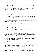"No, call me by my name. If you can speak inside my skull with a dead man's voice then you can call me by my name! Would *he* have called me 'Harth'? Oh, I see why there's no lying in this mindspeech. It is a terrible thing… All right. All right, speak to me again."

"Wait."

"No. Go on."

With his fierce, frightened gaze on me I bespoke him: "*Therem, my friend, there's nothing to fear between us.*"

He kept on staring at me, so that I thought he had not understood; but he had. "Ah, but there is," he said.

After a while, controlling himself, he said calmly, "You spoke in my language."

"Well, you don't know mine."

"You said there would be words, I know… Yet I imagined it as—an understanding—"

"Empathy's another game, though not unconnected. It gave us the connection tonight. But in mindspeech proper, the speech centers of the brain are activated, as well as—"

"No, no, no. Tell me that later. Why do you speak in my brother's voice?" His voice was strained.

"That I can't answer. I don't know. Tell me about him."

*"Nusuth…* My full brother, Arek Harth rem ir Es-traven. He was a year older than I. He would have been Lord of Estre. We… I left home, you know, for his sake. He has been dead fourteen years."

We were both silent for some time. I could not know, or ask, what lay behind his words: it had cost him too much to say the little he had said.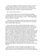I said at last, "Bespeak me, Therem. Call me by my name." I knew he could: the rapport was there, or as the experts have it, the phases were consonant, and of course he had as yet no idea of how to raise the barrier voluntarily. Had I been a Listener, I could have heard him think.

"No," he said. "Never. Not yet…"

But no amount of shock, awe, terror could restrain that insatiable, outreaching mind for long. After he had cut out the light again I suddenly heard his stammer in my inward hearing—"*Genry—*" Even mindspeaking he never could say "l" properly.

I replied at once. In the dark he made an inarticulate sound of fear that had in it a slight edge of satisfaction. "No more, no more," he said aloud. After a while we got to sleep at last.

It never came easy to him. Not that he lacked the gift or could not develop the skill, but it disturbed him profoundly, and he could not take it for granted. He quickly learned to set up the barriers, but I'm not sure he felt he could count on them. Perhaps all of us were so, when the first Educers came back centuries ago from Rokanon's World teaching the "Last Art" to us. Perhaps a Gethenian, being singularly complete, feels telepathic speech as a violation of completeness, a breach of integrity hard for him to tolerate. Perhaps it was Estraven's own character, in which candor and reserve were both strong: every word he said rose out of a deeper silence. He heard my voice bespeaking him as a dead man's, his brother's voice. I did not know what, besides love and death, lay between him and that brother, but I knew that whenever I bespoke him something in him winced away as if I touched a wound. So that intimacy of mind established between us was a bond, indeed, but an obscure and austere one, not so much admitting further light (as I had expected it to) as showing the extent of the darkness.

And day after day we crept on eastward over the plain of ice. The midpoint in time of our journey as planned, the thirty-fifth day, Odorny Anner, found us far short of our halfway point in space. By the sledge-meter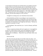we had indeed traveled about four hundred miles, but probably only threequarters of that was real forward gain, and we could estimate only very roughly how far still remained to go. We had spent days, miles, rations in our long struggle to get up onto the Ice. Estraven was not so worried as I by the hundreds of miles that still lay ahead of us. "The sledge is lighter," he said. "Towards the end it will be still lighter; and we can cut rations, if necessary. We have been eating very well, you know."

I thought he was being ironic, but I should have known better.

On the fortieth day and the two succeeding we were snowed in by a blizzard. During these long hours of lying blotto in the tent Estraven slept almost continuously, and ate nothing, though he drank orsh or sugar-water at mealtimes. He insisted that I eat, though only half-rations. "You have no experience in starvation," he said.

I was humiliated. "How much have you—Lord of a Domain, and Prime Minister—?"

"Genry, we practice privation until we're experts at it. I was taught how to starve as a child at home in Estre, and by the Handdarata in Rotherer Fastness. I got out of practice in Erhenrang, true enough, but I began making up for it in Mishnory… Please do as I say, my friend; I know what I'm doing."

He did, and I did.

We went on for four more days of very bitter cold, never above −25°, and then came another blizzard whooping up in our faces from the east on a gale wind. Within two minutes of the first strong gusts the snow blew so thick that I could not see Estraven six feet away. I had turned my back on him and the sledge and the plastering, blinding, suffocating snow in order to get my breath, and when a minute later I turned around he was gone. The sledge was gone. Nothing was there. I took a few steps to where they had been and felt about. I shouted, and could not hear my own voice. I was deaf and alone in a universe filled solid with small stinging gray streaks. I panicked and began to blunder forward, mindcalling frantically, "*Therem!*"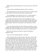Right under my hand, kneeling, he said, "Come on, give me a hand with the tent."

I did so, and never mentioned my minute of panic. No need to.

This blizzard lasted two days; there were five days lost, and there would be more. Nimmer and Anner are the months of the great storms.

"We're beginning to cut it rather fine, aren't we," I said one night as I measured out our gichy-michy ration and put it to soak in hot water.

He looked at me. His firm, broad face showed weight-loss in deep shadows under the cheekbones, his eyes were sunken and his mouth sorely chapped and cracked. God knows what I looked like, when he looked like that. He smiled. "With luck we shall make it, and without luck we shall not."

It was what he had said from the start. With all my anxieties, my sense of taking a last desperate gamble, and so on, I had not been realistic enough to believe him. Even now I thought, Surely when we've worked so hard-

But the Ice did not know how hard we worked. Why should it? Proportion is kept.

"How is your luck running, Therem?" I said at last.

He did not smile at that. Nor did he answer. Only after a while he said, "I've been thinking about them all, down there." *Down there,* for us, had come to mean the south, the world below the plateau of ice, the region of earth, men, roads, cities, all of which had become hard to imagine as really existing. "You know that I sent word to the king concerning you, the day I left Mishnory. I told him what Shusgis told me, that you were going to be sent to Pulefen Farm. At the time I wasn't clear as to my intent, but merely followed my impulse. I have thought the impulse through, since. Something like this may happen: The king will see a chance to play shifgrethor. Tibe will advise against it, but Argaven should be growing a little tired of Tibe by now, and may ignore his counsel. He will inquire. Where is the Envoy,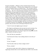the guest of Karhide? —Mishnory will lie. He died of horm-fever this autumn, most lamentable. —Then how does it happen that we are informed by our own Embassy that he's in Pulefen Farm? —He's not there, look for yourselves. —No, no, of course not, we accept the word of the Commensals of Orgoreyn… But a few weeks after these exchanges, the Envoy appears in North Karhide, having escaped from Pulefen Farm. Consternation in Mishnory, indignation in Erhenrang. Loss of face for the Commensals, caught lying. You will be a treasure, a long-lost hearth-brother, to King Argaven, Genry. For a while. You must send for your Star Ship at once, at the first chance you get. Bring your people to Karhide and accomplish your mission, at once, before Argaven has had time to see the possible enemy in you, before Tibe or some other councillor frightens him once more, playing on his madness. If he makes the bargain with you, he will keep it. To break it would be to break his own shifgrethor. The Harge kings keep their promises. But you must act fast, and bring the Ship down soon."

"I will, if I receive the slightest sign of welcome."

"No: forgive my advising you, but you must not wait for welcome. You will be welcomed, I think. So will the Ship. Karhide has been sorely humbled this past half-year. You will give Argaven the chance� to turn the tables. I think he will take the chance."

"Very well. But you, meanwhile—"

"I am Estraven the Traitor. I have nothing whatever to do with you."

"At first."

"At first," he agreed.

"You'll be able to hide out, if there is danger at first?"

"Oh yes, certainly."

Our food was ready, and we fell to. Eating was so important and engrossing a business that we never talked any more while we ate; the taboo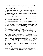was now in its complete, perhaps its original form, not a word said till the last crumb was gone. When it was, he said, "Well, I hope I've guessed well. You will... you do forgive..."

"Your giving me direct advice?" I said, for there were certain things I had finally come to understand. "Of course I do, Therem. Really, how can you doubt it? You know I have no shifgrethor to waive." That amused him, but he was still brooding.

"Why," he said at last, "why did you come alone—why were you sent alone? Everything, still, will depend upon that ship coming. Why was it made so difficult for you, and for us?"

"It's the Ekumen's custom, and there are reasons for it. Though in fact I begin to wonder if I've ever understood the reasons. I thought it was for your sake that I came alone, so obviously alone, so vulnerable, that I could in myself pose no threat, change no balance: not an invasion, but a mere messenger-boy. But there's more to it than that. Alone, I cannot change your world. But I can be changed by it. Alone, I must listen, as well as speak. Alone, the relationship I finally make, if I make one, is not impersonal and not only political: it is individual, it is personal, it is both more and less than political. Not We and They; not I and It; but I and Thou. Not political, not pragmatic, but mystical. In a certain sense the Ekumen is not a body politic, but a body mystic. It considers beginnings to be extremely important. Beginnings, and means. Its doctrine is just the reverse of the doctrine that the end justifies the means. It proceeds, therefore, by subtle ways, and slow ones, and queer, risky ones; rather as evolution does, which is in certain senses its model... So I was sent alone, for your sake? Or for my own? I don't know. Yes, it has made things difficult. But I might ask you as profitably why you've never seen fit to invent airborne vehicles? One small stolen airplane would have spared you and me a great deal of difficulty!"

"How would it ever occur to a sane man that he could fly?" Estraven said sternly. It was a fair response, on a world where no living thing is winged, and the very angels of the Yomesh Hierarchy of the Holy do not fly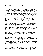but only drift, wingless, down to earth like a soft snow falling, like the windborne seeds of that flowerless world.

Towards the middle of Nimmer, after much wind and bitter cold, we came into a quiet weather for many days. If there was storm it was far south of us, *down there,* and we inside the blizzard had only an all but windless overcast. At first the overcast was thin, so that the air was vaguely radiant with an even, sourceless sunlight reflected from both  $\bigcirc$  clouds and snow, from above and below. Overnight the weather thickened somewhat. All brightness was gone, leaving nothing. We stepped out of the tent onto nothing. Sledge and tent were there, Estraven stood beside me, but neither he nor I cast any shadow. There was dull light all around, everywhere. When we walked on the crisp snow no shadow showed the footprint. We left no track. Sledge, tent, himself, myself: nothing else at all. No sun, no sky, no horizon, no world. A whitish-gray void, in which we appeared to hang. The illusion was so complete that I had trouble keeping my balance. My inner ears were used to confirmation from my eyes as to how I stood; they got none; I might as well be blind. It was all right while we loaded up, but hauling, with nothing ahead, nothing to look at, nothing for the eye to touch, as it were, it was at first disagreeable and then exhausting. We were on skis, on a good surface of firn, without sastrugi, and solid—that was certain—for five or six thousand feet down. We should have been making good time. But we kept slowing down, groping our way across the totally unobstructed plain, and it took a strong effort of will to speed up to a normal pace. Every slight variation in the surface came as a jolt—as in climbing stairs, the unexpected stair or the expected but absent stair—for we could not see it ahead: there was no shadow to show it. We skied blind with our eyes open. Day after day was like this, and we began to shorten our hauls, for by mid-afternoon both of us would be sweating and shaking with strain and fatigue. I came to long for snow, for blizzard, for anything; but morning after morning we came out of the tent into the void, the white weather, what Estraven called the Un-shadow.

One day about noon, Odorny Nimmer, the sixty-first day of the journey, that bland blind nothingness about us began to flow and writhe. I thought my eyes were fooling me, as they had been doing often, and paid scant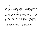attention to the dim meaningless commotion of the air until, suddenly, I caught a glimpse of a small, wan, dead sun overhead. And looking down from the sun, straight ahead, I saw a huge black shape come hulking out of the void towards us. Black tentacles writhed upwards, groping out. I stopped dead in my tracks, slewing Estraven around on his skis, for we were both in harness hauling. "What is it?"

He stared at the dark monstrous forms hidden in the fog, and said at last, "The crags… It must be Esherhoth Crags." And pulled on. We were miles from the things, which I had taken to be almost within arm's reach. As the white weather turned to a thick low mist and then cleared off, we saw them plainly before sunset: nunataks, great scored and ravaged pinnacles of rock jutting up out of the ice, no more of them showing than shows of an iceberg above the sea: cold drowned mountains, dead for eons.

They showed us to be somewhat north of our shortest course, if we could trust the ill-drawn map that was all we had. The next day we turned for the first time a little south of east.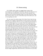## 19. Homecoming

IN A DARK windy weather we slogged along, trying to find encouragement in the sighting of Esherhoth Crags, the first thing not ice or snow or sky that we had seen for seven weeks. On the map they were marked as not far from the Shenshey Bogs to the south, and from Guthen Bay to the east. But it was not a trustworthy map of the Gobrin area. And we were getting very tired.

We were nearer the southern edge of the Gobrin Glacier than the map indicated, for we began to meet pressure-ice and crevasses on the second day of our turn southward. The Ice was not so upheaved and tormented as in the Fire-Hills region, but it was rotten. There were sunken pits acres across, probably lakes in summer; false floors of snow that might subside with a huge gasp all around you into the air-pocket a foot deep beneath; areas all slit and pocked with little holes and crevasses; and, more and more often, there were big crevasses, old canyons in the Ice, some wide as mountain gorges and others only two or three feet across, but deep. On Odyrny Nimmer (by Estraven's journal, for I kept none) the sun shone clear with a strong north wind. As we ran the sledge across the snow-bridges over narrow crevasses we could look down to left or right into blue shafts and abysses in which bits of ice dislodged by the runners fell with a vast, faint, delicate music, as if silver wires touched thin crystal planes, falling. I remember the racy, dreamy, light-headed pleasure of that morning's haul in the sunlight over the abysses. But the sky began to whiten, the air to grow thick; shadows faded, blue drained out of the sky and snow. We were not alert to the danger of white weather on such a surface. As the ice was heavily corrugated, I was pushing while Estraven pulled; I had my eyes on the sledge and was shoving away, mind on nothing but how best to shove, when all at once the bar was nearly wrenched out of my grip as the sledge shot forward in a sudden lunge. I held on by instinct and shouted "Hey!" to Estraven to slow him down, thinking he had speeded up on a smooth patch. But the sledge stopped dead, tilted nose-down, and Estraven was not there.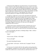I almost let go the sledge-bar to go look for him. It was pure luck that I did not. I held on, while I stared stupidly about for him, and so I saw the lip of the crevasse, made visible by the shifting and dropping of another section of the broken snow-bridge. He had gone right down feet-first, and nothing kept the sledge from following him but my weight, which held the rear third of the runners still on solid ice. It kept tipping a little farther nosedownward, pulled by his weight as he hung in harness in the pit.

I brought my weight down on the rear-bar and pulled and rocked and levered the sledge back away from the edge of the crevasse. It did not come easy. But I threw my weight hard on the bar and tugged until it began grudgingly to move, and then slid abruptly right away from the crevasse. Estraven had got his hands onto the edge, and his weight now aided me. Scrambling, dragged by the harness, he came up over the edge and collapsed face down on the ice.

I knelt by him trying to unbuckle his harness, alarmed by the way he sprawled there, passive except for the great gasping rise and fall of his chest. His lips were cyanotic, one side of his face was bruised and scraped.

He sat up unsteadily and said in a whistling whisper, "Blue—all blue— Towers in the depths—"

"What?"

"In the crevasse. All blue—full of light."

"Are you all right?"

He started rebuckling his harness.

"You go ahead—on the rope—with the stick," he gasped. "Pick the route."

For hours one of us hauled while the other guided, mincing along like a cat on eggshells, sounding every step in advance with the stick. In the white weather one could not see a crevasse until one could look down into it—a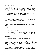little late, for the edges overhung, and were not always solid. Every footfall was a surprise, a drop or a jolt. No shadows. An even, white, soundless sphere: we moved along inside a huge frosted-glass ball. There was nothing inside the ball, and nothing was outside it. But there were cracks in the glass. Probe and step, probe and step. Probe for the invisible cracks through which one might fall out of the white glass ball, and fall, and fall, and fall... An unrelaxable tension little by little took hold of all my muscles. It became exceedingly difficult to take even one more step.

"What's up, Genry?"

I stood there in the middle of nothing. Tears came out and froze my eyelids together. I said, "I'm afraid of falling."

"But you're on the rope," he said. Then, coming up and seeing that there was no crevasse anywhere visible, he saw what was up and said, "Pitch camp."

"It's not time yet, we ought to go on."

He was already unlashing the tent.

Later on, after we had eaten, he said, "It was time to stop. I don't think we can go this way. The Ice seems to drop off slowly, and will be rotten and crevassed all the way. If we could see, we could make it: but not in unshadow."

"But then how do we get down onto the Shenshey Bogs?"

"Well, if we keep east again instead of trending south, we might be on sound ice clear to Guthen Bay. I saw the Ice once from a boat on the Bay in summer. It comes up against the Red Hills, and feeds down in ice-rivers to the Bay. If we came down one of those glaciers we could run due south on the sea-ice to Karhide, and so enter at the coast rather than the border, which might be better. It will add some miles to our way, though something between twenty and fifty, I should think. What's your opinion, Genry?"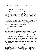"My opinion is that I can't go twenty more feet so long as the white weather lasts."

"But if we get out of the crevassed area…"

"Oh, if we get out of the crevasses I'll be fine. And if the sun ever comes out again, you get on the sledge and I'll give you a free ride to Karhide." That was typical of our attempts at humor, at this stage of the journey; they were always very stupid, but sometimes they  $\bigcirc$  made $\bigcirc$  the other fellow smile. "There's nothing wrong with me," I went on, "except acute chronic fear."

"Fear's very useful. Like darkness; like shadows." Estraven's smile was an ugly split in a peeling, cracked brown mask, thatched with black fur and set with two flecks of black rock. "It's queer  $\bullet$  that  $\bullet \bullet$  daylight's not enough. We need the shadows, in order to walk."

"Give me your notebook a moment."

He had just noted down our day's journey and done some calculation of mileage and rations. He pushed the little tablet and carbon-pencil around the Chabe stove to me. On the blank leaf glued to the inner back cover I drew the double curve within the circle, and blacked the yin half of the symbol, then pushed it back to my companion. "Do you know that sign?"

He looked at it a long time with a strange look, but he said, "No."

"It's found on Earth, and on Hain-Davenant, and on Chiffewar. It is yin and yang. *Light is the left hand of darkness…* how did it go? Light, dark. Fear, courage. Cold, warmth. Female, male. It is yourself, Therem. Both and one. A shadow on snow."

The next day we trudged northeast through the white absence of everything until there were no longer any cracks in the floor of nothing: a day's haul. We were on 2⁄3 ration, hoping to keep the longer route from running us right out of food. It seemed to me that it would not matter much if it did, as the difference between little and nothing seemed a rather fine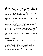one. Estraven, however, was on the track of his luck, following what appeared to be hunch or intuition, but may have been applied experience and reasoning. We went east for four days, four of the longest hauls we had made, eighteen to twenty miles a day, and then the quiet zero weather broke and went to pieces, turning into a whirl, whirl, whirl of tiny snow-particles ahead, behind, to the side, in the eyes, a storm beginning as the light died. We lay in the tent for three days while the blizzard yelled at us, a three-daylong, wordless, hateful yell from the unbreathing lungs.

"*It'll drive me to screaming back,*" I said to Estraven in mindspeech, and he, with the hesitant formality that marked his rapport: "*No use. It will not listen.*"

We slept hour after hour, ate a little, tended our frostbites, inflammations, and bruises, mindspoke, slept again. The three-day shriek died down into a gabbling, then a sobbing, then a silence. Day broke. Through the opened door-valve the sky's brightness shone. It lightened the heart, though we were too rundown to be able to show our relief in alacrity or zest of movement. We broke camp—it took nearly two hours, for we crept about like two old men—and set off. The way was downhill, an unmistakable slight grade; the crust was perfect for skis. The sun shone. The thermometer at midmorning showed −10°. We seemed to get strength from going, and we went fast and easy. We went that day till the stars came out.

For dinner Estraven served out full rations. At that rate, we had enough for only seven days more.

"The wheel turns," he said with serenity. "To make a good run, we've got to eat."

"Eat, drink, and be merry," said I. The food had got me high. I laughed inordinately at my own words. "All one-eating-drinking-merrymaking. Can't have merry without eats, can you?" This seemed to me a mystery quite on a par with that of the yin-yang circle, but it did not last. Something in Estraven's expression dispelled it. Then I felt like crying, but refrained.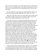Estraven was not as strong as I was, and it would not be fair, it might make him cry too. He was already asleep: he had fallen asleep sitting up, his bowl on his lap. It was not like him to be so unmethodical. But it was not a bad idea, sleep.

We woke rather late next morning, had a double breakfast, and then got in harness and pulled our light sledge right off the edge of the world.

Below the world's edge, which was a steep rubbly slope of white and red in a pallid noon light, lay the frozen sea: the Bay of Guthen, frozen from shore to shore and from Karhide clear to the North Pole.

To get down onto the sea-ice through the broken edges and shelves and trenches of the Ice jammed up amongst the Red Hills took that afternoon and the next day. On that second day we abandoned our sledge. We made up backpacks; with the tent as the main bulk of one and the bags of the other, and our food equally distributed, we had less than twenty-five pounds apiece to carry; I added the Chabe stove to my pack and still had under thirty. It was good to be released from forever pulling and pushing and hauling and prying that sledge, and I said so to Estraven as we went on. He glanced back at the sledge, a bit of refuse in the vast torment of ice and reddish rock. "It did well," he said. His loyalty extended without disproportion to things, the patient, obstinate, reliable things that we use and get used to, the things we live by. He missed the sledge. That evening, the seventy-fifth of our journey, our fifty-first day on the plateau, Harhahad Anner, we came down off the Gobrin Ice onto the sea-ice of Guthen Bay. Again we traveled long and late, till dark. The air was very cold, but clear and still, and the clean ice-surface, with no sledge to pull, invited our skis. When we camped that night it was strange to think,  $\bigcirc$  lying down, that under us there was no longer a mile of ice, but a few feet of it, and then salt water. But we did not spend much time thinking. We ate, and slept.

At dawn, again a clear day though terribly cold, below −40° at daybreak, we could look southward and see the coastline, bulged out here and there with protruding tongues of glacier, fall away southward almost in a straight line. We followed it close inshore at first. A north wind helped us along till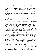we skied up abreast a valley-mouth between two high orange hills; out of that gorge howled a gale that knocked us both off our feet. We scuttled farther east, out on the level sea-plain, where we could at least stand up and keep going. "The Gobrin Ice has spewed us out of its mouth," I said.

The next day, the eastward curve of the coastline was plain, straight ahead of us. To our right was Orgoreyn, but that blue curve ahead was Karhide.

On that day we used up the last grains of orsh, and the last few ounces of kadik-germ; we had left now two pounds apiece of gichy-michy, and six ounces of sugar.

I cannot describe these last days of our journey very well, I find, because I cannot really remember them. Hunger can heighten perception, but not when combined with extreme fatigue; I suppose all my senses were very much deadened. I remember having hunger-cramps, but I don't remember suffering from them. I had, if anything, a vague feeling all the time of liberation, of having got beyond something, of joy; also of being terribly sleepy. We reached land on the twelfth, Posthe Anner, and clambered over a frozen beach and into the rocky, snowy desolation of the Guthen Coast.

We were in Karhide. We had achieved our goal. It came near being an empty achievement, for our packs were empty. We had a feast of hot water to celebrate our arrival. The next morning we got up and set off to find a road, a settlement. It is a desolate region, and we had no map of it. What roads there might be were under five or ten feet of snow, and we may have crossed several without knowing it. There was no sign of cultivation. We strayed south and west that day, and the next, and on the evening of the next, seeing a light shine on a distant hillside through the dusk and thin falling snow, neither of us said anything for some time. We stood and stared. Finally my companion croaked, "Is that a light?"

It was long after dark when we came shambling into a Karhidish village, one street between high-roofed dark houses, the snow packed and banked up to their winter-doors. We stopped at the hot-shop, through the narrow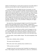shutters of which flowed, in cracks and rays and arrows, the yellow light we had seen across the hills of winter. We opened the door and went in.

It was Odsordny Anner, the eighty-first day of our journey; we were eleven days over Estraven's proposed schedule. He had estimated our food supply exactly: seventy-eight days' worth at the outside. We had come 840 miles, by the sledge-meter plus a guess for the last few days. Many of those miles had been wasted in backtracking, and if we had really had eight hundred miles to cover we should never have made it; when we got a good map we figured that the distance between Pulefen Farm and this village was less than 730 miles. All those miles and days had been across a houseless, speechless desolation: rock, ice, sky, and silence: nothing else, for eightyone days, except each other.

We entered into a big steaming-hot bright-lit room full of food and the smells of food, and people and the voices of people. I caught hold of Estraven's shoulder. Strange faces turned to us, strange eyes. I had forgotten there was anyone alive who did not look like Estraven. I was terrified.

In fact it was rather a small room, and the crowd of strangers in it was seven or eight people, all of whom were certainly as taken aback as I was for a while. Nobody comes to Kurkurast Domain in midwinter from the north at night. They stared, and peered, and all the voices had fallen silent.

Estraven spoke, a barely audible whisper. "We ask the hospitality of the Domain."

Noise, buzz, confusion, alarm, welcome.

"We came over the Gobrin Ice."

More noise, more voices, questions; they crowded in on us.

"Will you look to my friend?"

I thought I had said it, but Estraven had. Somebody was making me sit down. They brought us food; they looked after us, took us in, welcomed us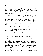home.

Benighted, contentious, passionate, ignorant souls, countryfolk of a poor land, their generosity gave a noble ending to that hard journey. They gave with both hands. No doling out, no counting up. And so Estraven received what they gave us, as a lord among lords or a beggar among beggars, a man among his own people.

To those fishermen-villagers who live on the edge of the edge, on the extreme habitable limit of a barely habitable continent, honesty is as essential as food. They must play fair with one another; there's not enough to cheat with. Estraven knew this, and when after a day or two they got around to asking, discreetly and indirectly, with due regard to shifgrethor, why we had chosen to spend a winter rambling on the Gobrin Ice, he replied at once, "Silence is not what I should choose, yet it suits me better than a lie."

"It's well known that honorable men come to be outlawed, yet their shadow does not shrink," said the hot-shop cook, who ranked next to the village chief in consequence, and whose shop was a sort of living-room for the whole Domain in winter.

"One person may be outlawed in Karhide, another in Orgoreyn," said Estraven.

"True; and one by his clan, another by the king in Erhenrang."

"The king shortens no man's shadow, though he may try," Estraven remarked, and the cook looked satisfied. If Estraven's own clan had cast him out he would be a suspect character, but the king's strictures were unimportant. As for me, evidently a foreigner and so the one outlawed by Orgoreyn, that was if anything to my credit. We never told our names to our hosts in Kurkurast. Estraven was very reluctant to use a false name, and our true ones could not be avowed. It was, after all, a crime to speak to Estraven, let alone to feed and clothe and house him, as they did. Even a remote village of the Guthen Coast has radio, and they could not have pleaded ignorance of the Order of Exile; only real ignorance of their guest's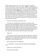identity might give them some excuse. Their vulnerability weighed on Estraven's mind, before I had even thought of it.  $\bullet$  On our third night there he came into my room to discuss our next move. A Karhidish village is like an ancient castle of Earth in having few or no separate, private dwellings. Yet in the high, rambling old  $\bullet$  buildings of the Hearth, the Commerce, the Co-Domain (there was no Lord of Kurkurast) and the Outer-House, each of the five hundred villagers could have privacy, even seclusion, in rooms off those ancient corridors with walls three feet thick. We had been given a room apiece, on the top floor of the Hearth. I was sitting in mine beside the fire, a small, hot, heavy-scented fire of peat from the Shenshey Bogs, when Estraven came in. He said."

"We must soon be going on from here, Genry."

I remember him standing there in the shadows of the firelit room barefoot and wearing nothing but the loose fur breeches the chief had given him. In the privacy and what they consider the warmth of their houses Karhiders often go half-clothed or naked. On our journey Estraven had lost all the smooth, compact solidity that marks the Gethenian physique; he was gaunt and scarred, and his face was burned by cold almost as by fire. He was a dark, hard, and yet elusive figure in the quick, restless light.

"Where to?"

"South and west, I think. Towards the border. Our first job is to find you a radio transmitter strong enough to reach your ship. After that, I must find a hiding place, or else go back into Orgoreyn for a while, to avoid bringing punishment on those who help us here."

"How will you get back into Orgoreyn?"

"As I did before—cross the border. The Orgota have nothing against me."

"Where will we find a transmitter?"

"No nearer than Sassinoth."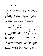I winced. He grinned.

"Nothing closer?"

"A hundred and fifty miles or so; we've come farther over worse ground. There are roads all the way; people will take us in; we may get a lift on a powersledge."

I assented, but I was depressed by the prospect of still another stage of our winter-journey, and this one not towards haven but back to that damned border where Estraven might go back into exile, leaving me alone.

I brooded over it and finally said, "There'll be one condition which Karhide must fulfill before it can join the Ekumen. Argaven must revoke your banishment."

He said nothing, but stood gazing at the fire.

"I mean it," I insisted. "First things first."

"I thank you, Genry," he said. His voice, when he spoke very softly as now, did have much the timbre of a woman's voice, husky and unresonant. He looked at me, gently, not smiling. "But I haven't expected to see my home again for a long time now. I've been in exile for twenty years, you know. This is not so much different, this banishment. I'll look after myself; and you look after yourself, and your Ekumen. That you must do alone. But all this is said too soon. Tell your ship to come down! When that's done, then I'll think beyond it."

We stayed two more days in Kurkurast, getting well fed and rested, waiting for a road-packer that was due in from the south and would give us a lift when it went back again. Our hosts got Estraven to tell them the whole tale of our crossing of the Ice. He told it as only a person of an oralliterature tradition can tell a story, so that it became a saga, full of traditional locutions and even episodes, yet exact and vivid, from the sulphurous fire and dark of the pass between Drumner and Dremegole to the screaming gusts from mountain-gaps that swept the Bay of Guthen; with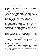comic interludes, such as his fall into the crevasse, and mystical ones, when he spoke of the sounds and silences of the Ice, of the shadowless weather, of the night's darkness. I listened as fascinated as all the rest, my gaze on my friend's dark face.

We left Kurkurast riding elbow-jammed in the cab of a road-packer, one of the big powered vehicles that rolls and packs down the snow on Karhidish roads, the main means of keeping roads open in winter, since to try to keep them plowed clear would take half the kingdom's time and money, and all traffic is on runners in the winter anyway. The packer ground along at two miles an hour, and brought us into the next village south of Kurkurast long after nightfall. There, as always, we were welcomed, fed, and housed for the night; the next day we went on afoot. We were now landward of the coastal hills that take the brunt of the north wind off the Bay of Guthen, in a more heavily settled region, and so went not from camp to camp but from Hearth to Hearth. A couple of times we did get a lift on a power-sledge, once for thirty miles. The roads, despite frequent heavy snowfall, were hard-packed and well-marked. There was always food in our packs, put there by the last night's hosts; there was always a roof and a fire at the end of the day's going.

Yet those eight or nine days of easy hiking and skiing through a hospitable land were the hardest and dreariest part of all our journey, worse than the ascent of the glacier, worse than the last days of hunger. The saga was over, it belonged to the Ice. We were very tired. We were going the wrong direction. There was no more joy in us.

"Sometimes you must go against the wheel's turn," Estraven said. He was as steady as ever, but in his walk, his voice, his bearing, vigor had been replaced by patience, and certainty by stubborn resolve. He was very silent, nor would he mindspeak with me much.

We came to Sassinoth. A town of several thousand, perched up on hills above the frozen Ey: roofs white, walls gray, hills spotted black with forest and rock outcropping, fields and river white; across the river the disputed Sinoth Valley, all white…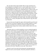We came there all but empty-handed. Most of what remained of our travel-equipment we had given away to various kindly hosts, and by now we had nothing but the Chabe stove, our skis, and the clothes we wore. Thus unburdened we made our way, asking directions a couple of times, not into the town but to an outlying farm. It was a meager place, not part of a Domain but a single-farm under the Sinoth Valley Administration. When Estraven was a young secretary in that Administration he had been a friend of the owner, and in fact had bought this farm for him, a year or two ago, when he was helping people resettle east of the Ey in hopes of obviating dispute over the ownership of the Sinoth Valley. The farmer himself opened his door to us, a stocky soft-spoken man of about Estraven's age, His name was Thessicher.

Estraven had come through this region with hood pulled up and forward to hide his face. He feared recognition, here. He hardly needed to; it took a keen eye to see Harth rem ir Estraven in the thin weatherworn tramp. Thessicher kept staring at him covertly, unable to believe that he was who he said he was.

Thessicher took us in, and his hospitality was up to standard though his means were small. But he was uncomfortable with us, he would rather not have had us. It was understandable; he risked the confiscation of his property by sheltering us. Since he owed that property to Estraven, and might by now have been as destitute as we if Estraven had not provided for him, it seemed not unjust to ask him to run some risk in return. My friend, however, asked his help not in repayment but as a matter of friendship, counting not on Thessicher's obligation but on his affection. And indeed Thessicher thawed after his first alarm was past, and with Karhidish volatility became demonstrative and nostalgic, recalling old days and old acquaintances with Estraven beside the fire half the night. When Estraven asked him if he had any idea as to a hiding place, some deserted or isolated farm where a banished man might lie low for a month or two in hopes of a revocation of his exile, Thessicher at once said, "Stay with me."

Estraven's eyes lit up at that, but he demurred; and agreeing that he might not be safe so near Sassinoth, Thessicher promised to find him a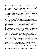hideout. It wouldn't be hard, he said, if Estraven would take a false name and hire out as a cook or farmhand, which would not be pleasant, perhaps, but certainly better than returning to Orgoreyn. "What the devil would you do in Orgoreyn? What would you live on, eh?"

"On the Commensality," said my friend, with a trace of his otter's smile. "They provide all Units with jobs, you know. No trouble. But I'd rather be in Karhide… if you really think it could be managed…"

We had kept the Chabe stove, the only thing of value left to us. It served us, one way or another, right to the end of our journey. The morning after our arrival at Thessicher's farm, I took the stove and skied into town. Estraven of course did not come with me, but he had explained to me what to do, and it all went well. I sold the stove at the Town Commerce, then took the solid sum of money it had fetched up the hill to the little College of the Trades, where the radio station was housed, and bought ten minutes of "private transmission to private reception." All stations set aside a daily period of time for such shortwave transmissions; as most of them are sent by merchants to their overseas agents or customers in the Archipelago, Sith, or Perunter, the cost is rather high, but not unreasonable. Less, anyway, than the cost of a secondhand Chabe stove. My ten minutes were to be early in Third Hour, late afternoon. I did not want to be skiing back and forth from Thessicher's farm all day long, so I hung around Sassinoth, and bought a large, good, cheap lunch at one of the hot-shops. No doubt that Karhidish cooking was better than Orgota. As I ate, I remembered Estraven's comment on that, when I had asked him if he hated Orgoreyn; I remembered his voice last night, saying with all mildness, "I'd rather be in Karhide…" And I wondered, not for the first time, what patriotism is, what the love of country truly consists of, how that yearning loyalty that had shaken my friend's voice arises: and how so real a love can become, too often, so foolish and vile a bigotry. Where does it go wrong?

After lunch I wandered about Sassinoth. The business of the town, the shops and markets and streets, lively despite snow-flurries and zero temperature, seemed like a play, unreal, bewildering. I had not yet come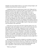altogether out of the solitude of the Ice. I was uneasy among strangers, and constantly missed Estraven's presence beside me.

I climbed the steep snow-packed street in dusk to the College and was admitted and shown how to operate the public-use transmitter. At the time appointed I sent the *wake* signal to the relay satellite which was in stationary orbit about 300 miles over South Karhide. It was there as insurance for just a situation as this, when my ansible was gone so that I could not ask Ollul to signal the ship, and I had not time or equipment to make direct contact with the ship in solar orbit. The Sassinoth transmitter was more than adequate, but as the satellite was not equipped to respond except by sending to the ship, there was nothing to do but signal it and let it go at that. I could not know if the message had been received and relayed to the ship. I did not know if I had done right to send it. I had come to accept such uncertainties with a quiet heart.

It had come on to snow hard, and I had to spend the night in town, not knowing the roads well enough to want to set off on them in the snow and dark. Having a bit of money still, I inquired for an inn, at which they insisted that I put up at the College; I had dinner with a lot of cheerful students, and slept in one of the dormitories. I fell asleep with a pleasant sense of security, an assurance of Karhide's extraordinary and unfailing kindness to the stranger. I had landed in the right country in the first place, and now I was back. So I fell asleep; but I woke up very early and set off for Thessicher's farm before breakfast, having spent an uneasy night full of dreams and wakenings.

The rising sun, small and cold in a bright sky, sent shadows westward from every break and hummock in the snow. The road lay all streaked with dark and bright. No one moved in all the snowy fields; but away off on the road a small figure came toward me with the flying, gliding gait of the skier. Long before I could see the face I knew it for Estraven.

"What's up, Therem?"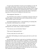"I've got to get to the border," he said, not even stopping as we met. He was already out of breath. I turned and we both went west, I hard put to keep up with him. Where the road turned to enter Sassinoth he left it, skiing out across the unfenced fields. We crossed the frozen Ey a mile or so north of town. The banks were steep, and at the end of the climb we both had to stop and rest. We were not in condition for this kind of race.

"What happened? Thessicher—?"

"Yes. Heard him on his wireless set. At daybreak." Estraven's chest rose and fell in gasps as it had when he lay on the ice beside the blue crevasse. "Tibe must have a price on my head."

"The damned ungrateful traitor!" I said stammering, not meaning Tibe but Thessicher, whose betrayal was of a friend.

"He is that," said Estraven, "but I asked too much of him, strained a small spirit too far. Listen, Genry. Go back to Sassinoth."

"I'll at least see you over the border, Therem."

"There may be Orgota guards there."

"I'll stay on this side. For God's sake—"

He smiled. Still breathing very hard, he got up and went on, and I went with him.

We skied through small frosty woods and over the hillocks and fields of the disputed valley. There was no hiding, no skulking. A sunlit sky, a white world, and we two strokes of shadow on it, fleeing. Uneven ground hid the border from us till we were less than an eighth of a mile from it: then we suddenly saw it plain, marked with a fence, only a couple of feet of the poles showing above the snow, the pole-tops painted red. There were no guards to be seen on the Orgota side. On the near side there were ski-tracks, and, southward, several small figures moving.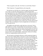"There are guards on this side. You'll have to wait till dark, Therem."

"Tibe's Inspectors," he gasped bitterly, and swung aside.

We shot back over the little rise we had just topped, and took the nearest cover. There we spent the whole long day, in a dell among the thickgrowing hemmen trees, their reddish boughs bent low around us by loads of snow. We debated many plans of moving north or south along the border to get out of this particularly troubled zone, of trying to get up into the hills east of Sassinoth, even of going back up north into the empty country, but each plan had to be vetoed. Estraven's presence had been betrayed, and we could not travel in Karhide openly as we had been doing. Nor could we travel secretly for any distance at all: we had no tent, no food, and not much strength. There was nothing for it but the straight dash over the border, no way was open but one.

We huddled in the dark hollow under dark trees, in the snow. We lay right together for warmth. Around midday Estraven dozed off for a while, but I was too hungry and too cold for sleep; I lay there beside my friend in a sort of stupor, trying to remember the words he had quoted to me once: *Two are one, life and death, lying together.* … It was a little like being inside the tent up on the Ice, but without shelter, without food, without rest: nothing left but our companionship, and that soon to end.

The sky hazed over during the afternoon, and the temperature began to drop. Even in the windless hollow it became too cold to sit motionless. We had to move about, and still around sunset I was taken by fits of shuddering like those I had experienced in the prison-truck crossing Orgoreyn. The darkness seemed to take forever coming on. In the late blue twilight we left the dell and went creeping behind trees and bushes over the hill till we could make out the line of the border-fence, a few dim dots along the pallid snow. No lights, nothing moving, no sound. Away off in the southwest shone the yellow glimmer of a small town, some tiny Commensal Village of Orgoreyn, where Estraven could go with his unacceptable identification papers and be assured at least of a night's lodging in the Commensal Jail or perhaps on the nearest Commensal Voluntary Farm. All at once—there, at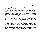that last moment, no sooner—I realized what my selfishness and Estraven's silence had kept from me, where he was going and what he was getting into. I said, "Therem—wait—"

But he was off, downhill: a magnificent fast skier, and this time not holding back for me. He shot away on a long quick curving descent through the shadows over the snow. He ran from me, and straight into the guns of the border-guards. I think they shouted warnings or orders to halt, and a light sprang up somewhere, but I am not sure; in any case he did not stop, but flashed on towards the fence, and they shot him down before he reached it. They did not use the sonic stunners but the foray gun, the ancient weapon that fires a set of metal fragments in a burst. They shot to kill him. He was dying when I got to him, sprawled and twisted away from his skis that stuck up out of the snow, his chest half shot away. I took his head in my arms and spoke to him, but he never answered me; only in a way he answered my love for him, crying out through the silent wreck and tumult of his mind as consciousness lapsed, in the unspoken tongue, once, clearly, "*Areck!*" Then no more. I held him, crouching there in the snow, while he died. They let me do that. Then they made me get up, and took me off one way and him another, I going to prison and he into the dark.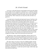## 20. A Fool's Errand

SOMEWHERE IN the notes Estraven wrote during our trek across the Gobrin Ice he wonders why his companion is ashamed to cry. I could have told him even then that it was not shame so much as fear. Now I went on through the Sinoth Valley, through the evening of his death, into the cold country that lies beyond fear. There I found you can weep all you like, but there's no good in it.

I was taken back to Sassinoth and imprisoned, because I had been in the company of an outlaw, and probably because they did not know what else to do with me. From the start, even before official orders came from Erhenrang, they treated me well. My Karhidish jail was a furnished room in the Tower of the Lords-Elect in Sassinoth; I had a fireplace, a radio, and five large meals daily. It was not comfortable. The bed was hard, the covers thin, the floor bare, the air cold—like any room in Karhide. But they sent in a physician, in whose hands and voice was a more enduring, a more profitable comfort than any I ever found in Orgoreyn. After he came, I think the door was left unlocked. I recall it standing open, and myself wishing it were shut, because of the chill draft of air from the hall. But I had not the strength, the courage, to get off my bed and shut my prison door.

The physician, a grave, maternal young fellow, told me with an air of peaceable certainty, "You have been underfed and overtaxed for five or six months. You have spent yourself. There's nothing more to spend. Lie down, rest. Lie down like the rivers frozen in the valleys in winter. Lie still. Wait."

But when I slept I was always in the truck, huddling together with the others, all of us stinking, shivering, naked, squeezed together for warmth, all but one. One lay by himself against the barred door, the cold one, with a mouth full of clotted blood. He was the traitor. He had gone on by himself, deserting us, deserting me. I would wake up full of rage, a feeble shaky rage that turned into feeble tears.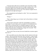I must have been rather ill, for I remember some of the effects of high fever, and the physician stayed with me one night or perhaps more. I can't recall those nights, but do remember saying to him, and hearing the querulous keening note in my own voice, "He could have stopped. He saw the guards. He ran right into the guns."

The young physician said nothing for a while. "You're not saying that he killed himself?"

"Perhaps—"

"That's a bitter thing to say of a friend. And I will not believe it of Harth rem ir Estraven."

I had not had in mind when I spoke the contemptibility of suicide to these people. It is not to them, as to us, an option. It is the abdication from option, the act of betrayal itself. To a Karhider reading our canons, the crime of Judas lies not in his betrayal of Christ but in the act that, sealing despair, denies the chance of forgiveness, change, life: his suicide. "Then you don't call him Estraven the Traitor?"

"Nor ever did. There are many who never heeded the accusations against him, Mr. Ai."

But I was unable to see any solace in that, and only cried out in the same torment, "Then why did they shoot him? Why is he dead?" To this he made no answer, there being none. I was never formally interrogated. They asked how I had got out of Pulefen Farm and into Karhide, and they asked the destination and intent of the code message I had sent on their radio. I told them. That information went straight to Erhenrang, to the king. The matter of the ship was apparently held secret, but the news of my escape from an Orgota prison, my journey over the Ice in winter, my presence in Sassinoth, was freely reported and discussed. Estraven's part in this was not mentioned on the radio, nor was his death. Yet it was known. Secrecy in Karhide is to an extraordinary extent a matter of discretion, of an agreed, understood silence—an omission of questions, yet not an omission of answers. The Bulletins spoke only of the Envoy Mr. Ai, but everybody knew that it was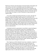Harth rem ir Estraven who had stolen me from the hands of the Orgota and come with me over the Ice to Karhide to give the staring lie to the Commensals' tale of my sudden death from horm-fever in Mishnory last autumn… Estraven had predicted the effects of my return fairly accurately; he had erred mainly in underestimating them. Because of the alien who lay ill, not acting, not caring, in a room in Sassinoth, two governments fell within ten days.

To say that an Orgota government fell means, of course, only that one group of Commensals replaced another group of Commensals in the controlling offices of the Thirty-Three. Some shadows got shorter and some longer, as they say in Karhide. The Sarf faction that had sent me off to Pulefen hung on, despite the not unprecedented embarrassment of being caught lying, until Argaven's public announcement of the imminent arrival of the Star Ship in Karhide. That day Obsle's party, the Open Trade faction, took over the presiding offices of the Thirty-Three. So I was of some service to them after all.

In Karhide the fall of a government is most likely to mean the disgrace and replacement of a Prime Minister along with a reshuffling of the kyorremy; although assassination, abdication, and insurrection are all frequent alternatives. Tibe made no effort to hang on. My current value in the game of international shifgrethor, plus my vindication (by implication) of Estraven, gave me as it were a prestige-weight so clearly surpassing his, that he resigned, as I later learned, even before the Erhenrang Government knew that I had radioed to my ship. He acted on the tip-off from Thessicher, waited only until he got word of Estraven's death, and then resigned. He had his defeat and his revenge for it all in one.

Once Argaven was fully informed, he sent me a summons, a request to come at once to Erhenrang, and along with it a liberal allowance for expenses. The City of Sassinoth with equal liberality sent their young physician along with me, for I was not in very good shape yet. We made the trip in powersledges. I remember only parts of it; it was smooth and unhurried, with long halts waiting for packers to clear the road, and long nights spent at inns. It could only have taken two or three days, but it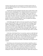seemed a long trip and I can't recall much of it till the moment when we came through the Northern Gates of Erhenrang into the deep streets full of snow and shadow.

I felt then that my heart hardened somewhat and my mind cleared. I had been all in pieces, disintegrated. Now, though tired from the easy journey, I found some strength left whole in me. Strength of habit, most likely, for here at last was a place I knew, a city I had lived in, worked in, for over a year. I knew the streets, the towers, the somber courts and ways and facades of the Palace. I knew my job here. Therefore for the first time it came plainly to me that, my friend being dead, I must accomplish the thing he died for. I must set the keystone in the arch.

At the Palace gates the order was for me to proceed to one of the guesthouses within the Palace walls. It was the Round-Tower Dwelling, which signaled a high degree of shifgrethor in the court: not so much the king's favor, as his recognition of a status already high. Ambassadors from friendly powers were usually lodged there. It was a good sign. To get to it, however, we had to pass by the Corner Red Dwelling, and I looked in the narrow arched gateway at the bare tree over the pool, gray with ice, and the house that still stood empty.

At the door of the Round-Tower I was met by a person in white hieb and crimson shirt, with a silver chain over his shoulders: Faxe, the Foreteller of Otherhord Fastness. At sight of his kind and handsome face, the first known face that I had seen for many days, a rush of relief softened my mood of strained resolution. When Faxe took my hands in the rare Karhidish greeting and welcomed me as his friend, I could make some response to his warmth.

He had been sent to the kyorremy from his district, South Rer, early in the autumn. Election of council-members from the Indwellers of Handdara Fastnesses is not uncommon; it is however not common for a Weaver to accept office, and I believe Faxe would have refused if he had not been much concerned by Tibe's government and the direction in which it was leading the country. So he had taken off the Weaver's gold chain and put on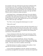the councillor's silver one; and he had not spent long in making his mark, for he had been since Thern a member of the Hes-kyorremy or Inner Council, which serves as counterweight to the Prime Minister, and it was the king who had named him to that position. He was perhaps on his way up to the eminence from which Estraven, less than a year ago, had fallen. Political careers in Karhide are abrupt, precipitous.

In the Round-Tower, a cold pompous little house, Faxe and I talked at some length before I had to see anyone else or make any formal statement or appearance. He asked with his clear gaze on me, "There is a ship coming, then, coming down to earth: a larger ship than the one you came to Horden Island on, three years ago. Is that right?"

"Yes. That is, I sent a message that should prepare it to come."

"When will it come?"

When I realized that I did not even know what day of the month it was, I began to realize how badly off I had in fact been, lately. I had to count back to the day before Estraven's death. When I found that the ship, if it had been at minimum distance, would already be in planetary orbit awaiting some word from me, I had another shock.

"I must communicate with the ship. They'll want instructions. Where does the king want them to come down? It should be an uninhabited area, fairly large. I must get to a transmitter—"

Everything was arranged expeditiously, with ease. The endless convolutions and frustrations of my previous dealings with the Erhenrang Government were melted away like ice-pack in a flooding river. The wheel turned… Next day I was to have an audience with the king.

It had taken Estraven six months to arrange my first audience. It had taken the rest of his life to arrange this second one.

I was too tired to be apprehensive, this time, and there were things on my mind that outweighed self-consciousness. I went down the long red hall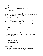under the dusty banners and stood before the dais with its three great hearths, where three bright fires cracked and sparkled. The king sat by the central fireplace, hunched up on a carven stool by the table.

"Sit down, Mr. Ai."

I sat down across the hearth from Argaven, and saw his face in the light of the flames. He looked unwell, and old. He looked like a woman who has lost her baby, like a man who has lost his son.

"Well, Mr. Ai, so your ship's going to land."

"It will land in Athten Fen, as you requested, sir. They should bring it down this evening at the beginning of Third Hour."

"What if they miss the place? Will they burn everything up?"

"They'll follow a radio-beam straight in; that's all been arranged. They won't miss."

"And how many of *them* are there—eleven? Is that right?"

"Yes. Not enough to be afraid of, my lord."

Argaven's hands twitched in an unfinished gesture. "I am no longer afraid of you, Mr. Ai."

I'm glad of that."

"You've served me well."

"But I am not your servant."

"I know it," he said indifferently. He stared at the fire, chewing the inside of his lip.

"My ansible transmitter is in the hands of the Sarf in Mishnory, presumably. However, when the ship comes down it will have an ansible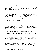aboard. I will have thenceforth, if acceptable to you, the position of Envoy Plenipotentiary of the Ekumen, and will be empowered to discuss, and sign, a treaty of alliance with Karhide. All this can be confirmed with Hain and the various Stabilities by ansible."

"Very well."

I said no more, for he was not giving me his whole attention. He moved a log in the fire with his boot-toe, so that a few red sparks crackled up from it. "Why the devil did he cheat me?" he demanded in his high strident voice, and for the first time looked straight at me.

"Who?" I said, sending back his stare.

"Estraven."

"He saw to it that you didn't cheat yourself. He got me out of sight when you began to favor a faction unfriendly to me. He brought me back to you when my return would in itself persuade you to receive the Mission of the Ekumen, and the credit for it."

"Why did he never say anything about this larger ship to me?"

"Because he didn't know about it: I never spoke to anyone of it until I went to Orgoreyn."

"And a fine lot you chose to blab to there, you two. He tried to get the Orgota to receive your Mission. He was working with their Open Traders all along. You'll tell me that was not betrayal?"

"It was not.  $\bigcirc$  He knew that, whichever nation first made alliance with the Ekumen, the other would follow soon: as it will: as Sith and Perunter and the Archipelago will also follow, until you find unity. He loved his country very dearly, sir, but he did not serve it, or you. He served the master I serve."

"The Ekumen?" said Argaven, startled.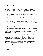"No. Mankind."

As I spoke I did not know if what I said was true. True in part; an aspect of the truth. It would be no less true to say that Estraven's acts had risen out of pure personal loyalty, a sense of responsibility and friendship towards one single human being, myself. Nor would that be the whole truth.

The king made no reply. His somber, pouched, furrowed face was turned again to the fire.

"Why did you call to this ship of yours before you notified me of your return to Karhide?"

"To force your hand, sir. A message to you would also have reached Lord Tibe, who might have handed me over to the Orgota. Or had me shot. As he had my friend shot."

The king said nothing.

"My own survival doesn't matter all that much, but I have and had then a duty towards Gethen and the Ekumen, a task to fulfill. I signaled the ship first, to ensure myself some chance of fulfilling it. That was Estraven's counsel, and it was right."

"Well, it was not wrong. At any rate they'll land here; we shall be the first… And they're all like you, eh? All perverts, always in kemmer? A queer lot to vie for the honor of receiving… Tell Lord Gorchern, the chamberlain, how they expect to be received. See to it that there's no offense or omission. They'll be lodged in the Palace, wherever you think suitable. I wish to show them honor. You've done me a couple of good turns, Mr. Ai. Made liars of the Commensals, and then fools."

"And presently allies, my lord."

"I know!" he said shrilly. "But Karhide first—Karhide first!"

I nodded.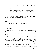After some silence, he said, "How was it, that pull across the Ice?"

"Not easy."

"Estraven would be a good man to pull with, on a crazy trek like that. He was tough as iron. And never lost his temper. I'm sorry he's dead."

I found no reply.

"I'll receive your…countrymen in audience tomorrow afternoon at Second Hour. Is there more needs saying now?"

"My lord, will you revoke the Order of Exile on Estraven, to clear his name?"

"Not yet, Mr. Ai. Don't rush it. Anything more?"

"No more."

"Go on, then."

Even I betrayed him. I had said I would not bring the ship down till his banishment was ended, his name cleared. I could not throw away what he had died for, by insisting on the condition. It would not bring him out of this exile.

The rest of that day went in arranging with Lord Gorchern and others for the reception and lodging of the ship's company. At Second Hour we set out by powersledge to Athten Fen, about thirty miles northeast of Erhenrang. The landing site was at the near edge of the great desolate region, a peatmarsh too boggy to be farmed or settled, and now in mid-Irrem a flat frozen waste many feet deep in snow. The radio beacon had been functioning all day, and they had received confirmation signals from the ship.

On the screens, coming in, the crew must have seen the terminator lying clear across the Great Continent along the border, from Guthen Bay to the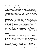Gulf of Charisune, and the peaks of the Kargav still in sunlight, a chain of stars; for it was twilight when we, looking up, saw the one star descending.

She came down in a roar and glory, and steam went roaring up white as her stabilizers went down in the great lake of water and mud created by the retro; down underneath the bog there was permafrost like granite, and she came to rest balanced neatly, and sat cooling over the quickly refreezing lake, a great, delicate fish balanced on its tail, dark silver in the twilight of Winter.

Beside me Faxe of Otherhord spoke for the first time since the sound and splendor of the ship's descent. "I'm glad I have lived to see this," he said. So Estraven had said when he looked at the Ice, at death; so he should have said this night. To get away from the bitter regret that beset me I started to walk forward over the snow towards the ship. She was frosted already by the interhull coolants, and as I approached the high port slid open and the exitway was extruded, a graceful curve down onto the ice. The first off was Lang Heo Hew, unchanged, of course, precisely as I had last seen her, three years ago in my life and a couple of weeks in hers. She looked at me, and at Faxe, and at the others of the escort who had followed me, and stopped at the foot of the ramp. She said solemnly in Karhidish, "I have come in friendship." To her eyes we were all aliens. I let Faxe greet her first.

He indicated me to her, and she came and took my right hand in the fashion of my people, looking into my face. "Oh Genly," she said, "I didn't know you!" It was strange to hear a woman's voice, after so long. The others came out of the ship, on my advice: evidence of any mistrust at this point would humiliate the Karhidish escort, impugning their shifgrethor. Out they came, and met the Karhiders with a beautiful courtesy. But they all looked strange to me, men and women, well as I knew them. Their voices sounded strange: too deep, too shrill. They were like a troupe of great, strange animals, of two different species: great apes with intelligent eyes, all of them in rut, in kemmer… They took my hand, touched me, held me.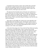I managed to keep myself in control, and to tell Heo Hew and Tulier what they most urgently needed to know about the situation they had entered, during the sledge-ride back to Erhenrang. When we got to the Palace, however, I had to get to my room at once.

The physician from Sassinoth came in. His quiet voice and his face, a young, serious face, not a man's face and not a woman's, a human face, these were a relief to me, familiar, right… But he said, after ordering me to get to bed and dosing me with some mild tranquilizer, "I've seen your fellow-Envoys. This is a marvelous thing, the coming of men from the stars. And in my lifetime!"

There again was the delight, the courage, that is most admirable in the Karhidish spirit-and in the human spirit—and though I could not share it with him, to deny it would be a detestable act. I said, without sincerity, but with absolute truth, "It is a marvelous thing indeed for them as well, the coming to a new world, a new mankind."

At the end of that spring, late in Tuwa when the Thaw-floods were going down and travel was possible again, I took a vacation from my little Embassy in Erhenrang, and went east. My people were spread out by now all over the planet. Since we had been authorized to use the aircars, Heo Hew and three others had taken one and flown over to Sith and the Archipelago, nations of the Sea Hemisphere which I had entirely neglected. Others were in Orgoreyn, and two, reluctant, in Perunter, where the Thaws do not even begin until Tuwa and everything refreezes (they say) a week later. Tulier and Ke'sta were getting on very well in Erhenrang, and could handle what might come up. Nothing was urgent. After all, a ship setting out at once from the closest of Winter's new allies could not arrive before seventeen years, planetary time, had passed. It is a marginal world, on the edge. Out beyond it towards the South Orion Arm no world has been found where men live. And it is a long way back from Winter to the prime worlds of the Ekumen, the hearth-worlds of our race: fifty years to Hain-Davenant, a man's lifetime to Earth. No hurry.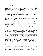I crossed the Kargav, this time on lower passes, on a road that winds along above the coast of the southern sea. I paid a visit to the first village I had stayed in, when the fishermen brought me in from Horden Island three years ago; the folk of that Hearth received me, now as then, without the least surprise. I spent a week in the big port city Thather at the mouth of the River Ench, and then in early summer started on foot into Kerm Land.

I walked east and south into the steep harsh country full of crags and green hills and great rivers and lonely houses, till I came to Icefoot Lake. From the lakeshore looking up southward at the hills I saw a light I knew: the blink, the white suffusion of the sky, the glare of the glacier lying high beyond. The Ice was there.

Estre was a very old place. Its Hearth and outbuildings were all of gray stone cut from the steep mountainside to which it clung. It was bleak, full of the sound of wind.

I knocked and the door was opened. I said, "I ask the hospitality of the Domain. I was a friend of Therem of Estre."

The one who opened to me, a slight, grave-looking fellow of nineteen or twenty, accepted my words in silence and silently admitted me to the Hearth. He took me to the wash-house, the tiring-rooms, the great kitchen, and when he had seen to it that the stranger was clean, clothed, and fed, he left me to myself in a bedroom that looked down out of deep slit-windows over the gray lake and the gray thore-forests that lie between Estre and Stok. It was a bleak land, a bleak house. Fire roared in the deep hearth, giving as always more warmth for the eye and spirit than for the flesh, for the stone floor and walls, the wind outside blowing down off the mountains and the Ice, drank up most of the heat of the flames. But I did not feel the cold as I used to, my first two years on Winter; I had lived long in a cold land, now.

In an hour or so the boy (he had a girl's quick delicacy in his looks and movements, but no girl could keep so grim a silence as he did) came to tell me that the Lord of Estre would receive me if it pleased me to come. I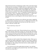followed him downstairs, through long corridors where some kind of game of hide-and-seek was going on. Children shot by us, darted around us, little ones shrieking with excitement, adolescents slipping like shadows from door to door, hands over their mouths to keep laughter still. One fat little thing of five or six caromed into my legs, then plunged and grabbed my escort's hand for protection. "Sorve!" he squeaked, staring up wide-eyed at me all the time, "Sorve, I'm going to hide in the brewery—!" Off he went like a round pebble from a sling. The young man Sorve, not at all discomposed, led me on and brought me into the Inner Hearth to the Lord of Estre.

Esvans Harth rem ir Estraven was an old man, past seventy, crippled by an arthritic disease of the hips. He sat erect in a rolling-chair by the fire. His face was broad, much blunted and worn down by time, like a rock in a torrent: a calm face, terribly calm.

"You are the Envoy, Genry Ai?"

"I am."

He looked at me, and I at him. Therem had been the son, child of the flesh, of this old lord. Therem the younger son; Arek the elder, that brother whose voice he had heard in mine bespeaking him; both dead now. I could not see anything of my friend in that worn, calm, hard old face that met my gaze. I found nothing there but the certainty, the sure fact of Therem's death.

I had come on a fool's errand to Estre, hoping for solace. There was no solace; and why should a pilgrimage to the place of my friend's childhood make any difference, fill any absence, soothe any remorse? Nothing could be changed now. My coming to Estre had, however, another purpose, and this I could accomplish.

"I was with your son in the months before his death. I was with him when he died. I've brought you the journals he kept. And if there's anything I can tell you of those days—"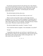No particular expression showed on the old man's face. That calmness was not to be altered. But the young one with a sudden movement came out of the shadows into the light between the window and the fire, a bleak uneasy light, and he spoke harshly: "In Erhenrang they still call him Estraven the Traitor."

The old lord looked at the boy, then at me.

"This is Sorve Harth," he said, "heir of Estre, my sons' son."

There is no ban on incest there, I knew it well enough. Only the strangeness of it, to me a Terran, and the strangeness of seeing the flash of my friend's spirit in this grim, fierce, provincial boy, made me dumb for a while. When I spoke my voice was unsteady. "The king will recant. Therem was no traitor. What does it matter what fools call him?"

The old lord nodded slowly, smoothly. "It matters," he said.

"You crossed the Gobrin Ice together," Sorve demanded, "you and he?"

"We did."

"I should like to hear that tale, my Lord Envoy," said old Esvans, very calm. But the boy, Therem's son, said stammering, "Will you tell us how he died? Will you tell us about the other worlds out among the stars— the other kinds of men, the other lives?"

∞…∞…∞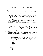## The Gethenian Calendar and Clock

## *The Year.*

Gethen's period of revolution is 8401 Terran Standard Hours, or .96 of the Terran Standard Year. The period of rotation is 23.08 Terran Standard Hours: the Gethenian year contains 364 days. In Karhide/Orgoreyn years are not numbered consecutively from a base year forward to the present; the base year is the current year. Every New Years Day (Getheny Thern) the year just past becomes the year "one-ago," and every past date is increased by one. The future is similarly counted, next year being the year "one-to-come," until it in turn becomes the Year One.

The inconvenience of this system in record-keeping is palliated by various devices, for instance reference to well-known events, reigns of kings, dynasties, local lords, etc. The Yomeshta count in 144-year cycles from the Birth of Meshe (2202 years-ago, in Ekumenical Year 1492), and keep ritual celebrations every twelfth year; but this system is strictly cultic and is not officially employed even by the government of Orgoreyn, which sponsors the Yomesh religion.

*The Month.*

The period of revolution of Gethen's moon is 26 Gethenian days; the rotation is captured, so that the moon presents the same face to the planet always.

There are 14 months in the year, and as solar and lunar calendars concur so closely that adjustment is required only about once in 200 years, the days of the month are invariable, as are the dates of thephases of the moon. The Karhidish names of the months:

- $\bullet$  Winter: $\bullet$ 
	- 1. Thern
	- 2. Thanern
	- 3. Nimmer
	- 4. Anner
- Spring:  $\bullet$ 
	- 5. Irrem
	- 6. Moth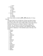- 7. Tuwa
- Summer:
	- 8. Osme
	- 9. Ockre
	- 10. Kus
	- 11. Hakanna
- Autumn:
	- 12. Gor
	- 13. Susmy
	- 14. Grende

The 26-day month is divided into� two� *halfmonths* of 13 days. *The Day.*

The day (23.08 T.S.H.) is divided into 10 hours (see below); being invariable, the days of the month are generally referred to by name, like our days of the week, not by number. (Many of the names refer to the phase of the moon, *e.g.* Getheny, "darkness," Arhad, "first crescent," etc. The prefix *od-* used in the second halfmonth is a reversive, giving a contrary meaning, so that Odgetheny might be translated as "undarkness.") The Karhidish names of the days of the month:

- Getheny
- Sordny
- $\bullet$  Eps
- Arhad
- Netherhad
- Streth
- Berny
- Orny
- Harhahad
- Guyrny
- Yrny
- Posthe
- Tormenbod
- Odgetheny
- Odsordny
- Odeps
- Odarhad